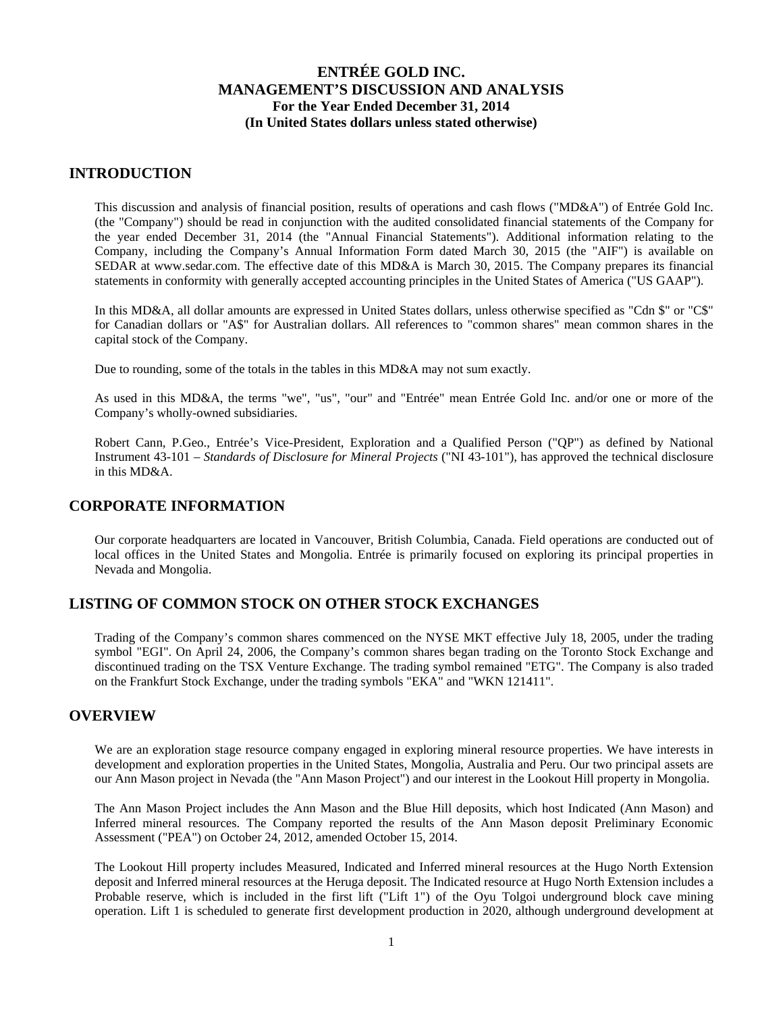#### **INTRODUCTION**

This discussion and analysis of financial position, results of operations and cash flows ("MD&A") of Entrée Gold Inc. (the "Company") should be read in conjunction with the audited consolidated financial statements of the Company for the year ended December 31, 2014 (the "Annual Financial Statements"). Additional information relating to the Company, including the Company's Annual Information Form dated March 30, 2015 (the "AIF") is available on SEDAR at www.sedar.com. The effective date of this MD&A is March 30, 2015. The Company prepares its financial statements in conformity with generally accepted accounting principles in the United States of America ("US GAAP").

In this MD&A, all dollar amounts are expressed in United States dollars, unless otherwise specified as "Cdn \$" or "C\$" for Canadian dollars or "A\$" for Australian dollars. All references to "common shares" mean common shares in the capital stock of the Company.

Due to rounding, some of the totals in the tables in this MD&A may not sum exactly.

As used in this MD&A, the terms "we", "us", "our" and "Entrée" mean Entrée Gold Inc. and/or one or more of the Company's wholly-owned subsidiaries.

Robert Cann, P.Geo., Entrée's Vice-President, Exploration and a Qualified Person ("QP") as defined by National Instrument 43-101 – *Standards of Disclosure for Mineral Projects* ("NI 43-101"), has approved the technical disclosure in this MD&A.

#### **CORPORATE INFORMATION**

Our corporate headquarters are located in Vancouver, British Columbia, Canada. Field operations are conducted out of local offices in the United States and Mongolia. Entrée is primarily focused on exploring its principal properties in Nevada and Mongolia.

# **LISTING OF COMMON STOCK ON OTHER STOCK EXCHANGES**

Trading of the Company's common shares commenced on the NYSE MKT effective July 18, 2005, under the trading symbol "EGI". On April 24, 2006, the Company's common shares began trading on the Toronto Stock Exchange and discontinued trading on the TSX Venture Exchange. The trading symbol remained "ETG". The Company is also traded on the Frankfurt Stock Exchange, under the trading symbols "EKA" and "WKN 121411".

#### **OVERVIEW**

We are an exploration stage resource company engaged in exploring mineral resource properties. We have interests in development and exploration properties in the United States, Mongolia, Australia and Peru. Our two principal assets are our Ann Mason project in Nevada (the "Ann Mason Project") and our interest in the Lookout Hill property in Mongolia.

The Ann Mason Project includes the Ann Mason and the Blue Hill deposits, which host Indicated (Ann Mason) and Inferred mineral resources. The Company reported the results of the Ann Mason deposit Preliminary Economic Assessment ("PEA") on October 24, 2012, amended October 15, 2014.

The Lookout Hill property includes Measured, Indicated and Inferred mineral resources at the Hugo North Extension deposit and Inferred mineral resources at the Heruga deposit. The Indicated resource at Hugo North Extension includes a Probable reserve, which is included in the first lift ("Lift 1") of the Oyu Tolgoi underground block cave mining operation. Lift 1 is scheduled to generate first development production in 2020, although underground development at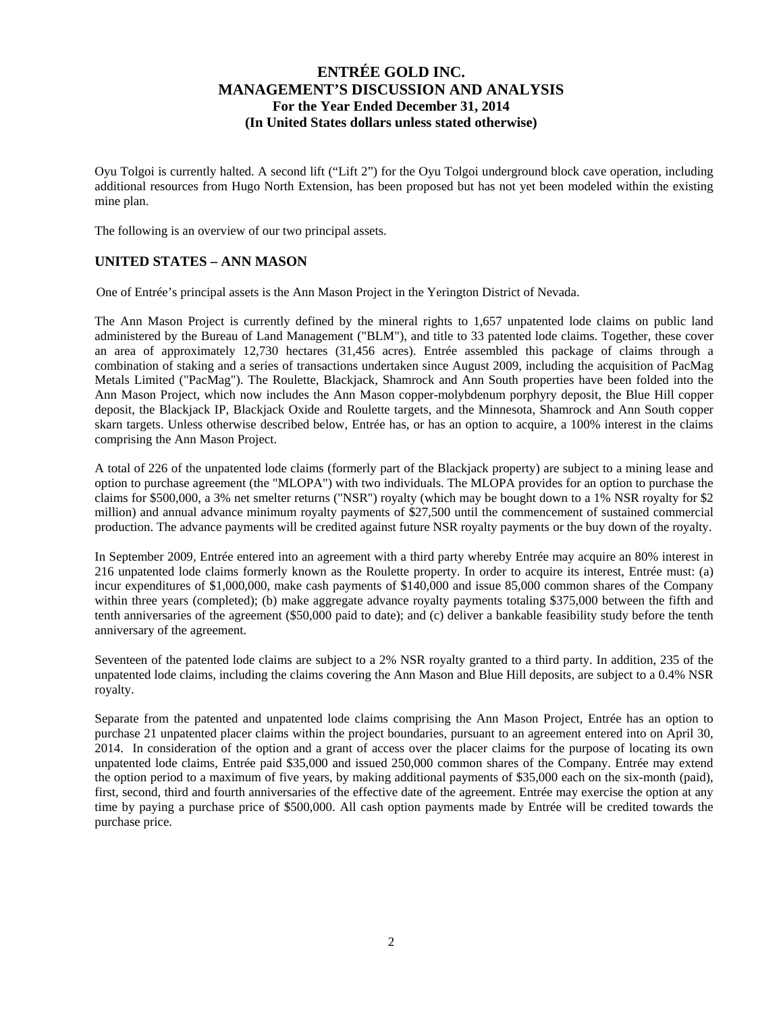Oyu Tolgoi is currently halted. A second lift ("Lift 2") for the Oyu Tolgoi underground block cave operation, including additional resources from Hugo North Extension, has been proposed but has not yet been modeled within the existing mine plan.

The following is an overview of our two principal assets.

#### **UNITED STATES – ANN MASON**

One of Entrée's principal assets is the Ann Mason Project in the Yerington District of Nevada.

The Ann Mason Project is currently defined by the mineral rights to 1,657 unpatented lode claims on public land administered by the Bureau of Land Management ("BLM"), and title to 33 patented lode claims. Together, these cover an area of approximately 12,730 hectares (31,456 acres). Entrée assembled this package of claims through a combination of staking and a series of transactions undertaken since August 2009, including the acquisition of PacMag Metals Limited ("PacMag"). The Roulette, Blackjack, Shamrock and Ann South properties have been folded into the Ann Mason Project, which now includes the Ann Mason copper-molybdenum porphyry deposit, the Blue Hill copper deposit, the Blackjack IP, Blackjack Oxide and Roulette targets, and the Minnesota, Shamrock and Ann South copper skarn targets. Unless otherwise described below, Entrée has, or has an option to acquire, a 100% interest in the claims comprising the Ann Mason Project.

A total of 226 of the unpatented lode claims (formerly part of the Blackjack property) are subject to a mining lease and option to purchase agreement (the "MLOPA") with two individuals. The MLOPA provides for an option to purchase the claims for \$500,000, a 3% net smelter returns ("NSR") royalty (which may be bought down to a 1% NSR royalty for \$2 million) and annual advance minimum royalty payments of \$27,500 until the commencement of sustained commercial production. The advance payments will be credited against future NSR royalty payments or the buy down of the royalty.

In September 2009, Entrée entered into an agreement with a third party whereby Entrée may acquire an 80% interest in 216 unpatented lode claims formerly known as the Roulette property. In order to acquire its interest, Entrée must: (a) incur expenditures of \$1,000,000, make cash payments of \$140,000 and issue 85,000 common shares of the Company within three years (completed); (b) make aggregate advance royalty payments totaling \$375,000 between the fifth and tenth anniversaries of the agreement (\$50,000 paid to date); and (c) deliver a bankable feasibility study before the tenth anniversary of the agreement.

Seventeen of the patented lode claims are subject to a 2% NSR royalty granted to a third party. In addition, 235 of the unpatented lode claims, including the claims covering the Ann Mason and Blue Hill deposits, are subject to a 0.4% NSR royalty.

Separate from the patented and unpatented lode claims comprising the Ann Mason Project, Entrée has an option to purchase 21 unpatented placer claims within the project boundaries, pursuant to an agreement entered into on April 30, 2014. In consideration of the option and a grant of access over the placer claims for the purpose of locating its own unpatented lode claims, Entrée paid \$35,000 and issued 250,000 common shares of the Company. Entrée may extend the option period to a maximum of five years, by making additional payments of \$35,000 each on the six-month (paid), first, second, third and fourth anniversaries of the effective date of the agreement. Entrée may exercise the option at any time by paying a purchase price of \$500,000. All cash option payments made by Entrée will be credited towards the purchase price.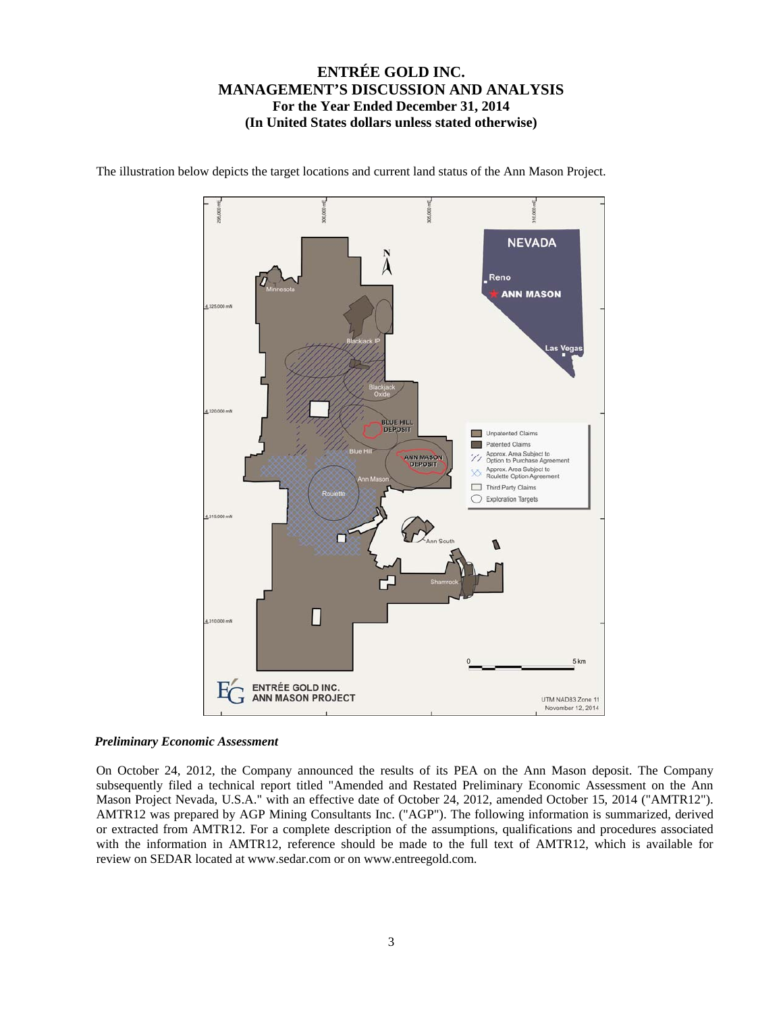

The illustration below depicts the target locations and current land status of the Ann Mason Project.

#### *Preliminary Economic Assessment*

On October 24, 2012, the Company announced the results of its PEA on the Ann Mason deposit. The Company subsequently filed a technical report titled "Amended and Restated Preliminary Economic Assessment on the Ann Mason Project Nevada, U.S.A." with an effective date of October 24, 2012, amended October 15, 2014 ("AMTR12"). AMTR12 was prepared by AGP Mining Consultants Inc. ("AGP"). The following information is summarized, derived or extracted from AMTR12. For a complete description of the assumptions, qualifications and procedures associated with the information in AMTR12, reference should be made to the full text of AMTR12, which is available for review on SEDAR located at www.sedar.com or on www.entreegold.com.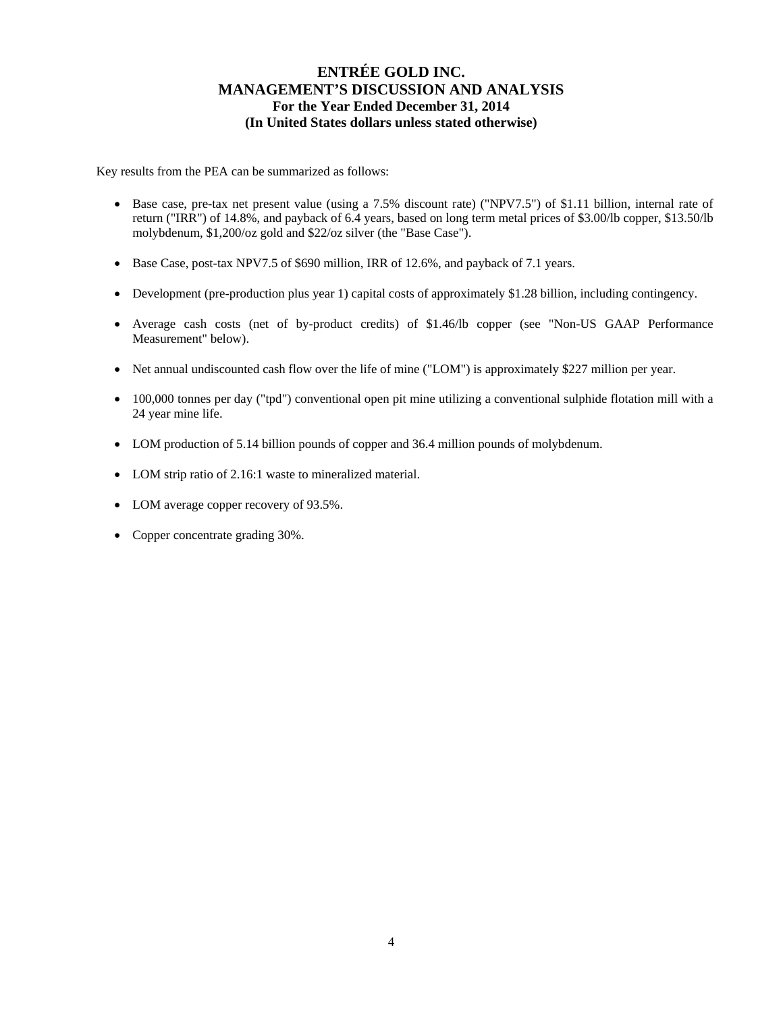Key results from the PEA can be summarized as follows:

- Base case, pre-tax net present value (using a 7.5% discount rate) ("NPV7.5") of \$1.11 billion, internal rate of return ("IRR") of 14.8%, and payback of 6.4 years, based on long term metal prices of \$3.00/lb copper, \$13.50/lb molybdenum, \$1,200/oz gold and \$22/oz silver (the "Base Case").
- Base Case, post-tax NPV7.5 of \$690 million, IRR of 12.6%, and payback of 7.1 years.
- Development (pre-production plus year 1) capital costs of approximately \$1.28 billion, including contingency.
- Average cash costs (net of by-product credits) of \$1.46/lb copper (see "Non-US GAAP Performance Measurement" below).
- Net annual undiscounted cash flow over the life of mine ("LOM") is approximately \$227 million per year.
- 100,000 tonnes per day ("tpd") conventional open pit mine utilizing a conventional sulphide flotation mill with a 24 year mine life.
- LOM production of 5.14 billion pounds of copper and 36.4 million pounds of molybdenum.
- LOM strip ratio of 2.16:1 waste to mineralized material.
- LOM average copper recovery of 93.5%.
- Copper concentrate grading 30%.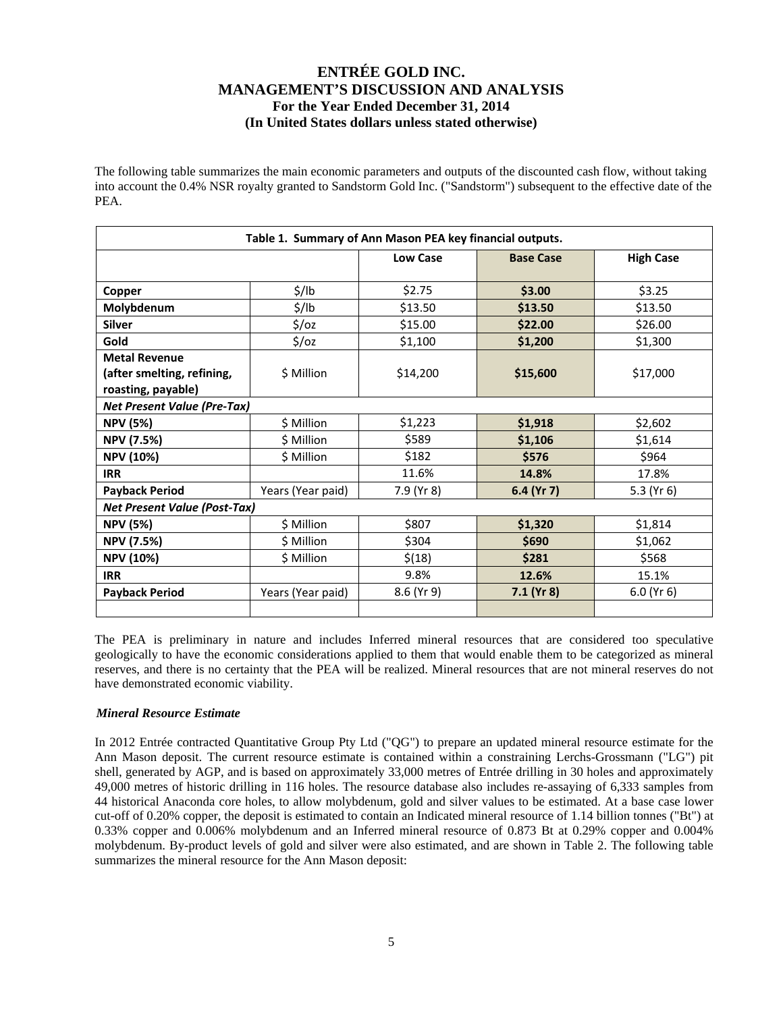The following table summarizes the main economic parameters and outputs of the discounted cash flow, without taking into account the 0.4% NSR royalty granted to Sandstorm Gold Inc. ("Sandstorm") subsequent to the effective date of the PEA.

| Table 1. Summary of Ann Mason PEA key financial outputs. |                   |                 |                  |                  |  |  |  |
|----------------------------------------------------------|-------------------|-----------------|------------------|------------------|--|--|--|
|                                                          |                   | <b>Low Case</b> | <b>Base Case</b> | <b>High Case</b> |  |  |  |
|                                                          |                   |                 |                  |                  |  |  |  |
| Copper                                                   | \$/lb             | \$2.75          | \$3.00           | \$3.25           |  |  |  |
| Molybdenum                                               | \$/lb             | \$13.50         | \$13.50          | \$13.50          |  |  |  |
| <b>Silver</b>                                            | $\frac{2}{3}$ /0Z | \$15.00         | \$22.00          | \$26.00          |  |  |  |
| Gold                                                     | $\frac{2}{3}$ /0Z | \$1,100         | \$1,200          | \$1,300          |  |  |  |
| <b>Metal Revenue</b>                                     |                   |                 |                  |                  |  |  |  |
| (after smelting, refining,                               | \$ Million        | \$14,200        | \$15,600         | \$17,000         |  |  |  |
| roasting, payable)                                       |                   |                 |                  |                  |  |  |  |
| <b>Net Present Value (Pre-Tax)</b>                       |                   |                 |                  |                  |  |  |  |
| <b>NPV (5%)</b>                                          | \$ Million        | \$1,223         | \$1,918          | \$2,602          |  |  |  |
| <b>NPV (7.5%)</b>                                        | \$ Million        | \$589           | \$1,106          | \$1,614          |  |  |  |
| <b>NPV (10%)</b>                                         | \$ Million        | \$182           | \$576            | \$964            |  |  |  |
| <b>IRR</b>                                               |                   | 11.6%           | 14.8%            | 17.8%            |  |  |  |
| <b>Payback Period</b>                                    | Years (Year paid) | 7.9 (Yr 8)      | 6.4 $(Yr 7)$     | 5.3 ( $Yr$ 6)    |  |  |  |
| <b>Net Present Value (Post-Tax)</b>                      |                   |                 |                  |                  |  |  |  |
| <b>NPV (5%)</b>                                          | \$ Million        | \$807           | \$1,320          | \$1,814          |  |  |  |
| <b>NPV (7.5%)</b>                                        | \$ Million        | \$304           | \$690            | \$1,062          |  |  |  |
| <b>NPV (10%)</b>                                         | \$ Million        | \$(18)          | \$281            | \$568            |  |  |  |
| <b>IRR</b>                                               |                   | 9.8%            | 12.6%            | 15.1%            |  |  |  |
| <b>Payback Period</b>                                    | Years (Year paid) | 8.6 (Yr 9)      | $7.1$ (Yr 8)     | $6.0$ (Yr $6$ )  |  |  |  |
|                                                          |                   |                 |                  |                  |  |  |  |

The PEA is preliminary in nature and includes Inferred mineral resources that are considered too speculative geologically to have the economic considerations applied to them that would enable them to be categorized as mineral reserves, and there is no certainty that the PEA will be realized. Mineral resources that are not mineral reserves do not have demonstrated economic viability.

#### *Mineral Resource Estimate*

In 2012 Entrée contracted Quantitative Group Pty Ltd ("QG") to prepare an updated mineral resource estimate for the Ann Mason deposit. The current resource estimate is contained within a constraining Lerchs-Grossmann ("LG") pit shell, generated by AGP, and is based on approximately 33,000 metres of Entrée drilling in 30 holes and approximately 49,000 metres of historic drilling in 116 holes. The resource database also includes re-assaying of 6,333 samples from 44 historical Anaconda core holes, to allow molybdenum, gold and silver values to be estimated. At a base case lower cut-off of 0.20% copper, the deposit is estimated to contain an Indicated mineral resource of 1.14 billion tonnes ("Bt") at 0.33% copper and 0.006% molybdenum and an Inferred mineral resource of 0.873 Bt at 0.29% copper and 0.004% molybdenum. By-product levels of gold and silver were also estimated, and are shown in Table 2. The following table summarizes the mineral resource for the Ann Mason deposit: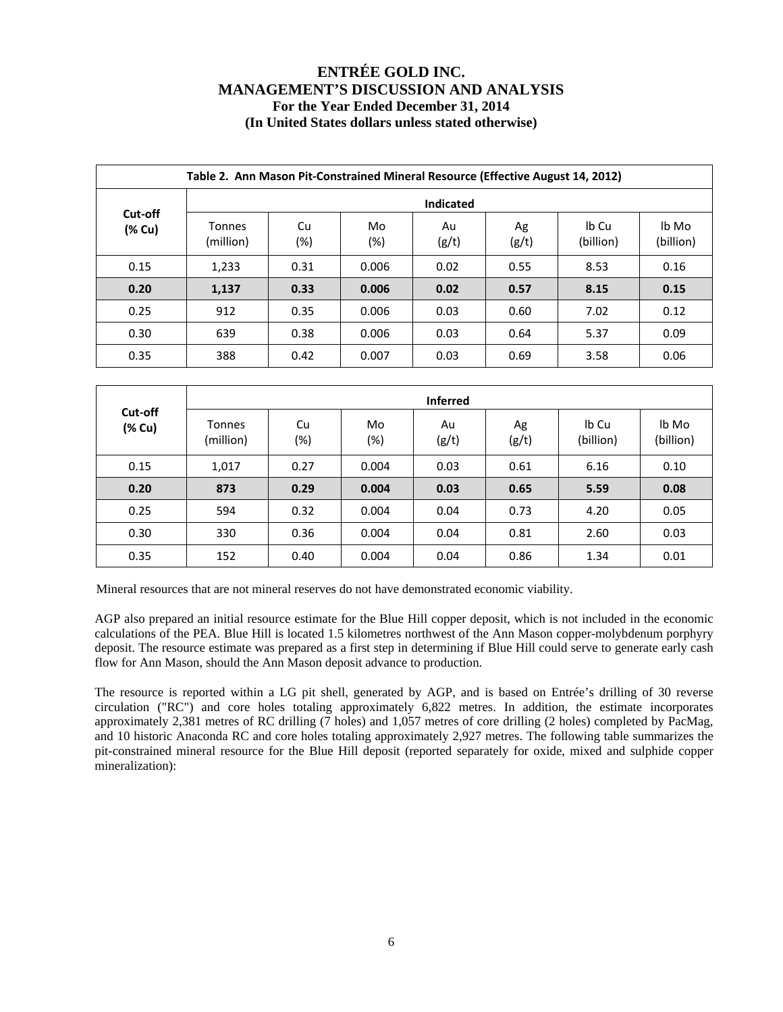| Table 2. Ann Mason Pit-Constrained Mineral Resource (Effective August 14, 2012) |                            |           |              |             |             |                    |                    |  |  |
|---------------------------------------------------------------------------------|----------------------------|-----------|--------------|-------------|-------------|--------------------|--------------------|--|--|
| <b>Indicated</b>                                                                |                            |           |              |             |             |                    |                    |  |  |
| Cut-off<br>(% Cu)                                                               | <b>Tonnes</b><br>(million) | Cu<br>(%) | Mo<br>$(\%)$ | Au<br>(g/t) | Ag<br>(g/t) | Ib Cu<br>(billion) | lb Mo<br>(billion) |  |  |
| 0.15                                                                            | 1,233                      | 0.31      | 0.006        | 0.02        | 0.55        | 8.53               | 0.16               |  |  |
| 0.20                                                                            | 1,137                      | 0.33      | 0.006        | 0.02        | 0.57        | 8.15               | 0.15               |  |  |
| 0.25                                                                            | 912                        | 0.35      | 0.006        | 0.03        | 0.60        | 7.02               | 0.12               |  |  |
| 0.30                                                                            | 639                        | 0.38      | 0.006        | 0.03        | 0.64        | 5.37               | 0.09               |  |  |
| 0.35                                                                            | 388                        | 0.42      | 0.007        | 0.03        | 0.69        | 3.58               | 0.06               |  |  |

|                   | <b>Inferred</b>            |           |           |             |             |                    |                    |  |  |  |
|-------------------|----------------------------|-----------|-----------|-------------|-------------|--------------------|--------------------|--|--|--|
| Cut-off<br>(% Cu) | <b>Tonnes</b><br>(million) | Cu<br>(%) | Mo<br>(%) | Au<br>(g/t) | Ag<br>(g/t) | Ib Cu<br>(billion) | lb Mo<br>(billion) |  |  |  |
| 0.15              | 1,017                      | 0.27      | 0.004     | 0.03        | 0.61        | 6.16               | 0.10               |  |  |  |
| 0.20              | 873                        | 0.29      | 0.004     | 0.03        | 0.65        | 5.59               | 0.08               |  |  |  |
| 0.25              | 594                        | 0.32      | 0.004     | 0.04        | 0.73        | 4.20               | 0.05               |  |  |  |
| 0.30              | 330                        | 0.36      | 0.004     | 0.04        | 0.81        | 2.60               | 0.03               |  |  |  |
| 0.35              | 152                        | 0.40      | 0.004     | 0.04        | 0.86        | 1.34               | 0.01               |  |  |  |

Mineral resources that are not mineral reserves do not have demonstrated economic viability.

AGP also prepared an initial resource estimate for the Blue Hill copper deposit, which is not included in the economic calculations of the PEA. Blue Hill is located 1.5 kilometres northwest of the Ann Mason copper-molybdenum porphyry deposit. The resource estimate was prepared as a first step in determining if Blue Hill could serve to generate early cash flow for Ann Mason, should the Ann Mason deposit advance to production.

The resource is reported within a LG pit shell, generated by AGP, and is based on Entrée's drilling of 30 reverse circulation ("RC") and core holes totaling approximately 6,822 metres. In addition, the estimate incorporates approximately 2,381 metres of RC drilling (7 holes) and 1,057 metres of core drilling (2 holes) completed by PacMag, and 10 historic Anaconda RC and core holes totaling approximately 2,927 metres. The following table summarizes the pit-constrained mineral resource for the Blue Hill deposit (reported separately for oxide, mixed and sulphide copper mineralization):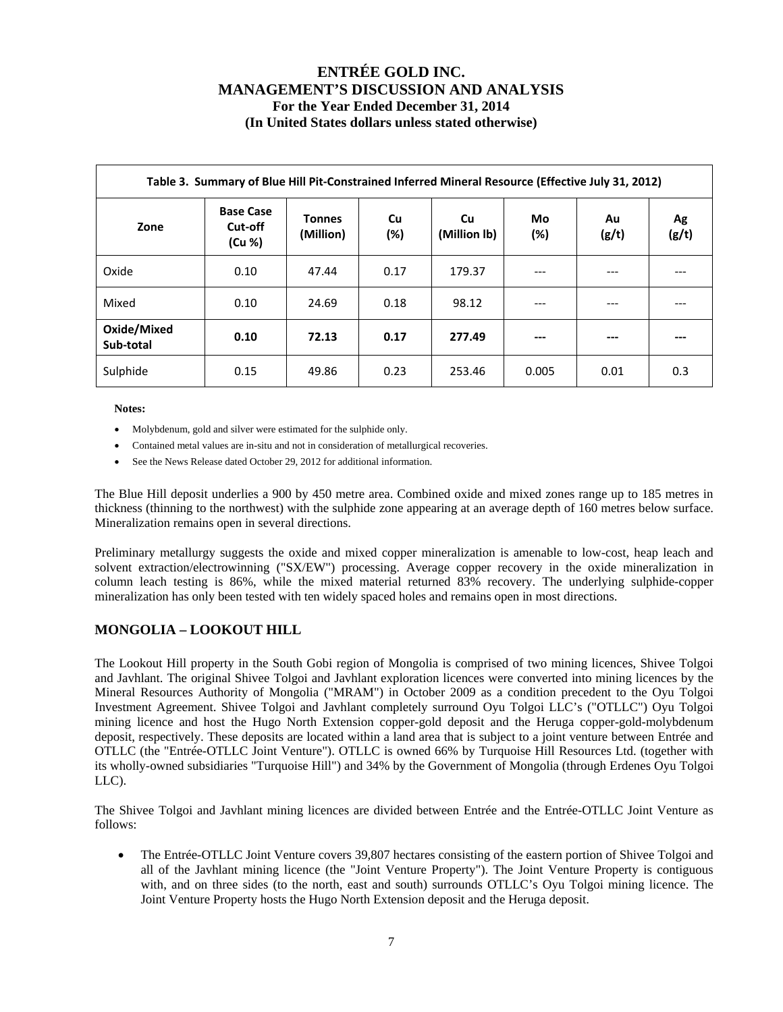| Table 3. Summary of Blue Hill Pit-Constrained Inferred Mineral Resource (Effective July 31, 2012) |                                       |                            |           |                           |              |             |             |  |  |
|---------------------------------------------------------------------------------------------------|---------------------------------------|----------------------------|-----------|---------------------------|--------------|-------------|-------------|--|--|
| Zone                                                                                              | <b>Base Case</b><br>Cut-off<br>(Cu %) | <b>Tonnes</b><br>(Million) | Cu<br>(%) | <b>Cu</b><br>(Million lb) | Mo<br>$(\%)$ | Au<br>(g/t) | Ag<br>(g/t) |  |  |
| Oxide                                                                                             | 0.10                                  | 47.44                      | 0.17      | 179.37                    | ---          | ---         |             |  |  |
| Mixed                                                                                             | 0.10                                  | 24.69                      | 0.18      | 98.12                     | ---          | ---         |             |  |  |
| Oxide/Mixed<br>Sub-total                                                                          | 0.10                                  | 72.13                      | 0.17      | 277.49                    | ---          | ---         |             |  |  |
| Sulphide                                                                                          | 0.15                                  | 49.86                      | 0.23      | 253.46                    | 0.005        | 0.01        | 0.3         |  |  |

**Notes:** 

- Molybdenum, gold and silver were estimated for the sulphide only.
- Contained metal values are in-situ and not in consideration of metallurgical recoveries.
- See the News Release dated October 29, 2012 for additional information.

The Blue Hill deposit underlies a 900 by 450 metre area. Combined oxide and mixed zones range up to 185 metres in thickness (thinning to the northwest) with the sulphide zone appearing at an average depth of 160 metres below surface. Mineralization remains open in several directions.

Preliminary metallurgy suggests the oxide and mixed copper mineralization is amenable to low-cost, heap leach and solvent extraction/electrowinning ("SX/EW") processing. Average copper recovery in the oxide mineralization in column leach testing is 86%, while the mixed material returned 83% recovery. The underlying sulphide-copper mineralization has only been tested with ten widely spaced holes and remains open in most directions.

#### **MONGOLIA – LOOKOUT HILL**

The Lookout Hill property in the South Gobi region of Mongolia is comprised of two mining licences, Shivee Tolgoi and Javhlant. The original Shivee Tolgoi and Javhlant exploration licences were converted into mining licences by the Mineral Resources Authority of Mongolia ("MRAM") in October 2009 as a condition precedent to the Oyu Tolgoi Investment Agreement. Shivee Tolgoi and Javhlant completely surround Oyu Tolgoi LLC's ("OTLLC") Oyu Tolgoi mining licence and host the Hugo North Extension copper-gold deposit and the Heruga copper-gold-molybdenum deposit, respectively. These deposits are located within a land area that is subject to a joint venture between Entrée and OTLLC (the "Entrée-OTLLC Joint Venture"). OTLLC is owned 66% by Turquoise Hill Resources Ltd. (together with its wholly-owned subsidiaries "Turquoise Hill") and 34% by the Government of Mongolia (through Erdenes Oyu Tolgoi LLC).

The Shivee Tolgoi and Javhlant mining licences are divided between Entrée and the Entrée-OTLLC Joint Venture as follows:

• The Entrée-OTLLC Joint Venture covers 39,807 hectares consisting of the eastern portion of Shivee Tolgoi and all of the Javhlant mining licence (the "Joint Venture Property"). The Joint Venture Property is contiguous with, and on three sides (to the north, east and south) surrounds OTLLC's Oyu Tolgoi mining licence. The Joint Venture Property hosts the Hugo North Extension deposit and the Heruga deposit.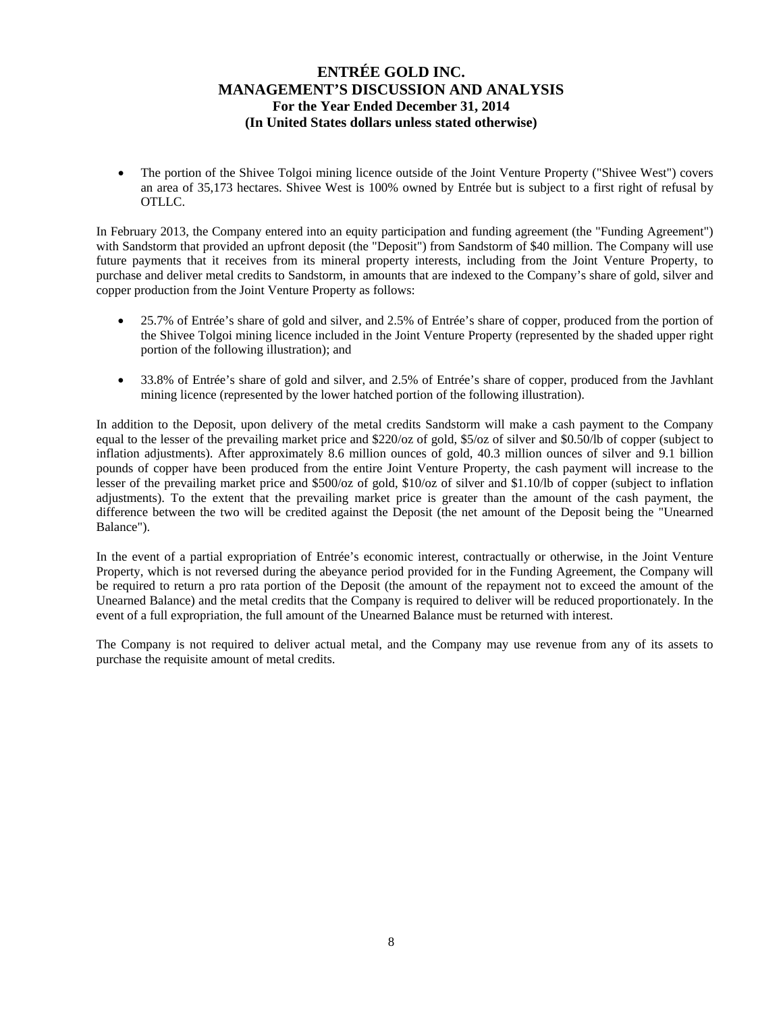The portion of the Shivee Tolgoi mining licence outside of the Joint Venture Property ("Shivee West") covers an area of 35,173 hectares. Shivee West is 100% owned by Entrée but is subject to a first right of refusal by OTLLC.

In February 2013, the Company entered into an equity participation and funding agreement (the "Funding Agreement") with Sandstorm that provided an upfront deposit (the "Deposit") from Sandstorm of \$40 million. The Company will use future payments that it receives from its mineral property interests, including from the Joint Venture Property, to purchase and deliver metal credits to Sandstorm, in amounts that are indexed to the Company's share of gold, silver and copper production from the Joint Venture Property as follows:

- 25.7% of Entrée's share of gold and silver, and 2.5% of Entrée's share of copper, produced from the portion of the Shivee Tolgoi mining licence included in the Joint Venture Property (represented by the shaded upper right portion of the following illustration); and
- 33.8% of Entrée's share of gold and silver, and 2.5% of Entrée's share of copper, produced from the Javhlant mining licence (represented by the lower hatched portion of the following illustration).

In addition to the Deposit, upon delivery of the metal credits Sandstorm will make a cash payment to the Company equal to the lesser of the prevailing market price and \$220/oz of gold, \$5/oz of silver and \$0.50/lb of copper (subject to inflation adjustments). After approximately 8.6 million ounces of gold, 40.3 million ounces of silver and 9.1 billion pounds of copper have been produced from the entire Joint Venture Property, the cash payment will increase to the lesser of the prevailing market price and \$500/oz of gold, \$10/oz of silver and \$1.10/lb of copper (subject to inflation adjustments). To the extent that the prevailing market price is greater than the amount of the cash payment, the difference between the two will be credited against the Deposit (the net amount of the Deposit being the "Unearned Balance").

In the event of a partial expropriation of Entrée's economic interest, contractually or otherwise, in the Joint Venture Property, which is not reversed during the abeyance period provided for in the Funding Agreement, the Company will be required to return a pro rata portion of the Deposit (the amount of the repayment not to exceed the amount of the Unearned Balance) and the metal credits that the Company is required to deliver will be reduced proportionately. In the event of a full expropriation, the full amount of the Unearned Balance must be returned with interest.

The Company is not required to deliver actual metal, and the Company may use revenue from any of its assets to purchase the requisite amount of metal credits.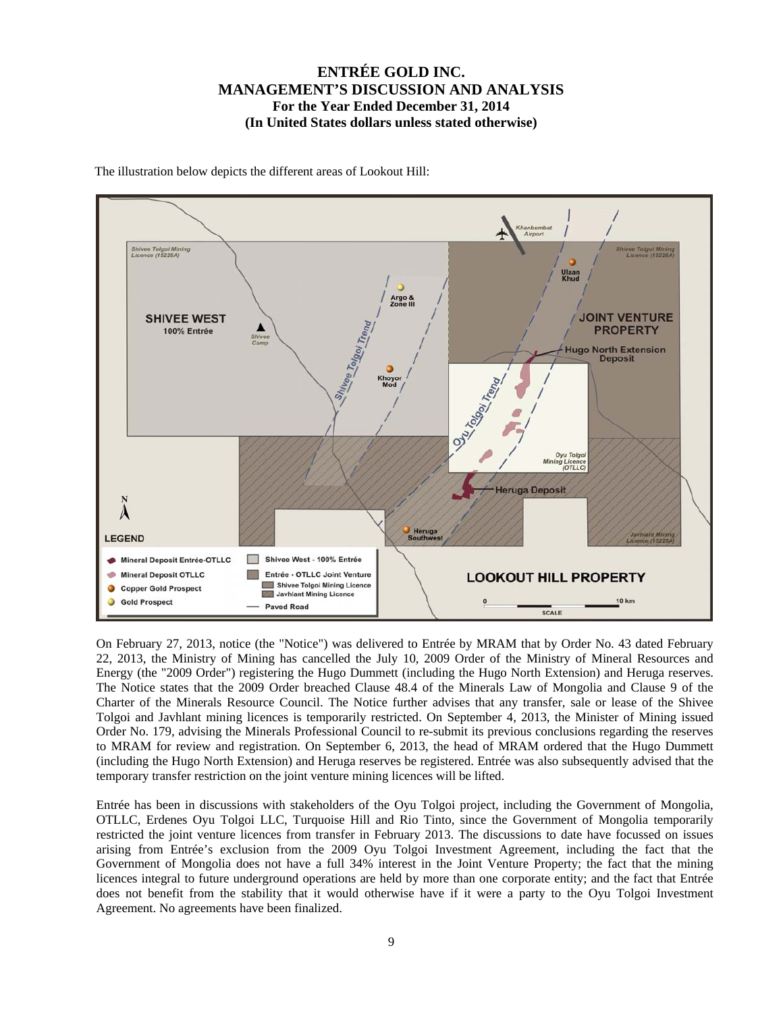

The illustration below depicts the different areas of Lookout Hill:

On February 27, 2013, notice (the "Notice") was delivered to Entrée by MRAM that by Order No. 43 dated February 22, 2013, the Ministry of Mining has cancelled the July 10, 2009 Order of the Ministry of Mineral Resources and Energy (the "2009 Order") registering the Hugo Dummett (including the Hugo North Extension) and Heruga reserves. The Notice states that the 2009 Order breached Clause 48.4 of the Minerals Law of Mongolia and Clause 9 of the Charter of the Minerals Resource Council. The Notice further advises that any transfer, sale or lease of the Shivee Tolgoi and Javhlant mining licences is temporarily restricted. On September 4, 2013, the Minister of Mining issued Order No. 179, advising the Minerals Professional Council to re-submit its previous conclusions regarding the reserves to MRAM for review and registration. On September 6, 2013, the head of MRAM ordered that the Hugo Dummett (including the Hugo North Extension) and Heruga reserves be registered. Entrée was also subsequently advised that the temporary transfer restriction on the joint venture mining licences will be lifted.

Entrée has been in discussions with stakeholders of the Oyu Tolgoi project, including the Government of Mongolia, OTLLC, Erdenes Oyu Tolgoi LLC, Turquoise Hill and Rio Tinto, since the Government of Mongolia temporarily restricted the joint venture licences from transfer in February 2013. The discussions to date have focussed on issues arising from Entrée's exclusion from the 2009 Oyu Tolgoi Investment Agreement, including the fact that the Government of Mongolia does not have a full 34% interest in the Joint Venture Property; the fact that the mining licences integral to future underground operations are held by more than one corporate entity; and the fact that Entrée does not benefit from the stability that it would otherwise have if it were a party to the Oyu Tolgoi Investment Agreement. No agreements have been finalized.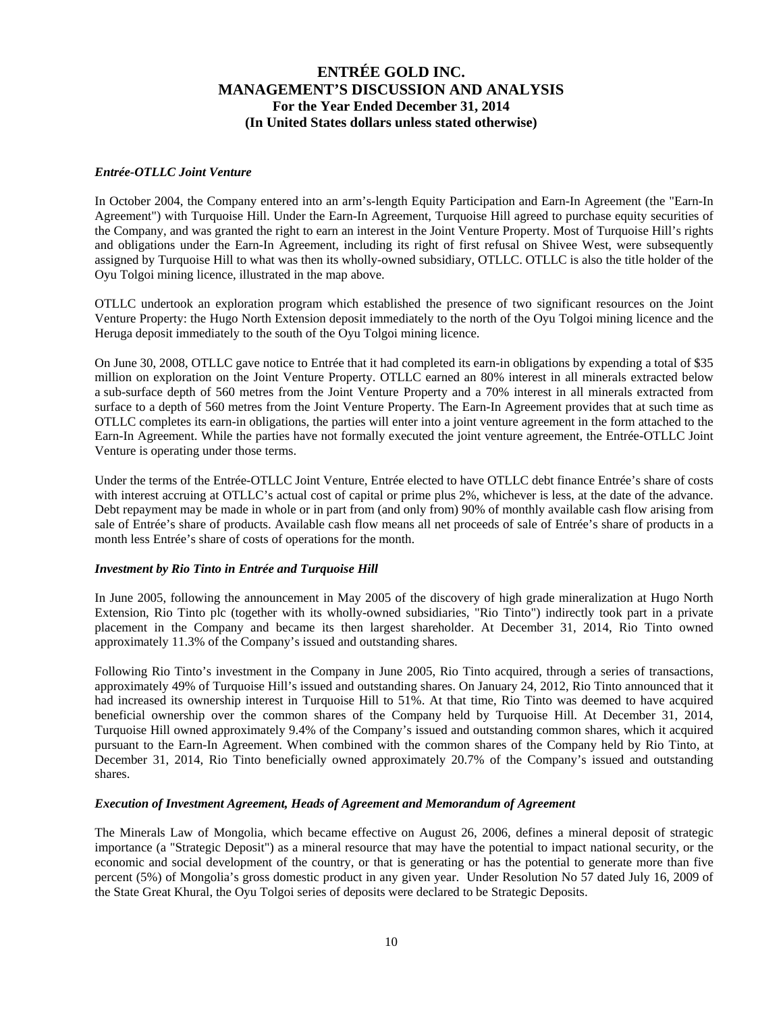#### *Entrée-OTLLC Joint Venture*

In October 2004, the Company entered into an arm's-length Equity Participation and Earn-In Agreement (the "Earn-In Agreement") with Turquoise Hill. Under the Earn-In Agreement, Turquoise Hill agreed to purchase equity securities of the Company, and was granted the right to earn an interest in the Joint Venture Property. Most of Turquoise Hill's rights and obligations under the Earn-In Agreement, including its right of first refusal on Shivee West, were subsequently assigned by Turquoise Hill to what was then its wholly-owned subsidiary, OTLLC. OTLLC is also the title holder of the Oyu Tolgoi mining licence, illustrated in the map above.

OTLLC undertook an exploration program which established the presence of two significant resources on the Joint Venture Property: the Hugo North Extension deposit immediately to the north of the Oyu Tolgoi mining licence and the Heruga deposit immediately to the south of the Oyu Tolgoi mining licence.

On June 30, 2008, OTLLC gave notice to Entrée that it had completed its earn-in obligations by expending a total of \$35 million on exploration on the Joint Venture Property. OTLLC earned an 80% interest in all minerals extracted below a sub-surface depth of 560 metres from the Joint Venture Property and a 70% interest in all minerals extracted from surface to a depth of 560 metres from the Joint Venture Property. The Earn-In Agreement provides that at such time as OTLLC completes its earn-in obligations, the parties will enter into a joint venture agreement in the form attached to the Earn-In Agreement. While the parties have not formally executed the joint venture agreement, the Entrée-OTLLC Joint Venture is operating under those terms.

Under the terms of the Entrée-OTLLC Joint Venture, Entrée elected to have OTLLC debt finance Entrée's share of costs with interest accruing at OTLLC's actual cost of capital or prime plus 2%, whichever is less, at the date of the advance. Debt repayment may be made in whole or in part from (and only from) 90% of monthly available cash flow arising from sale of Entrée's share of products. Available cash flow means all net proceeds of sale of Entrée's share of products in a month less Entrée's share of costs of operations for the month.

#### *Investment by Rio Tinto in Entrée and Turquoise Hill*

In June 2005, following the announcement in May 2005 of the discovery of high grade mineralization at Hugo North Extension, Rio Tinto plc (together with its wholly-owned subsidiaries, "Rio Tinto") indirectly took part in a private placement in the Company and became its then largest shareholder. At December 31, 2014, Rio Tinto owned approximately 11.3% of the Company's issued and outstanding shares.

Following Rio Tinto's investment in the Company in June 2005, Rio Tinto acquired, through a series of transactions, approximately 49% of Turquoise Hill's issued and outstanding shares. On January 24, 2012, Rio Tinto announced that it had increased its ownership interest in Turquoise Hill to 51%. At that time, Rio Tinto was deemed to have acquired beneficial ownership over the common shares of the Company held by Turquoise Hill. At December 31, 2014, Turquoise Hill owned approximately 9.4% of the Company's issued and outstanding common shares, which it acquired pursuant to the Earn-In Agreement. When combined with the common shares of the Company held by Rio Tinto, at December 31, 2014, Rio Tinto beneficially owned approximately 20.7% of the Company's issued and outstanding shares.

#### *Execution of Investment Agreement, Heads of Agreement and Memorandum of Agreement*

The Minerals Law of Mongolia, which became effective on August 26, 2006, defines a mineral deposit of strategic importance (a "Strategic Deposit") as a mineral resource that may have the potential to impact national security, or the economic and social development of the country, or that is generating or has the potential to generate more than five percent (5%) of Mongolia's gross domestic product in any given year. Under Resolution No 57 dated July 16, 2009 of the State Great Khural, the Oyu Tolgoi series of deposits were declared to be Strategic Deposits.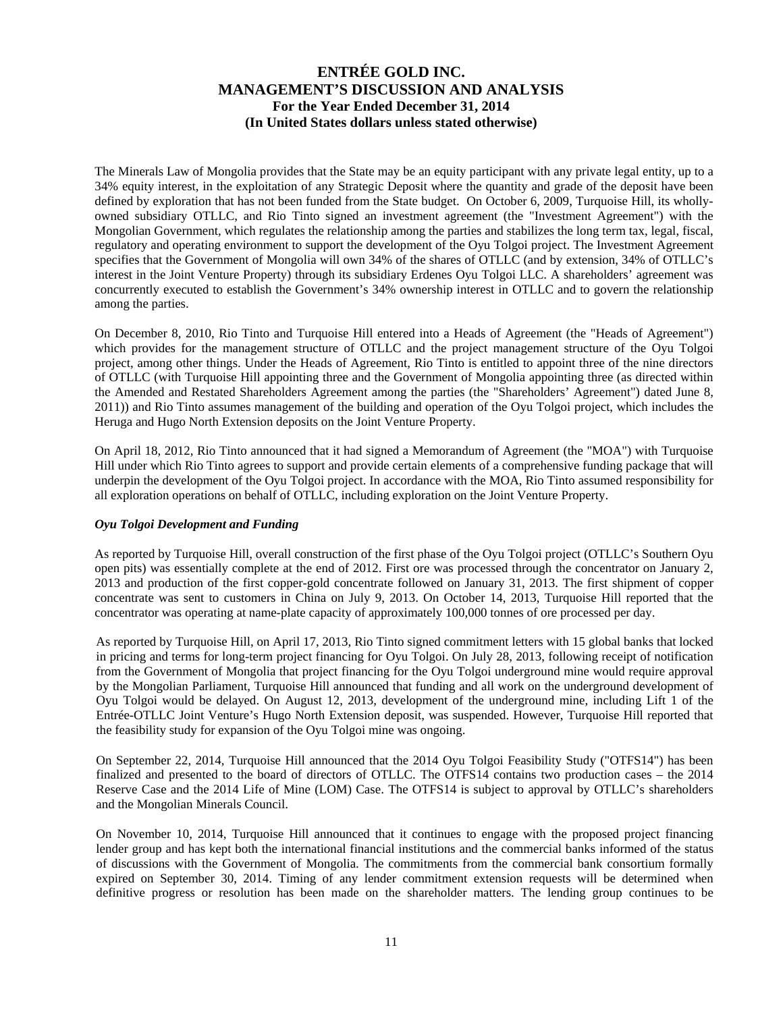The Minerals Law of Mongolia provides that the State may be an equity participant with any private legal entity, up to a 34% equity interest, in the exploitation of any Strategic Deposit where the quantity and grade of the deposit have been defined by exploration that has not been funded from the State budget. On October 6, 2009, Turquoise Hill, its whollyowned subsidiary OTLLC, and Rio Tinto signed an investment agreement (the "Investment Agreement") with the Mongolian Government, which regulates the relationship among the parties and stabilizes the long term tax, legal, fiscal, regulatory and operating environment to support the development of the Oyu Tolgoi project. The Investment Agreement specifies that the Government of Mongolia will own 34% of the shares of OTLLC (and by extension, 34% of OTLLC's interest in the Joint Venture Property) through its subsidiary Erdenes Oyu Tolgoi LLC. A shareholders' agreement was concurrently executed to establish the Government's 34% ownership interest in OTLLC and to govern the relationship among the parties.

On December 8, 2010, Rio Tinto and Turquoise Hill entered into a Heads of Agreement (the "Heads of Agreement") which provides for the management structure of OTLLC and the project management structure of the Oyu Tolgoi project, among other things. Under the Heads of Agreement, Rio Tinto is entitled to appoint three of the nine directors of OTLLC (with Turquoise Hill appointing three and the Government of Mongolia appointing three (as directed within the Amended and Restated Shareholders Agreement among the parties (the "Shareholders' Agreement") dated June 8, 2011)) and Rio Tinto assumes management of the building and operation of the Oyu Tolgoi project, which includes the Heruga and Hugo North Extension deposits on the Joint Venture Property.

On April 18, 2012, Rio Tinto announced that it had signed a Memorandum of Agreement (the "MOA") with Turquoise Hill under which Rio Tinto agrees to support and provide certain elements of a comprehensive funding package that will underpin the development of the Oyu Tolgoi project. In accordance with the MOA, Rio Tinto assumed responsibility for all exploration operations on behalf of OTLLC, including exploration on the Joint Venture Property.

#### *Oyu Tolgoi Development and Funding*

As reported by Turquoise Hill, overall construction of the first phase of the Oyu Tolgoi project (OTLLC's Southern Oyu open pits) was essentially complete at the end of 2012. First ore was processed through the concentrator on January 2, 2013 and production of the first copper-gold concentrate followed on January 31, 2013. The first shipment of copper concentrate was sent to customers in China on July 9, 2013. On October 14, 2013, Turquoise Hill reported that the concentrator was operating at name-plate capacity of approximately 100,000 tonnes of ore processed per day.

As reported by Turquoise Hill, on April 17, 2013, Rio Tinto signed commitment letters with 15 global banks that locked in pricing and terms for long-term project financing for Oyu Tolgoi. On July 28, 2013, following receipt of notification from the Government of Mongolia that project financing for the Oyu Tolgoi underground mine would require approval by the Mongolian Parliament, Turquoise Hill announced that funding and all work on the underground development of Oyu Tolgoi would be delayed. On August 12, 2013, development of the underground mine, including Lift 1 of the Entrée-OTLLC Joint Venture's Hugo North Extension deposit, was suspended. However, Turquoise Hill reported that the feasibility study for expansion of the Oyu Tolgoi mine was ongoing.

On September 22, 2014, Turquoise Hill announced that the 2014 Oyu Tolgoi Feasibility Study ("OTFS14") has been finalized and presented to the board of directors of OTLLC. The OTFS14 contains two production cases – the 2014 Reserve Case and the 2014 Life of Mine (LOM) Case. The OTFS14 is subject to approval by OTLLC's shareholders and the Mongolian Minerals Council.

On November 10, 2014, Turquoise Hill announced that it continues to engage with the proposed project financing lender group and has kept both the international financial institutions and the commercial banks informed of the status of discussions with the Government of Mongolia. The commitments from the commercial bank consortium formally expired on September 30, 2014. Timing of any lender commitment extension requests will be determined when definitive progress or resolution has been made on the shareholder matters. The lending group continues to be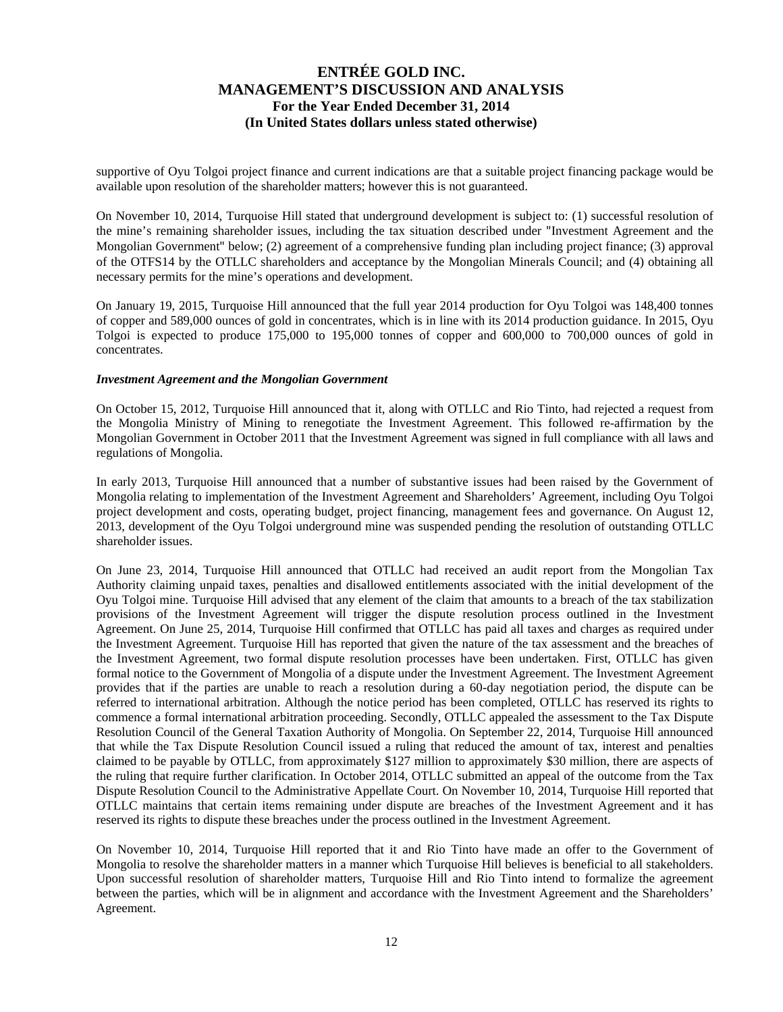supportive of Oyu Tolgoi project finance and current indications are that a suitable project financing package would be available upon resolution of the shareholder matters; however this is not guaranteed.

On November 10, 2014, Turquoise Hill stated that underground development is subject to: (1) successful resolution of the mine's remaining shareholder issues, including the tax situation described under "Investment Agreement and the Mongolian Government" below; (2) agreement of a comprehensive funding plan including project finance; (3) approval of the OTFS14 by the OTLLC shareholders and acceptance by the Mongolian Minerals Council; and (4) obtaining all necessary permits for the mine's operations and development.

On January 19, 2015, Turquoise Hill announced that the full year 2014 production for Oyu Tolgoi was 148,400 tonnes of copper and 589,000 ounces of gold in concentrates, which is in line with its 2014 production guidance. In 2015, Oyu Tolgoi is expected to produce 175,000 to 195,000 tonnes of copper and 600,000 to 700,000 ounces of gold in concentrates.

#### *Investment Agreement and the Mongolian Government*

On October 15, 2012, Turquoise Hill announced that it, along with OTLLC and Rio Tinto, had rejected a request from the Mongolia Ministry of Mining to renegotiate the Investment Agreement. This followed re-affirmation by the Mongolian Government in October 2011 that the Investment Agreement was signed in full compliance with all laws and regulations of Mongolia.

In early 2013, Turquoise Hill announced that a number of substantive issues had been raised by the Government of Mongolia relating to implementation of the Investment Agreement and Shareholders' Agreement, including Oyu Tolgoi project development and costs, operating budget, project financing, management fees and governance. On August 12, 2013, development of the Oyu Tolgoi underground mine was suspended pending the resolution of outstanding OTLLC shareholder issues.

On June 23, 2014, Turquoise Hill announced that OTLLC had received an audit report from the Mongolian Tax Authority claiming unpaid taxes, penalties and disallowed entitlements associated with the initial development of the Oyu Tolgoi mine. Turquoise Hill advised that any element of the claim that amounts to a breach of the tax stabilization provisions of the Investment Agreement will trigger the dispute resolution process outlined in the Investment Agreement. On June 25, 2014, Turquoise Hill confirmed that OTLLC has paid all taxes and charges as required under the Investment Agreement. Turquoise Hill has reported that given the nature of the tax assessment and the breaches of the Investment Agreement, two formal dispute resolution processes have been undertaken. First, OTLLC has given formal notice to the Government of Mongolia of a dispute under the Investment Agreement. The Investment Agreement provides that if the parties are unable to reach a resolution during a 60-day negotiation period, the dispute can be referred to international arbitration. Although the notice period has been completed, OTLLC has reserved its rights to commence a formal international arbitration proceeding. Secondly, OTLLC appealed the assessment to the Tax Dispute Resolution Council of the General Taxation Authority of Mongolia. On September 22, 2014, Turquoise Hill announced that while the Tax Dispute Resolution Council issued a ruling that reduced the amount of tax, interest and penalties claimed to be payable by OTLLC, from approximately \$127 million to approximately \$30 million, there are aspects of the ruling that require further clarification. In October 2014, OTLLC submitted an appeal of the outcome from the Tax Dispute Resolution Council to the Administrative Appellate Court. On November 10, 2014, Turquoise Hill reported that OTLLC maintains that certain items remaining under dispute are breaches of the Investment Agreement and it has reserved its rights to dispute these breaches under the process outlined in the Investment Agreement.

On November 10, 2014, Turquoise Hill reported that it and Rio Tinto have made an offer to the Government of Mongolia to resolve the shareholder matters in a manner which Turquoise Hill believes is beneficial to all stakeholders. Upon successful resolution of shareholder matters, Turquoise Hill and Rio Tinto intend to formalize the agreement between the parties, which will be in alignment and accordance with the Investment Agreement and the Shareholders' Agreement.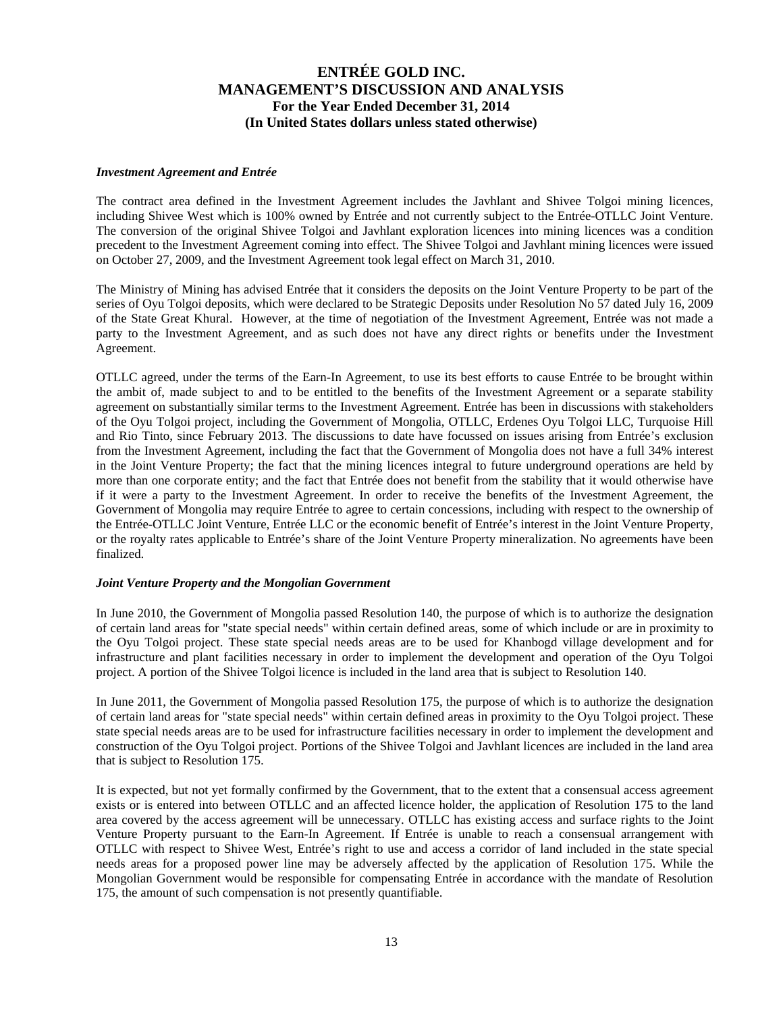#### *Investment Agreement and Entrée*

The contract area defined in the Investment Agreement includes the Javhlant and Shivee Tolgoi mining licences, including Shivee West which is 100% owned by Entrée and not currently subject to the Entrée-OTLLC Joint Venture. The conversion of the original Shivee Tolgoi and Javhlant exploration licences into mining licences was a condition precedent to the Investment Agreement coming into effect. The Shivee Tolgoi and Javhlant mining licences were issued on October 27, 2009, and the Investment Agreement took legal effect on March 31, 2010.

The Ministry of Mining has advised Entrée that it considers the deposits on the Joint Venture Property to be part of the series of Oyu Tolgoi deposits, which were declared to be Strategic Deposits under Resolution No 57 dated July 16, 2009 of the State Great Khural. However, at the time of negotiation of the Investment Agreement, Entrée was not made a party to the Investment Agreement, and as such does not have any direct rights or benefits under the Investment Agreement.

OTLLC agreed, under the terms of the Earn-In Agreement, to use its best efforts to cause Entrée to be brought within the ambit of, made subject to and to be entitled to the benefits of the Investment Agreement or a separate stability agreement on substantially similar terms to the Investment Agreement. Entrée has been in discussions with stakeholders of the Oyu Tolgoi project, including the Government of Mongolia, OTLLC, Erdenes Oyu Tolgoi LLC, Turquoise Hill and Rio Tinto, since February 2013. The discussions to date have focussed on issues arising from Entrée's exclusion from the Investment Agreement, including the fact that the Government of Mongolia does not have a full 34% interest in the Joint Venture Property; the fact that the mining licences integral to future underground operations are held by more than one corporate entity; and the fact that Entrée does not benefit from the stability that it would otherwise have if it were a party to the Investment Agreement. In order to receive the benefits of the Investment Agreement, the Government of Mongolia may require Entrée to agree to certain concessions, including with respect to the ownership of the Entrée-OTLLC Joint Venture, Entrée LLC or the economic benefit of Entrée's interest in the Joint Venture Property, or the royalty rates applicable to Entrée's share of the Joint Venture Property mineralization. No agreements have been finalized.

#### *Joint Venture Property and the Mongolian Government*

In June 2010, the Government of Mongolia passed Resolution 140, the purpose of which is to authorize the designation of certain land areas for "state special needs" within certain defined areas, some of which include or are in proximity to the Oyu Tolgoi project. These state special needs areas are to be used for Khanbogd village development and for infrastructure and plant facilities necessary in order to implement the development and operation of the Oyu Tolgoi project. A portion of the Shivee Tolgoi licence is included in the land area that is subject to Resolution 140.

In June 2011, the Government of Mongolia passed Resolution 175, the purpose of which is to authorize the designation of certain land areas for "state special needs" within certain defined areas in proximity to the Oyu Tolgoi project. These state special needs areas are to be used for infrastructure facilities necessary in order to implement the development and construction of the Oyu Tolgoi project. Portions of the Shivee Tolgoi and Javhlant licences are included in the land area that is subject to Resolution 175.

It is expected, but not yet formally confirmed by the Government, that to the extent that a consensual access agreement exists or is entered into between OTLLC and an affected licence holder, the application of Resolution 175 to the land area covered by the access agreement will be unnecessary. OTLLC has existing access and surface rights to the Joint Venture Property pursuant to the Earn-In Agreement. If Entrée is unable to reach a consensual arrangement with OTLLC with respect to Shivee West, Entrée's right to use and access a corridor of land included in the state special needs areas for a proposed power line may be adversely affected by the application of Resolution 175. While the Mongolian Government would be responsible for compensating Entrée in accordance with the mandate of Resolution 175, the amount of such compensation is not presently quantifiable.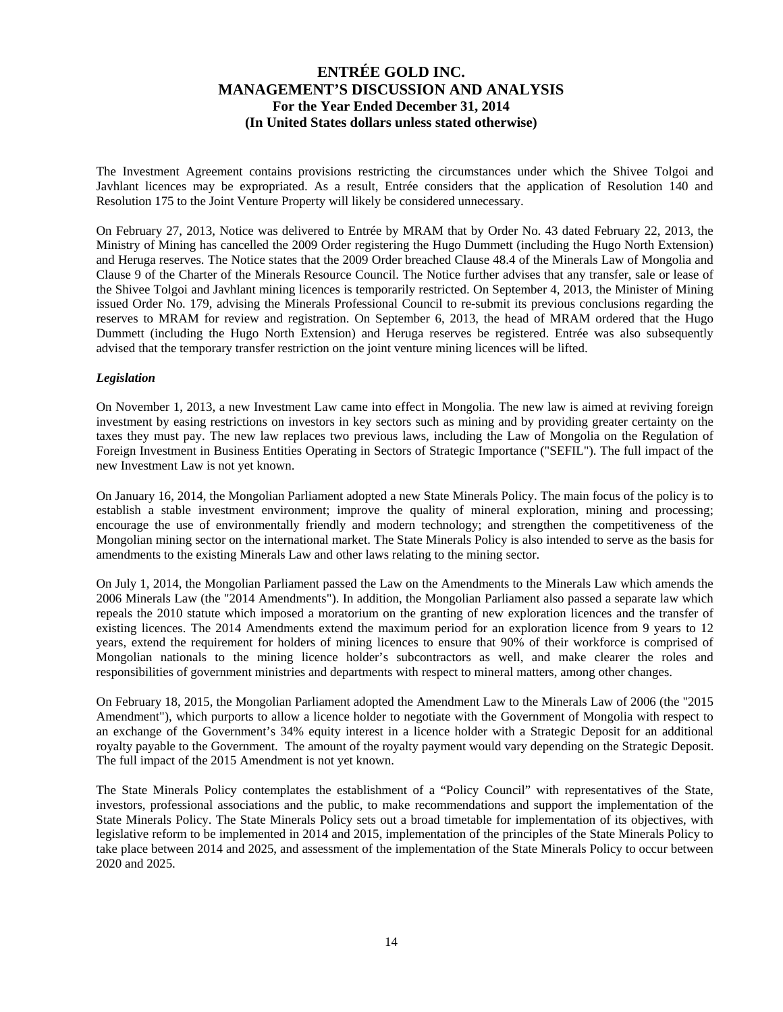The Investment Agreement contains provisions restricting the circumstances under which the Shivee Tolgoi and Javhlant licences may be expropriated. As a result, Entrée considers that the application of Resolution 140 and Resolution 175 to the Joint Venture Property will likely be considered unnecessary.

On February 27, 2013, Notice was delivered to Entrée by MRAM that by Order No. 43 dated February 22, 2013, the Ministry of Mining has cancelled the 2009 Order registering the Hugo Dummett (including the Hugo North Extension) and Heruga reserves. The Notice states that the 2009 Order breached Clause 48.4 of the Minerals Law of Mongolia and Clause 9 of the Charter of the Minerals Resource Council. The Notice further advises that any transfer, sale or lease of the Shivee Tolgoi and Javhlant mining licences is temporarily restricted. On September 4, 2013, the Minister of Mining issued Order No. 179, advising the Minerals Professional Council to re-submit its previous conclusions regarding the reserves to MRAM for review and registration. On September 6, 2013, the head of MRAM ordered that the Hugo Dummett (including the Hugo North Extension) and Heruga reserves be registered. Entrée was also subsequently advised that the temporary transfer restriction on the joint venture mining licences will be lifted.

#### *Legislation*

On November 1, 2013, a new Investment Law came into effect in Mongolia. The new law is aimed at reviving foreign investment by easing restrictions on investors in key sectors such as mining and by providing greater certainty on the taxes they must pay. The new law replaces two previous laws, including the Law of Mongolia on the Regulation of Foreign Investment in Business Entities Operating in Sectors of Strategic Importance ("SEFIL"). The full impact of the new Investment Law is not yet known.

On January 16, 2014, the Mongolian Parliament adopted a new State Minerals Policy. The main focus of the policy is to establish a stable investment environment; improve the quality of mineral exploration, mining and processing; encourage the use of environmentally friendly and modern technology; and strengthen the competitiveness of the Mongolian mining sector on the international market. The State Minerals Policy is also intended to serve as the basis for amendments to the existing Minerals Law and other laws relating to the mining sector.

On July 1, 2014, the Mongolian Parliament passed the Law on the Amendments to the Minerals Law which amends the 2006 Minerals Law (the "2014 Amendments"). In addition, the Mongolian Parliament also passed a separate law which repeals the 2010 statute which imposed a moratorium on the granting of new exploration licences and the transfer of existing licences. The 2014 Amendments extend the maximum period for an exploration licence from 9 years to 12 years, extend the requirement for holders of mining licences to ensure that 90% of their workforce is comprised of Mongolian nationals to the mining licence holder's subcontractors as well, and make clearer the roles and responsibilities of government ministries and departments with respect to mineral matters, among other changes.

On February 18, 2015, the Mongolian Parliament adopted the Amendment Law to the Minerals Law of 2006 (the "2015 Amendment"), which purports to allow a licence holder to negotiate with the Government of Mongolia with respect to an exchange of the Government's 34% equity interest in a licence holder with a Strategic Deposit for an additional royalty payable to the Government. The amount of the royalty payment would vary depending on the Strategic Deposit. The full impact of the 2015 Amendment is not yet known.

The State Minerals Policy contemplates the establishment of a "Policy Council" with representatives of the State, investors, professional associations and the public, to make recommendations and support the implementation of the State Minerals Policy. The State Minerals Policy sets out a broad timetable for implementation of its objectives, with legislative reform to be implemented in 2014 and 2015, implementation of the principles of the State Minerals Policy to take place between 2014 and 2025, and assessment of the implementation of the State Minerals Policy to occur between 2020 and 2025.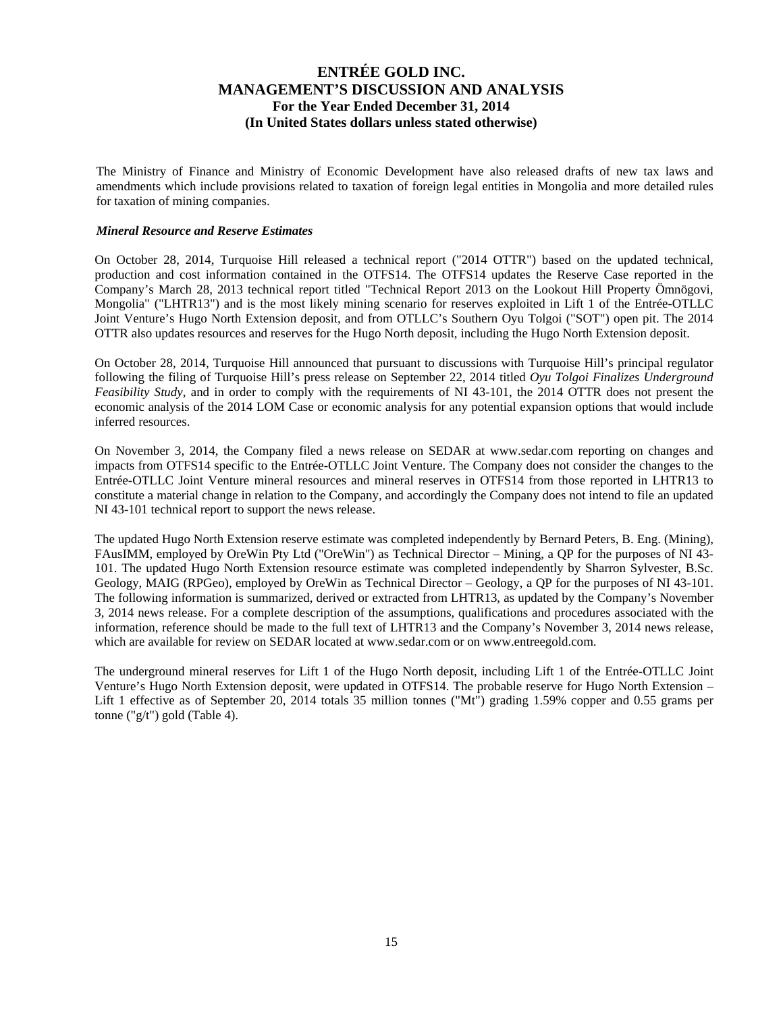The Ministry of Finance and Ministry of Economic Development have also released drafts of new tax laws and amendments which include provisions related to taxation of foreign legal entities in Mongolia and more detailed rules for taxation of mining companies.

#### *Mineral Resource and Reserve Estimates*

On October 28, 2014, Turquoise Hill released a technical report ("2014 OTTR") based on the updated technical, production and cost information contained in the OTFS14. The OTFS14 updates the Reserve Case reported in the Company's March 28, 2013 technical report titled "Technical Report 2013 on the Lookout Hill Property Ömnögovi, Mongolia" ("LHTR13") and is the most likely mining scenario for reserves exploited in Lift 1 of the Entrée-OTLLC Joint Venture's Hugo North Extension deposit, and from OTLLC's Southern Oyu Tolgoi ("SOT") open pit. The 2014 OTTR also updates resources and reserves for the Hugo North deposit, including the Hugo North Extension deposit.

On October 28, 2014, Turquoise Hill announced that pursuant to discussions with Turquoise Hill's principal regulator following the filing of Turquoise Hill's press release on September 22, 2014 titled *Oyu Tolgoi Finalizes Underground Feasibility Study*, and in order to comply with the requirements of NI 43-101, the 2014 OTTR does not present the economic analysis of the 2014 LOM Case or economic analysis for any potential expansion options that would include inferred resources.

On November 3, 2014, the Company filed a news release on SEDAR at www.sedar.com reporting on changes and impacts from OTFS14 specific to the Entrée-OTLLC Joint Venture. The Company does not consider the changes to the Entrée-OTLLC Joint Venture mineral resources and mineral reserves in OTFS14 from those reported in LHTR13 to constitute a material change in relation to the Company, and accordingly the Company does not intend to file an updated NI 43-101 technical report to support the news release.

The updated Hugo North Extension reserve estimate was completed independently by Bernard Peters, B. Eng. (Mining), FAusIMM, employed by OreWin Pty Ltd ("OreWin") as Technical Director – Mining, a QP for the purposes of NI 43- 101. The updated Hugo North Extension resource estimate was completed independently by Sharron Sylvester, B.Sc. Geology, MAIG (RPGeo), employed by OreWin as Technical Director – Geology, a QP for the purposes of NI 43-101. The following information is summarized, derived or extracted from LHTR13, as updated by the Company's November 3, 2014 news release. For a complete description of the assumptions, qualifications and procedures associated with the information, reference should be made to the full text of LHTR13 and the Company's November 3, 2014 news release, which are available for review on SEDAR located at www.sedar.com or on www.entreegold.com.

The underground mineral reserves for Lift 1 of the Hugo North deposit, including Lift 1 of the Entrée-OTLLC Joint Venture's Hugo North Extension deposit, were updated in OTFS14. The probable reserve for Hugo North Extension – Lift 1 effective as of September 20, 2014 totals 35 million tonnes ("Mt") grading 1.59% copper and 0.55 grams per tonne ("g/t") gold (Table 4).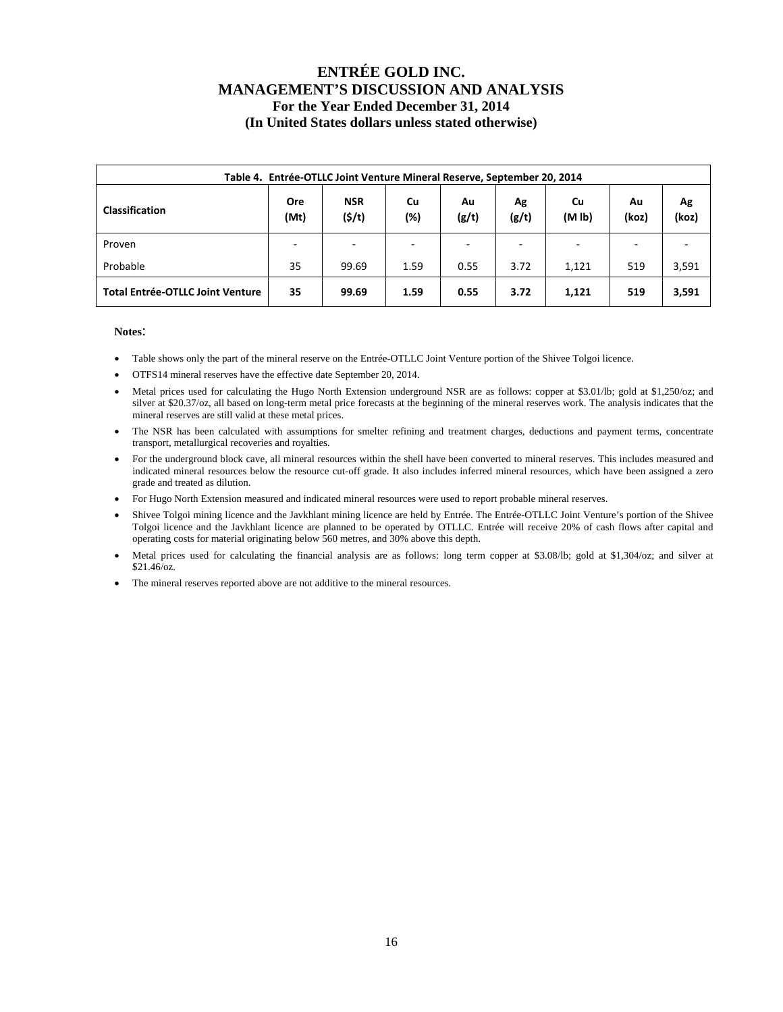| Table 4. Entrée-OTLLC Joint Venture Mineral Reserve, September 20, 2014                                                                                                 |                                                              |                          |                          |      |      |       |     |       |  |  |  |
|-------------------------------------------------------------------------------------------------------------------------------------------------------------------------|--------------------------------------------------------------|--------------------------|--------------------------|------|------|-------|-----|-------|--|--|--|
| <b>NSR</b><br>Cu<br><b>Ore</b><br>Ag<br>Cu<br>Ag<br>Au<br>Au<br><b>Classification</b><br>(koz)<br>(5/t)<br>(g/t)<br>(%)<br>(g/t)<br>(M <sub>1b</sub> )<br>(Mt)<br>(koz) |                                                              |                          |                          |      |      |       |     |       |  |  |  |
| Proven                                                                                                                                                                  |                                                              | $\overline{\phantom{a}}$ | $\overline{\phantom{0}}$ |      |      |       |     |       |  |  |  |
| Probable                                                                                                                                                                | 35                                                           | 99.69                    | 1.59                     | 0.55 | 3.72 | 1,121 | 519 | 3,591 |  |  |  |
| <b>Total Entrée-OTLLC Joint Venture</b>                                                                                                                                 | 35<br>3.72<br>519<br>3,591<br>99.69<br>0.55<br>1.59<br>1,121 |                          |                          |      |      |       |     |       |  |  |  |

#### **Notes**:

- Table shows only the part of the mineral reserve on the Entrée-OTLLC Joint Venture portion of the Shivee Tolgoi licence.
- OTFS14 mineral reserves have the effective date September 20, 2014.
- Metal prices used for calculating the Hugo North Extension underground NSR are as follows: copper at \$3.01/lb; gold at \$1,250/oz; and silver at \$20.37/oz, all based on long-term metal price forecasts at the beginning of the mineral reserves work. The analysis indicates that the mineral reserves are still valid at these metal prices.
- The NSR has been calculated with assumptions for smelter refining and treatment charges, deductions and payment terms, concentrate transport, metallurgical recoveries and royalties.
- For the underground block cave, all mineral resources within the shell have been converted to mineral reserves. This includes measured and indicated mineral resources below the resource cut-off grade. It also includes inferred mineral resources, which have been assigned a zero grade and treated as dilution.
- For Hugo North Extension measured and indicated mineral resources were used to report probable mineral reserves.
- Shivee Tolgoi mining licence and the Javkhlant mining licence are held by Entrée. The Entrée-OTLLC Joint Venture's portion of the Shivee Tolgoi licence and the Javkhlant licence are planned to be operated by OTLLC. Entrée will receive 20% of cash flows after capital and operating costs for material originating below 560 metres, and 30% above this depth.
- Metal prices used for calculating the financial analysis are as follows: long term copper at \$3.08/lb; gold at \$1,304/oz; and silver at \$21.46/oz.
- The mineral reserves reported above are not additive to the mineral resources.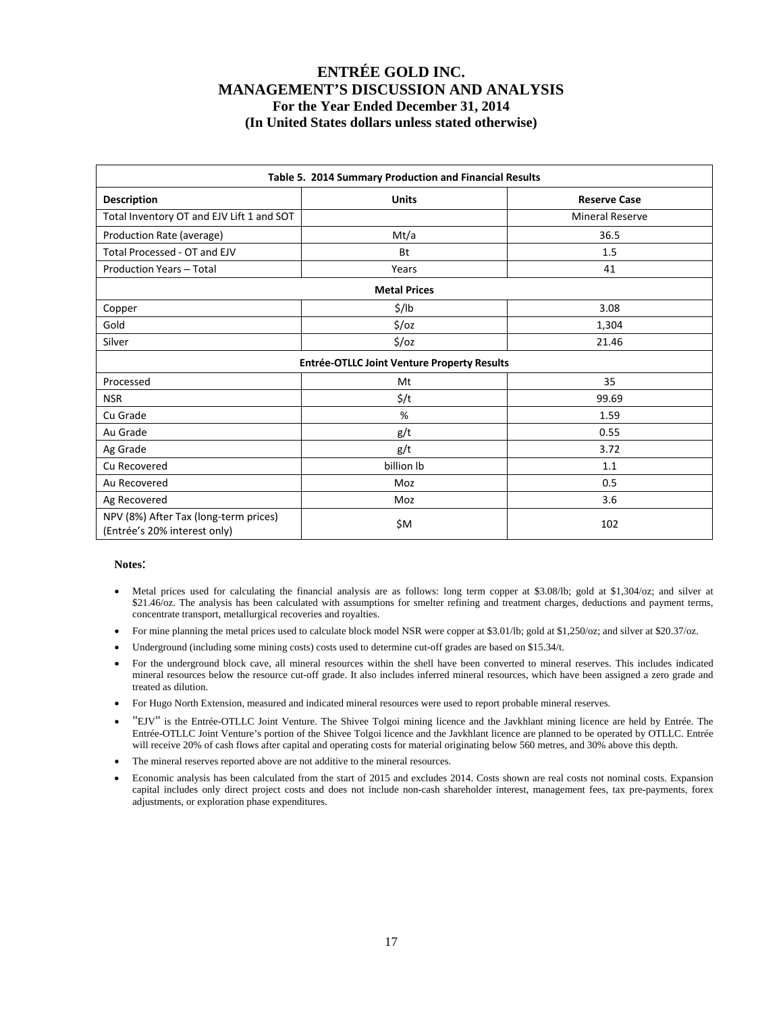| Table 5. 2014 Summary Production and Financial Results                |                                             |                     |  |  |  |  |  |  |  |
|-----------------------------------------------------------------------|---------------------------------------------|---------------------|--|--|--|--|--|--|--|
| <b>Description</b>                                                    | <b>Units</b>                                | <b>Reserve Case</b> |  |  |  |  |  |  |  |
| Total Inventory OT and EJV Lift 1 and SOT                             |                                             | Mineral Reserve     |  |  |  |  |  |  |  |
| Production Rate (average)                                             | Mt/a                                        | 36.5                |  |  |  |  |  |  |  |
| Total Processed - OT and EJV                                          | Bt                                          | 1.5                 |  |  |  |  |  |  |  |
| Production Years - Total                                              | Years                                       | 41                  |  |  |  |  |  |  |  |
|                                                                       | <b>Metal Prices</b>                         |                     |  |  |  |  |  |  |  |
| Copper                                                                | $\frac{1}{2}$ /lb                           | 3.08                |  |  |  |  |  |  |  |
| Gold                                                                  | $\frac{2}{3}$ /oz                           | 1,304               |  |  |  |  |  |  |  |
| Silver                                                                | $\frac{1}{2}$ /oz                           | 21.46               |  |  |  |  |  |  |  |
|                                                                       | Entrée-OTLLC Joint Venture Property Results |                     |  |  |  |  |  |  |  |
| Processed                                                             | Mt                                          | 35                  |  |  |  |  |  |  |  |
| <b>NSR</b>                                                            | $\frac{2}{3}$ /t                            | 99.69               |  |  |  |  |  |  |  |
| Cu Grade                                                              | %                                           | 1.59                |  |  |  |  |  |  |  |
| Au Grade                                                              | g/t                                         | 0.55                |  |  |  |  |  |  |  |
| Ag Grade                                                              | g/t                                         | 3.72                |  |  |  |  |  |  |  |
| Cu Recovered                                                          | billion lb                                  | 1.1                 |  |  |  |  |  |  |  |
| Au Recovered                                                          | Moz                                         | 0.5                 |  |  |  |  |  |  |  |
| Ag Recovered                                                          | Moz                                         | 3.6                 |  |  |  |  |  |  |  |
| NPV (8%) After Tax (long-term prices)<br>(Entrée's 20% interest only) | \$M                                         | 102                 |  |  |  |  |  |  |  |

#### **Notes**:

- Metal prices used for calculating the financial analysis are as follows: long term copper at \$3.08/lb; gold at \$1,304/oz; and silver at \$21.46/oz. The analysis has been calculated with assumptions for smelter refining and treatment charges, deductions and payment terms, concentrate transport, metallurgical recoveries and royalties.
- For mine planning the metal prices used to calculate block model NSR were copper at \$3.01/lb; gold at \$1,250/oz; and silver at \$20.37/oz.
- Underground (including some mining costs) costs used to determine cut-off grades are based on \$15.34/t.
- For the underground block cave, all mineral resources within the shell have been converted to mineral reserves. This includes indicated mineral resources below the resource cut-off grade. It also includes inferred mineral resources, which have been assigned a zero grade and treated as dilution.
- For Hugo North Extension, measured and indicated mineral resources were used to report probable mineral reserves.
- "EJV" is the Entrée-OTLLC Joint Venture. The Shivee Tolgoi mining licence and the Javkhlant mining licence are held by Entrée. The Entrée-OTLLC Joint Venture's portion of the Shivee Tolgoi licence and the Javkhlant licence are planned to be operated by OTLLC. Entrée will receive 20% of cash flows after capital and operating costs for material originating below 560 metres, and 30% above this depth.
- The mineral reserves reported above are not additive to the mineral resources.
- Economic analysis has been calculated from the start of 2015 and excludes 2014. Costs shown are real costs not nominal costs. Expansion capital includes only direct project costs and does not include non-cash shareholder interest, management fees, tax pre-payments, forex adjustments, or exploration phase expenditures.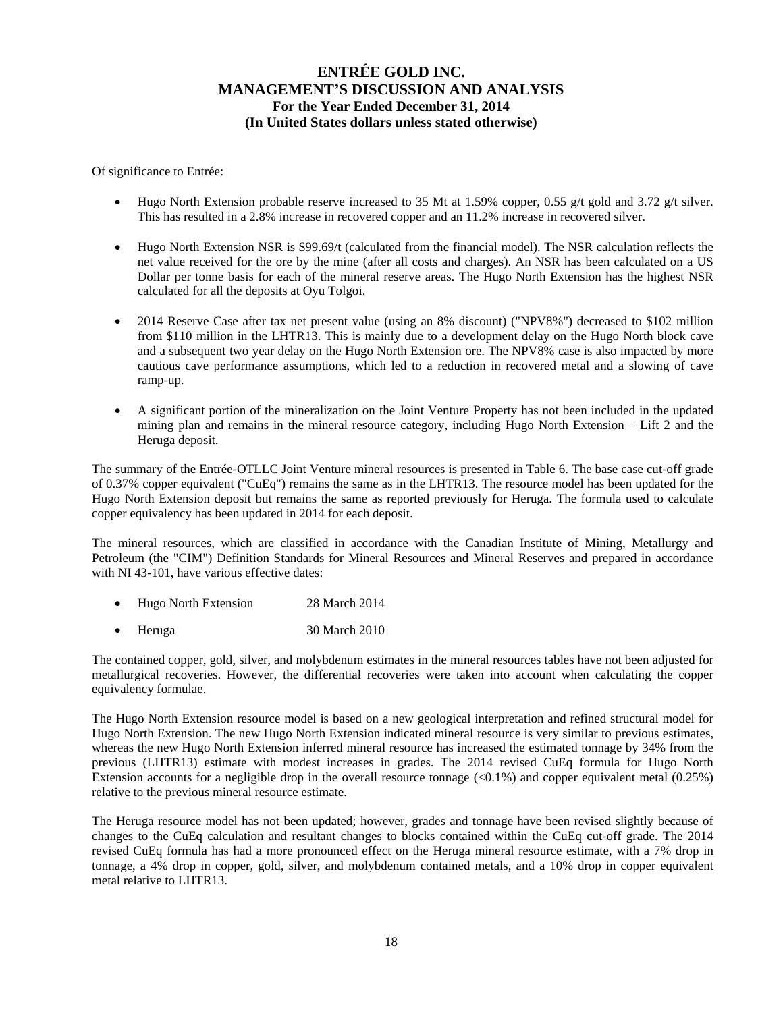Of significance to Entrée:

- Hugo North Extension probable reserve increased to 35 Mt at 1.59% copper, 0.55 g/t gold and 3.72 g/t silver. This has resulted in a 2.8% increase in recovered copper and an 11.2% increase in recovered silver.
- Hugo North Extension NSR is \$99.69/t (calculated from the financial model). The NSR calculation reflects the net value received for the ore by the mine (after all costs and charges). An NSR has been calculated on a US Dollar per tonne basis for each of the mineral reserve areas. The Hugo North Extension has the highest NSR calculated for all the deposits at Oyu Tolgoi.
- 2014 Reserve Case after tax net present value (using an 8% discount) ("NPV8%") decreased to \$102 million from \$110 million in the LHTR13. This is mainly due to a development delay on the Hugo North block cave and a subsequent two year delay on the Hugo North Extension ore. The NPV8% case is also impacted by more cautious cave performance assumptions, which led to a reduction in recovered metal and a slowing of cave ramp-up.
- A significant portion of the mineralization on the Joint Venture Property has not been included in the updated mining plan and remains in the mineral resource category, including Hugo North Extension – Lift 2 and the Heruga deposit.

The summary of the Entrée-OTLLC Joint Venture mineral resources is presented in Table 6. The base case cut-off grade of 0.37% copper equivalent ("CuEq") remains the same as in the LHTR13. The resource model has been updated for the Hugo North Extension deposit but remains the same as reported previously for Heruga. The formula used to calculate copper equivalency has been updated in 2014 for each deposit.

The mineral resources, which are classified in accordance with the Canadian Institute of Mining, Metallurgy and Petroleum (the "CIM") Definition Standards for Mineral Resources and Mineral Reserves and prepared in accordance with NI 43-101, have various effective dates:

- Hugo North Extension 28 March 2014
- Heruga 30 March 2010

The contained copper, gold, silver, and molybdenum estimates in the mineral resources tables have not been adjusted for metallurgical recoveries. However, the differential recoveries were taken into account when calculating the copper equivalency formulae.

The Hugo North Extension resource model is based on a new geological interpretation and refined structural model for Hugo North Extension. The new Hugo North Extension indicated mineral resource is very similar to previous estimates, whereas the new Hugo North Extension inferred mineral resource has increased the estimated tonnage by 34% from the previous (LHTR13) estimate with modest increases in grades. The 2014 revised CuEq formula for Hugo North Extension accounts for a negligible drop in the overall resource tonnage  $\langle 0.1\% \rangle$  and copper equivalent metal  $(0.25\%)$ relative to the previous mineral resource estimate.

The Heruga resource model has not been updated; however, grades and tonnage have been revised slightly because of changes to the CuEq calculation and resultant changes to blocks contained within the CuEq cut-off grade. The 2014 revised CuEq formula has had a more pronounced effect on the Heruga mineral resource estimate, with a 7% drop in tonnage, a 4% drop in copper, gold, silver, and molybdenum contained metals, and a 10% drop in copper equivalent metal relative to LHTR13.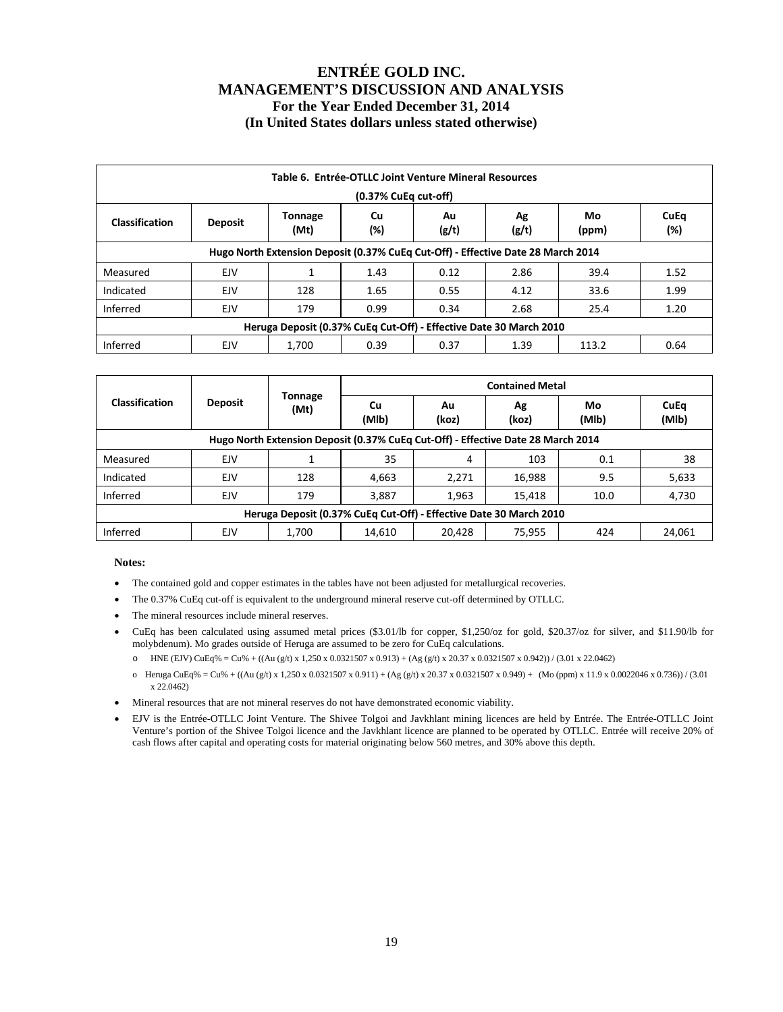| Table 6. Entrée-OTLLC Joint Venture Mineral Resources<br>$(0.37%$ CuEq cut-off)                                                                          |                                                                    |       |      |      |      |       |      |  |  |  |
|----------------------------------------------------------------------------------------------------------------------------------------------------------|--------------------------------------------------------------------|-------|------|------|------|-------|------|--|--|--|
| <b>CuEq</b><br>Ag<br><b>Tonnage</b><br><b>Cu</b><br>Au<br>Mo<br><b>Classification</b><br><b>Deposit</b><br>(%)<br>(g/t)<br>(%)<br>(Mt)<br>(g/t)<br>(ppm) |                                                                    |       |      |      |      |       |      |  |  |  |
| Hugo North Extension Deposit (0.37% CuEq Cut-Off) - Effective Date 28 March 2014                                                                         |                                                                    |       |      |      |      |       |      |  |  |  |
| Measured                                                                                                                                                 | EJV                                                                |       | 1.43 | 0.12 | 2.86 | 39.4  | 1.52 |  |  |  |
| Indicated                                                                                                                                                | EJV                                                                | 128   | 1.65 | 0.55 | 4.12 | 33.6  | 1.99 |  |  |  |
| Inferred                                                                                                                                                 | EJV                                                                | 179   | 0.99 | 0.34 | 2.68 | 25.4  | 1.20 |  |  |  |
|                                                                                                                                                          | Heruga Deposit (0.37% CuEq Cut-Off) - Effective Date 30 March 2010 |       |      |      |      |       |      |  |  |  |
| Inferred                                                                                                                                                 | EJV                                                                | 1,700 | 0.39 | 0.37 | 1.39 | 113.2 | 0.64 |  |  |  |

| <b>Classification</b> |                |                        |                                                                                  |             | <b>Contained Metal</b>                                             |             |               |  |  |
|-----------------------|----------------|------------------------|----------------------------------------------------------------------------------|-------------|--------------------------------------------------------------------|-------------|---------------|--|--|
|                       | <b>Deposit</b> | <b>Tonnage</b><br>(Mt) | Cu<br>(MIb)                                                                      | Au<br>(koz) |                                                                    | Mo<br>(MIb) | CuEq<br>(MIb) |  |  |
|                       |                |                        | Hugo North Extension Deposit (0.37% CuEq Cut-Off) - Effective Date 28 March 2014 |             |                                                                    |             |               |  |  |
| Measured              | EJV            |                        | 35                                                                               | 4           | 103                                                                | 0.1         | 38            |  |  |
| Indicated             | EJV            | 128                    | 4,663                                                                            | 2,271       | 16,988                                                             | 9.5         | 5,633         |  |  |
| Inferred              | EJV            | 179                    | 3,887                                                                            | 1,963       | 15,418                                                             | 10.0        | 4,730         |  |  |
|                       |                |                        |                                                                                  |             | Heruga Deposit (0.37% CuEq Cut-Off) - Effective Date 30 March 2010 |             |               |  |  |
| Inferred              | EJV            | 1,700                  | 14,610                                                                           | 20,428      | 75.955                                                             | 424         | 24,061        |  |  |

#### **Notes:**

- The contained gold and copper estimates in the tables have not been adjusted for metallurgical recoveries.
- The 0.37% CuEq cut-off is equivalent to the underground mineral reserve cut-off determined by OTLLC.
- The mineral resources include mineral reserves.
- CuEq has been calculated using assumed metal prices (\$3.01/lb for copper, \$1,250/oz for gold, \$20.37/oz for silver, and \$11.90/lb for molybdenum). Mo grades outside of Heruga are assumed to be zero for CuEq calculations.
	- o HNE (EJV) CuEq% = Cu% + ((Au (g/t) x 1,250 x 0.0321507 x 0.913) + (Ag (g/t) x 20.37 x 0.0321507 x 0.942)) / (3.01 x 22.0462)
	- o Heruga CuEq% = Cu% + ((Au (g/t) x 1,250 x 0.0321507 x 0.911) + (Ag (g/t) x 20.37 x 0.0321507 x 0.949) + (Mo (ppm) x 11.9 x 0.0022046 x 0.736)) / (3.01 x 22.0462)
- Mineral resources that are not mineral reserves do not have demonstrated economic viability.
- EJV is the Entrée-OTLLC Joint Venture. The Shivee Tolgoi and Javkhlant mining licences are held by Entrée. The Entrée-OTLLC Joint Venture's portion of the Shivee Tolgoi licence and the Javkhlant licence are planned to be operated by OTLLC. Entrée will receive 20% of cash flows after capital and operating costs for material originating below 560 metres, and 30% above this depth.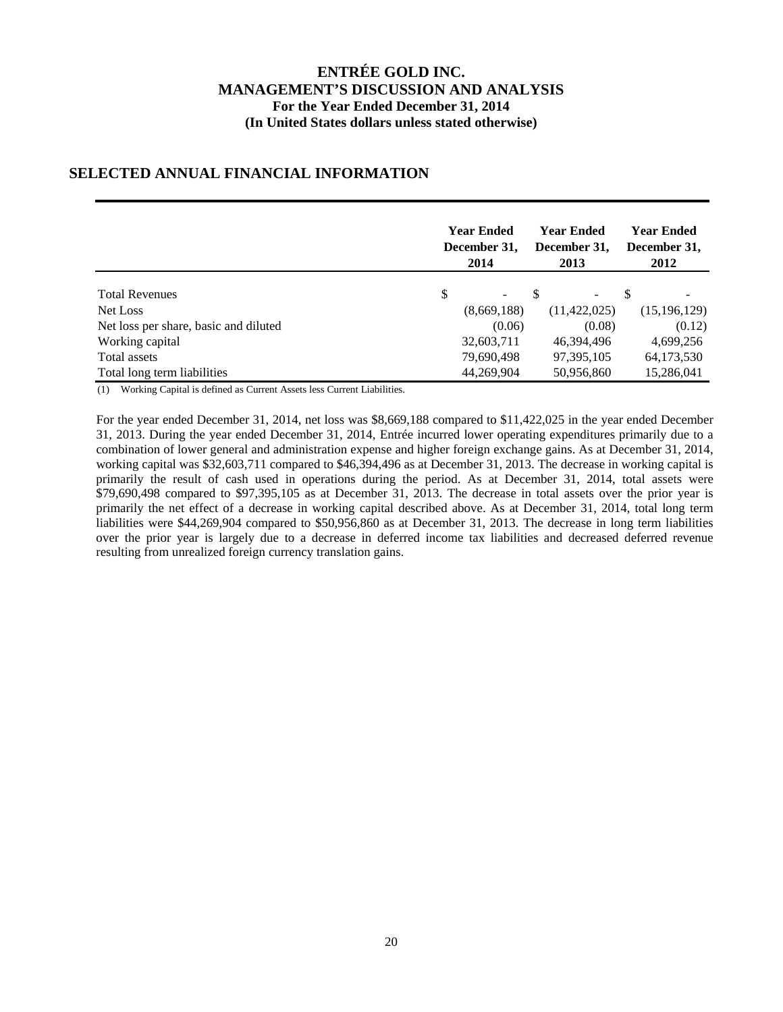# **SELECTED ANNUAL FINANCIAL INFORMATION**

|                                       |   | <b>Year Ended</b><br>December 31,<br>2014 | Year Ended<br>December 31,<br>2013 | <b>Year Ended</b><br>December 31,<br>2012 |
|---------------------------------------|---|-------------------------------------------|------------------------------------|-------------------------------------------|
| <b>Total Revenues</b>                 | S |                                           |                                    |                                           |
| Net Loss                              |   | (8,669,188)                               | (11, 422, 025)                     | (15, 196, 129)                            |
| Net loss per share, basic and diluted |   | (0.06)                                    | (0.08)                             | (0.12)                                    |
| Working capital                       |   | 32,603,711                                | 46,394,496                         | 4,699,256                                 |
| Total assets                          |   | 79,690,498                                | 97, 395, 105                       | 64,173,530                                |
| Total long term liabilities           |   | 44,269,904                                | 50,956,860                         | 15,286,041                                |

(1) Working Capital is defined as Current Assets less Current Liabilities.

For the year ended December 31, 2014, net loss was \$8,669,188 compared to \$11,422,025 in the year ended December 31, 2013. During the year ended December 31, 2014, Entrée incurred lower operating expenditures primarily due to a combination of lower general and administration expense and higher foreign exchange gains. As at December 31, 2014, working capital was \$32,603,711 compared to \$46,394,496 as at December 31, 2013. The decrease in working capital is primarily the result of cash used in operations during the period. As at December 31, 2014, total assets were \$79,690,498 compared to \$97,395,105 as at December 31, 2013. The decrease in total assets over the prior year is primarily the net effect of a decrease in working capital described above. As at December 31, 2014, total long term liabilities were \$44,269,904 compared to \$50,956,860 as at December 31, 2013. The decrease in long term liabilities over the prior year is largely due to a decrease in deferred income tax liabilities and decreased deferred revenue resulting from unrealized foreign currency translation gains.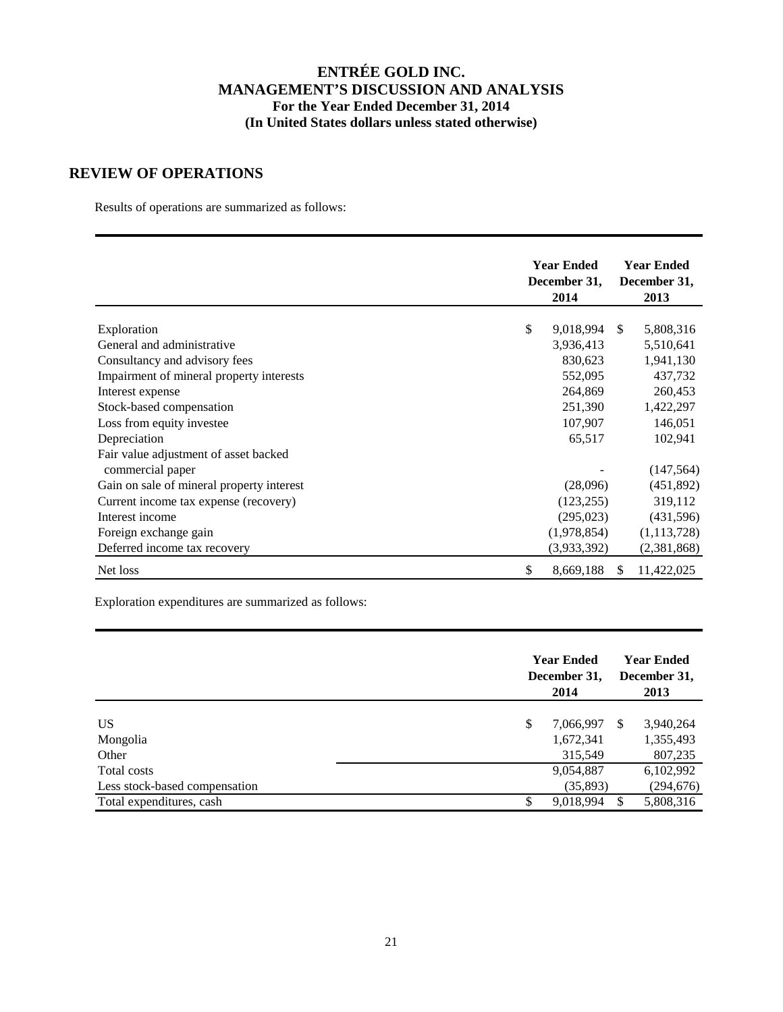### **REVIEW OF OPERATIONS**

Results of operations are summarized as follows:

|                                           | <b>Year Ended</b><br>December 31,<br>2014 |              |               |  |
|-------------------------------------------|-------------------------------------------|--------------|---------------|--|
| Exploration                               | \$<br>9,018,994                           | <sup>S</sup> | 5,808,316     |  |
| General and administrative                | 3,936,413                                 |              | 5,510,641     |  |
| Consultancy and advisory fees             | 830,623                                   |              | 1,941,130     |  |
| Impairment of mineral property interests  | 552,095                                   |              | 437,732       |  |
| Interest expense                          | 264,869                                   |              | 260,453       |  |
| Stock-based compensation                  | 251,390                                   |              | 1,422,297     |  |
| Loss from equity investee                 | 107,907                                   |              | 146,051       |  |
| Depreciation                              | 65,517                                    |              | 102,941       |  |
| Fair value adjustment of asset backed     |                                           |              |               |  |
| commercial paper                          |                                           |              | (147, 564)    |  |
| Gain on sale of mineral property interest | (28,096)                                  |              | (451,892)     |  |
| Current income tax expense (recovery)     | (123, 255)                                |              | 319,112       |  |
| Interest income                           | (295, 023)                                |              | (431,596)     |  |
| Foreign exchange gain                     | (1,978,854)                               |              | (1, 113, 728) |  |
| Deferred income tax recovery              | (3,933,392)                               |              | (2,381,868)   |  |
| Net loss                                  | \$<br>8,669,188                           | <sup>S</sup> | 11,422,025    |  |

Exploration expenditures are summarized as follows:

|                               | <b>Year Ended</b><br>December 31,<br>2014 | <b>Year Ended</b><br>December 31,<br>2013 |
|-------------------------------|-------------------------------------------|-------------------------------------------|
| <b>US</b><br>Mongolia         | \$<br>7,066,997<br>1,672,341              | 3,940,264<br>\$.<br>1,355,493             |
| Other                         | 315,549                                   | 807,235                                   |
| Total costs                   | 9,054,887                                 | 6,102,992                                 |
| Less stock-based compensation | (35,893)                                  | (294, 676)                                |
| Total expenditures, cash      | 9,018,994                                 | 5,808,316                                 |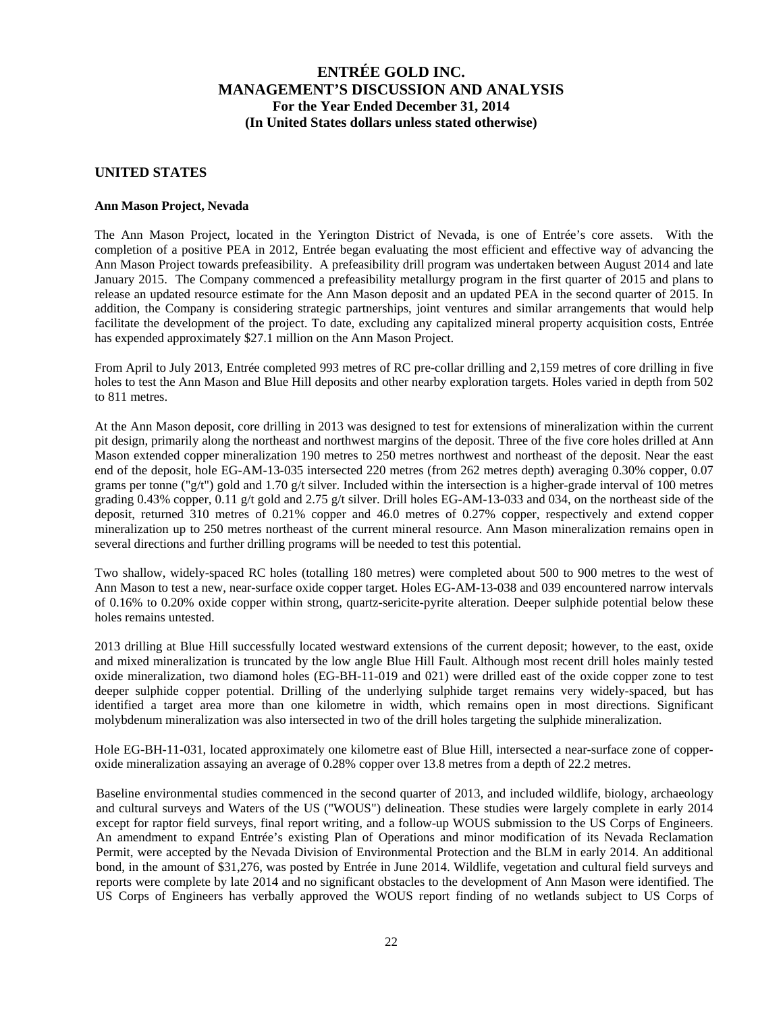#### **UNITED STATES**

#### **Ann Mason Project, Nevada**

The Ann Mason Project, located in the Yerington District of Nevada, is one of Entrée's core assets. With the completion of a positive PEA in 2012, Entrée began evaluating the most efficient and effective way of advancing the Ann Mason Project towards prefeasibility. A prefeasibility drill program was undertaken between August 2014 and late January 2015. The Company commenced a prefeasibility metallurgy program in the first quarter of 2015 and plans to release an updated resource estimate for the Ann Mason deposit and an updated PEA in the second quarter of 2015. In addition, the Company is considering strategic partnerships, joint ventures and similar arrangements that would help facilitate the development of the project. To date, excluding any capitalized mineral property acquisition costs, Entrée has expended approximately \$27.1 million on the Ann Mason Project.

From April to July 2013, Entrée completed 993 metres of RC pre-collar drilling and 2,159 metres of core drilling in five holes to test the Ann Mason and Blue Hill deposits and other nearby exploration targets. Holes varied in depth from 502 to 811 metres.

At the Ann Mason deposit, core drilling in 2013 was designed to test for extensions of mineralization within the current pit design, primarily along the northeast and northwest margins of the deposit. Three of the five core holes drilled at Ann Mason extended copper mineralization 190 metres to 250 metres northwest and northeast of the deposit. Near the east end of the deposit, hole EG-AM-13-035 intersected 220 metres (from 262 metres depth) averaging 0.30% copper, 0.07 grams per tonne ("g/t") gold and 1.70 g/t silver. Included within the intersection is a higher-grade interval of 100 metres grading 0.43% copper, 0.11 g/t gold and 2.75 g/t silver. Drill holes EG-AM-13-033 and 034, on the northeast side of the deposit, returned 310 metres of 0.21% copper and 46.0 metres of 0.27% copper, respectively and extend copper mineralization up to 250 metres northeast of the current mineral resource. Ann Mason mineralization remains open in several directions and further drilling programs will be needed to test this potential.

Two shallow, widely-spaced RC holes (totalling 180 metres) were completed about 500 to 900 metres to the west of Ann Mason to test a new, near-surface oxide copper target. Holes EG-AM-13-038 and 039 encountered narrow intervals of 0.16% to 0.20% oxide copper within strong, quartz-sericite-pyrite alteration. Deeper sulphide potential below these holes remains untested.

2013 drilling at Blue Hill successfully located westward extensions of the current deposit; however, to the east, oxide and mixed mineralization is truncated by the low angle Blue Hill Fault. Although most recent drill holes mainly tested oxide mineralization, two diamond holes (EG-BH-11-019 and 021) were drilled east of the oxide copper zone to test deeper sulphide copper potential. Drilling of the underlying sulphide target remains very widely-spaced, but has identified a target area more than one kilometre in width, which remains open in most directions. Significant molybdenum mineralization was also intersected in two of the drill holes targeting the sulphide mineralization.

Hole EG-BH-11-031, located approximately one kilometre east of Blue Hill, intersected a near-surface zone of copperoxide mineralization assaying an average of 0.28% copper over 13.8 metres from a depth of 22.2 metres.

Baseline environmental studies commenced in the second quarter of 2013, and included wildlife, biology, archaeology and cultural surveys and Waters of the US ("WOUS") delineation. These studies were largely complete in early 2014 except for raptor field surveys, final report writing, and a follow-up WOUS submission to the US Corps of Engineers. An amendment to expand Entrée's existing Plan of Operations and minor modification of its Nevada Reclamation Permit, were accepted by the Nevada Division of Environmental Protection and the BLM in early 2014. An additional bond, in the amount of \$31,276, was posted by Entrée in June 2014. Wildlife, vegetation and cultural field surveys and reports were complete by late 2014 and no significant obstacles to the development of Ann Mason were identified. The US Corps of Engineers has verbally approved the WOUS report finding of no wetlands subject to US Corps of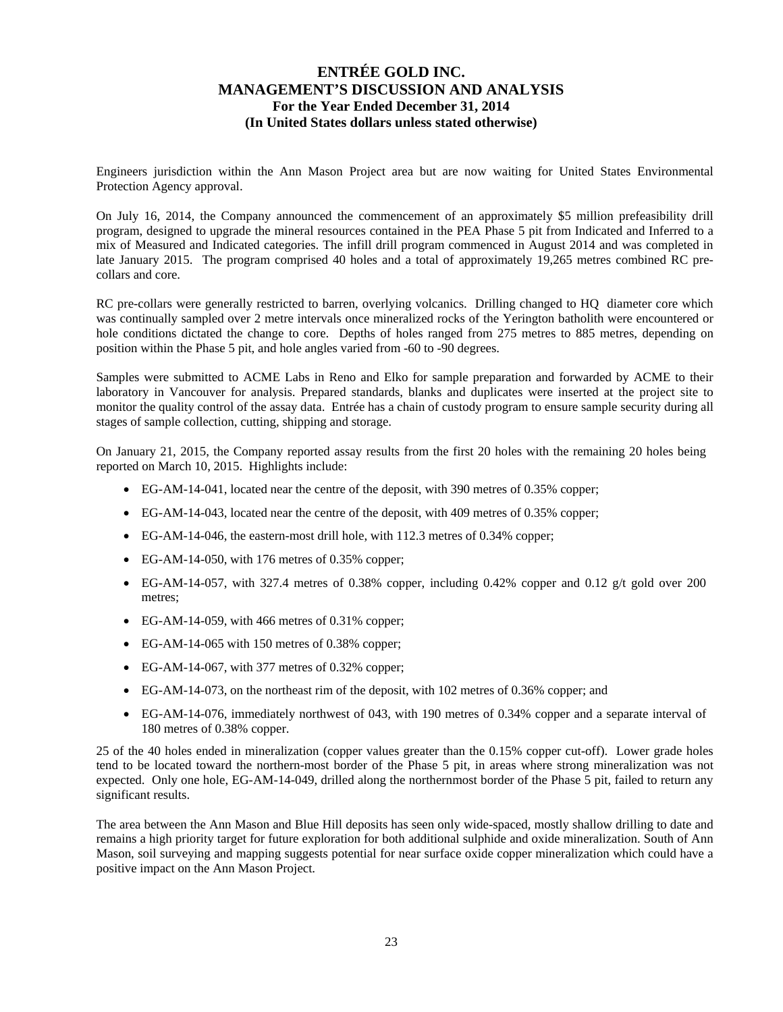Engineers jurisdiction within the Ann Mason Project area but are now waiting for United States Environmental Protection Agency approval.

On July 16, 2014, the Company announced the commencement of an approximately \$5 million prefeasibility drill program, designed to upgrade the mineral resources contained in the PEA Phase 5 pit from Indicated and Inferred to a mix of Measured and Indicated categories. The infill drill program commenced in August 2014 and was completed in late January 2015. The program comprised 40 holes and a total of approximately 19,265 metres combined RC precollars and core.

RC pre-collars were generally restricted to barren, overlying volcanics. Drilling changed to HQ diameter core which was continually sampled over 2 metre intervals once mineralized rocks of the Yerington batholith were encountered or hole conditions dictated the change to core. Depths of holes ranged from 275 metres to 885 metres, depending on position within the Phase 5 pit, and hole angles varied from -60 to -90 degrees.

Samples were submitted to ACME Labs in Reno and Elko for sample preparation and forwarded by ACME to their laboratory in Vancouver for analysis. Prepared standards, blanks and duplicates were inserted at the project site to monitor the quality control of the assay data. Entrée has a chain of custody program to ensure sample security during all stages of sample collection, cutting, shipping and storage.

On January 21, 2015, the Company reported assay results from the first 20 holes with the remaining 20 holes being reported on March 10, 2015. Highlights include:

- EG-AM-14-041, located near the centre of the deposit, with 390 metres of 0.35% copper;
- EG-AM-14-043, located near the centre of the deposit, with 409 metres of 0.35% copper;
- EG-AM-14-046, the eastern-most drill hole, with 112.3 metres of 0.34% copper;
- EG-AM-14-050, with 176 metres of 0.35% copper;
- $\bullet$  EG-AM-14-057, with 327.4 metres of 0.38% copper, including 0.42% copper and 0.12 g/t gold over 200 metres;
- EG-AM-14-059, with 466 metres of 0.31% copper;
- EG-AM-14-065 with 150 metres of 0.38% copper;
- EG-AM-14-067, with 377 metres of 0.32% copper;
- EG-AM-14-073, on the northeast rim of the deposit, with 102 metres of 0.36% copper; and
- EG-AM-14-076, immediately northwest of 043, with 190 metres of 0.34% copper and a separate interval of 180 metres of 0.38% copper.

25 of the 40 holes ended in mineralization (copper values greater than the 0.15% copper cut-off). Lower grade holes tend to be located toward the northern-most border of the Phase 5 pit, in areas where strong mineralization was not expected. Only one hole, EG-AM-14-049, drilled along the northernmost border of the Phase 5 pit, failed to return any significant results.

The area between the Ann Mason and Blue Hill deposits has seen only wide-spaced, mostly shallow drilling to date and remains a high priority target for future exploration for both additional sulphide and oxide mineralization. South of Ann Mason, soil surveying and mapping suggests potential for near surface oxide copper mineralization which could have a positive impact on the Ann Mason Project.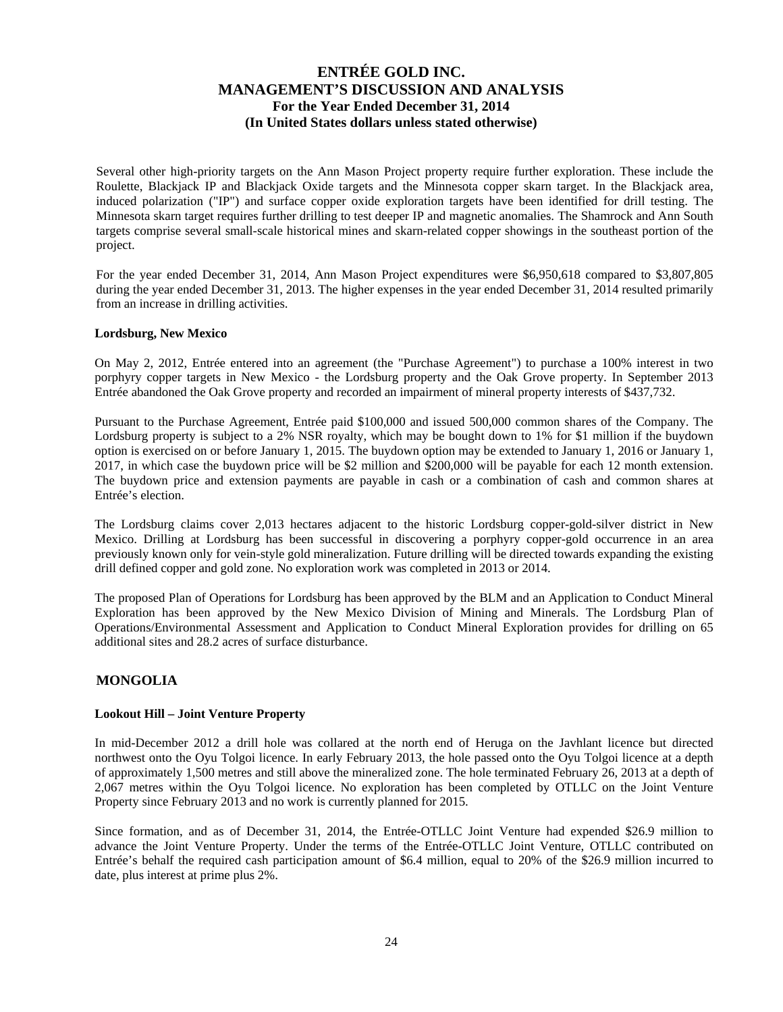Several other high-priority targets on the Ann Mason Project property require further exploration. These include the Roulette, Blackjack IP and Blackjack Oxide targets and the Minnesota copper skarn target. In the Blackjack area, induced polarization ("IP") and surface copper oxide exploration targets have been identified for drill testing. The Minnesota skarn target requires further drilling to test deeper IP and magnetic anomalies. The Shamrock and Ann South targets comprise several small-scale historical mines and skarn-related copper showings in the southeast portion of the project.

For the year ended December 31, 2014, Ann Mason Project expenditures were \$6,950,618 compared to \$3,807,805 during the year ended December 31, 2013. The higher expenses in the year ended December 31, 2014 resulted primarily from an increase in drilling activities.

#### **Lordsburg, New Mexico**

On May 2, 2012, Entrée entered into an agreement (the "Purchase Agreement") to purchase a 100% interest in two porphyry copper targets in New Mexico - the Lordsburg property and the Oak Grove property. In September 2013 Entrée abandoned the Oak Grove property and recorded an impairment of mineral property interests of \$437,732.

Pursuant to the Purchase Agreement, Entrée paid \$100,000 and issued 500,000 common shares of the Company. The Lordsburg property is subject to a 2% NSR royalty, which may be bought down to 1% for \$1 million if the buydown option is exercised on or before January 1, 2015. The buydown option may be extended to January 1, 2016 or January 1, 2017, in which case the buydown price will be \$2 million and \$200,000 will be payable for each 12 month extension. The buydown price and extension payments are payable in cash or a combination of cash and common shares at Entrée's election.

The Lordsburg claims cover 2,013 hectares adjacent to the historic Lordsburg copper-gold-silver district in New Mexico. Drilling at Lordsburg has been successful in discovering a porphyry copper-gold occurrence in an area previously known only for vein-style gold mineralization. Future drilling will be directed towards expanding the existing drill defined copper and gold zone. No exploration work was completed in 2013 or 2014.

The proposed Plan of Operations for Lordsburg has been approved by the BLM and an Application to Conduct Mineral Exploration has been approved by the New Mexico Division of Mining and Minerals. The Lordsburg Plan of Operations/Environmental Assessment and Application to Conduct Mineral Exploration provides for drilling on 65 additional sites and 28.2 acres of surface disturbance.

#### **MONGOLIA**

#### **Lookout Hill – Joint Venture Property**

In mid-December 2012 a drill hole was collared at the north end of Heruga on the Javhlant licence but directed northwest onto the Oyu Tolgoi licence. In early February 2013, the hole passed onto the Oyu Tolgoi licence at a depth of approximately 1,500 metres and still above the mineralized zone. The hole terminated February 26, 2013 at a depth of 2,067 metres within the Oyu Tolgoi licence. No exploration has been completed by OTLLC on the Joint Venture Property since February 2013 and no work is currently planned for 2015.

Since formation, and as of December 31, 2014, the Entrée-OTLLC Joint Venture had expended \$26.9 million to advance the Joint Venture Property. Under the terms of the Entrée-OTLLC Joint Venture, OTLLC contributed on Entrée's behalf the required cash participation amount of \$6.4 million, equal to 20% of the \$26.9 million incurred to date, plus interest at prime plus 2%.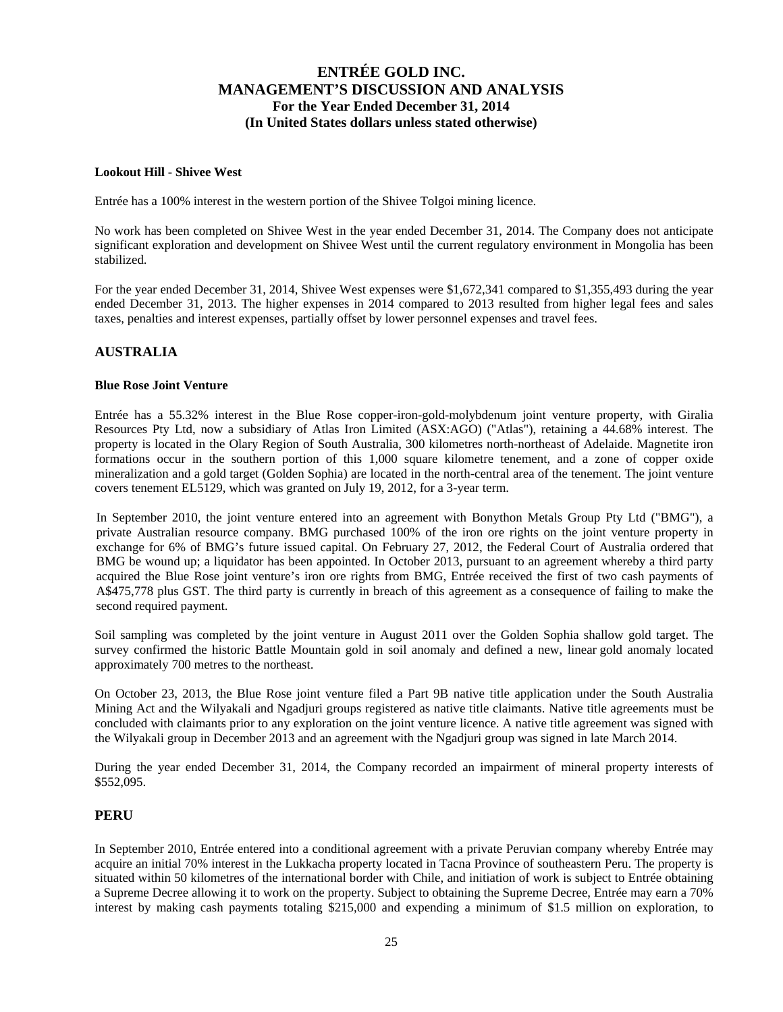#### **Lookout Hill - Shivee West**

Entrée has a 100% interest in the western portion of the Shivee Tolgoi mining licence.

No work has been completed on Shivee West in the year ended December 31, 2014. The Company does not anticipate significant exploration and development on Shivee West until the current regulatory environment in Mongolia has been stabilized.

For the year ended December 31, 2014, Shivee West expenses were \$1,672,341 compared to \$1,355,493 during the year ended December 31, 2013. The higher expenses in 2014 compared to 2013 resulted from higher legal fees and sales taxes, penalties and interest expenses, partially offset by lower personnel expenses and travel fees.

#### **AUSTRALIA**

#### **Blue Rose Joint Venture**

Entrée has a 55.32% interest in the Blue Rose copper-iron-gold-molybdenum joint venture property, with Giralia Resources Pty Ltd, now a subsidiary of Atlas Iron Limited (ASX:AGO) ("Atlas"), retaining a 44.68% interest. The property is located in the Olary Region of South Australia, 300 kilometres north-northeast of Adelaide. Magnetite iron formations occur in the southern portion of this 1,000 square kilometre tenement, and a zone of copper oxide mineralization and a gold target (Golden Sophia) are located in the north-central area of the tenement. The joint venture covers tenement EL5129, which was granted on July 19, 2012, for a 3-year term.

In September 2010, the joint venture entered into an agreement with Bonython Metals Group Pty Ltd ("BMG"), a private Australian resource company. BMG purchased 100% of the iron ore rights on the joint venture property in exchange for 6% of BMG's future issued capital. On February 27, 2012, the Federal Court of Australia ordered that BMG be wound up; a liquidator has been appointed. In October 2013, pursuant to an agreement whereby a third party acquired the Blue Rose joint venture's iron ore rights from BMG, Entrée received the first of two cash payments of A\$475,778 plus GST. The third party is currently in breach of this agreement as a consequence of failing to make the second required payment.

Soil sampling was completed by the joint venture in August 2011 over the Golden Sophia shallow gold target. The survey confirmed the historic Battle Mountain gold in soil anomaly and defined a new, linear gold anomaly located approximately 700 metres to the northeast.

On October 23, 2013, the Blue Rose joint venture filed a Part 9B native title application under the South Australia Mining Act and the Wilyakali and Ngadjuri groups registered as native title claimants. Native title agreements must be concluded with claimants prior to any exploration on the joint venture licence. A native title agreement was signed with the Wilyakali group in December 2013 and an agreement with the Ngadjuri group was signed in late March 2014.

During the year ended December 31, 2014, the Company recorded an impairment of mineral property interests of \$552,095.

#### **PERU**

In September 2010, Entrée entered into a conditional agreement with a private Peruvian company whereby Entrée may acquire an initial 70% interest in the Lukkacha property located in Tacna Province of southeastern Peru. The property is situated within 50 kilometres of the international border with Chile, and initiation of work is subject to Entrée obtaining a Supreme Decree allowing it to work on the property. Subject to obtaining the Supreme Decree, Entrée may earn a 70% interest by making cash payments totaling \$215,000 and expending a minimum of \$1.5 million on exploration, to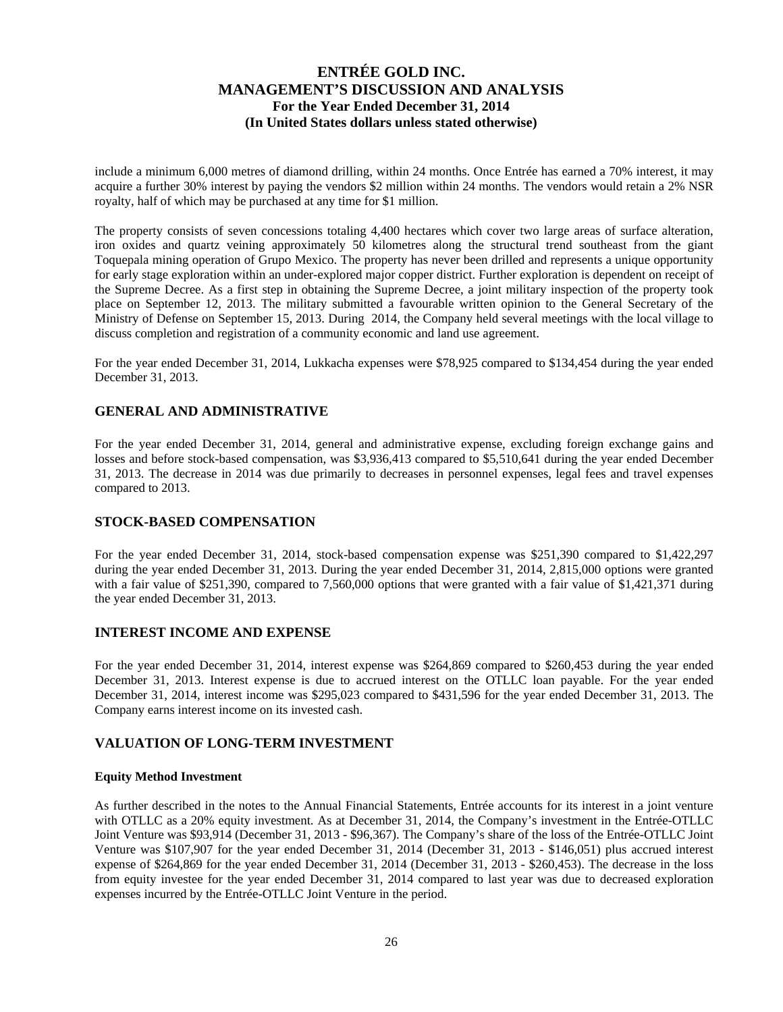include a minimum 6,000 metres of diamond drilling, within 24 months. Once Entrée has earned a 70% interest, it may acquire a further 30% interest by paying the vendors \$2 million within 24 months. The vendors would retain a 2% NSR royalty, half of which may be purchased at any time for \$1 million.

The property consists of seven concessions totaling 4,400 hectares which cover two large areas of surface alteration, iron oxides and quartz veining approximately 50 kilometres along the structural trend southeast from the giant Toquepala mining operation of Grupo Mexico. The property has never been drilled and represents a unique opportunity for early stage exploration within an under-explored major copper district. Further exploration is dependent on receipt of the Supreme Decree. As a first step in obtaining the Supreme Decree, a joint military inspection of the property took place on September 12, 2013. The military submitted a favourable written opinion to the General Secretary of the Ministry of Defense on September 15, 2013. During 2014, the Company held several meetings with the local village to discuss completion and registration of a community economic and land use agreement.

For the year ended December 31, 2014, Lukkacha expenses were \$78,925 compared to \$134,454 during the year ended December 31, 2013.

# **GENERAL AND ADMINISTRATIVE**

For the year ended December 31, 2014, general and administrative expense, excluding foreign exchange gains and losses and before stock-based compensation, was \$3,936,413 compared to \$5,510,641 during the year ended December 31, 2013. The decrease in 2014 was due primarily to decreases in personnel expenses, legal fees and travel expenses compared to 2013.

#### **STOCK-BASED COMPENSATION**

For the year ended December 31, 2014, stock-based compensation expense was \$251,390 compared to \$1,422,297 during the year ended December 31, 2013. During the year ended December 31, 2014, 2,815,000 options were granted with a fair value of \$251,390, compared to 7,560,000 options that were granted with a fair value of \$1,421,371 during the year ended December 31, 2013.

#### **INTEREST INCOME AND EXPENSE**

For the year ended December 31, 2014, interest expense was \$264,869 compared to \$260,453 during the year ended December 31, 2013. Interest expense is due to accrued interest on the OTLLC loan payable. For the year ended December 31, 2014, interest income was \$295,023 compared to \$431,596 for the year ended December 31, 2013. The Company earns interest income on its invested cash.

#### **VALUATION OF LONG-TERM INVESTMENT**

#### **Equity Method Investment**

As further described in the notes to the Annual Financial Statements, Entrée accounts for its interest in a joint venture with OTLLC as a 20% equity investment. As at December 31, 2014, the Company's investment in the Entrée-OTLLC Joint Venture was \$93,914 (December 31, 2013 - \$96,367). The Company's share of the loss of the Entrée-OTLLC Joint Venture was \$107,907 for the year ended December 31, 2014 (December 31, 2013 - \$146,051) plus accrued interest expense of \$264,869 for the year ended December 31, 2014 (December 31, 2013 - \$260,453). The decrease in the loss from equity investee for the year ended December 31, 2014 compared to last year was due to decreased exploration expenses incurred by the Entrée-OTLLC Joint Venture in the period.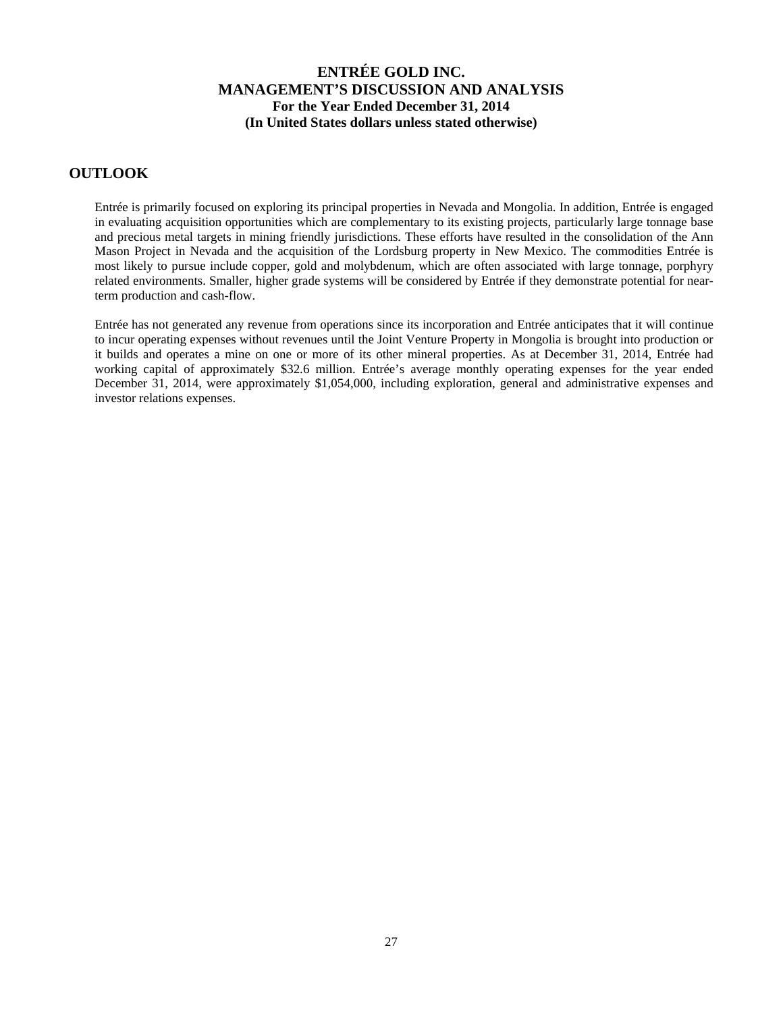### **OUTLOOK**

Entrée is primarily focused on exploring its principal properties in Nevada and Mongolia. In addition, Entrée is engaged in evaluating acquisition opportunities which are complementary to its existing projects, particularly large tonnage base and precious metal targets in mining friendly jurisdictions. These efforts have resulted in the consolidation of the Ann Mason Project in Nevada and the acquisition of the Lordsburg property in New Mexico. The commodities Entrée is most likely to pursue include copper, gold and molybdenum, which are often associated with large tonnage, porphyry related environments. Smaller, higher grade systems will be considered by Entrée if they demonstrate potential for nearterm production and cash-flow.

Entrée has not generated any revenue from operations since its incorporation and Entrée anticipates that it will continue to incur operating expenses without revenues until the Joint Venture Property in Mongolia is brought into production or it builds and operates a mine on one or more of its other mineral properties. As at December 31, 2014, Entrée had working capital of approximately \$32.6 million. Entrée's average monthly operating expenses for the year ended December 31, 2014, were approximately \$1,054,000, including exploration, general and administrative expenses and investor relations expenses.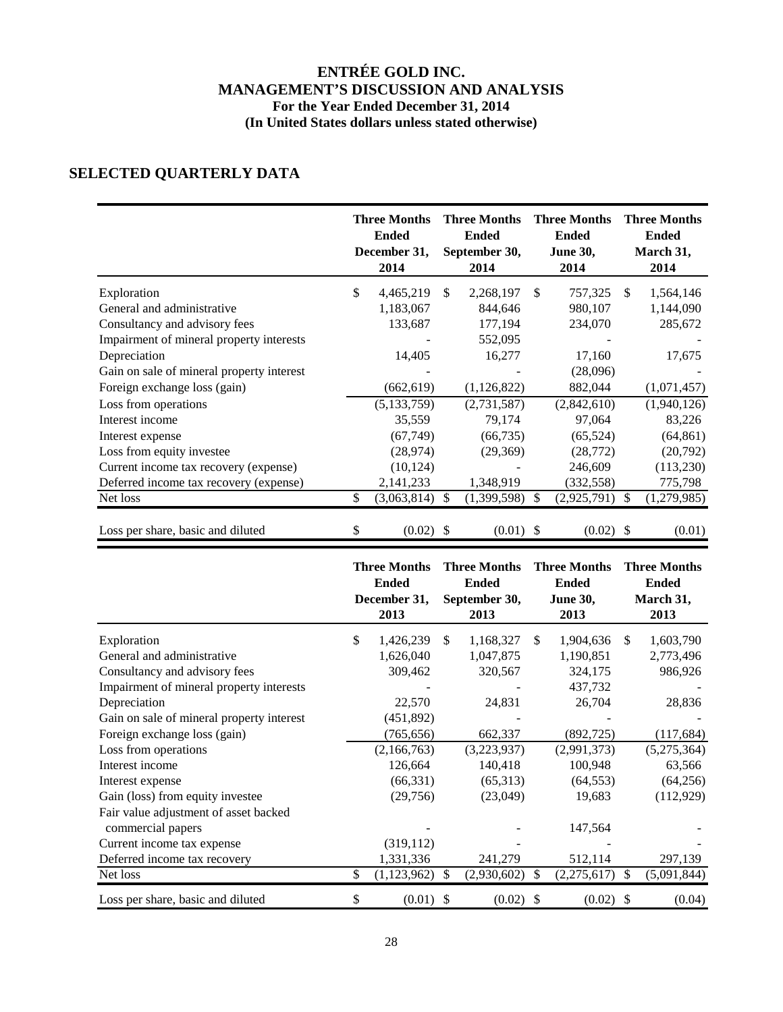# **SELECTED QUARTERLY DATA**

|                                           | <b>Three Months</b><br><b>Ended</b><br>December 31,<br>2014 |               | <b>Three Months</b><br><b>Ended</b><br>September 30,<br>2014 |               | <b>Three Months</b><br><b>Ended</b><br><b>June 30,</b><br>2014 |     | <b>Three Months</b><br><b>Ended</b><br>March 31,<br>2014 |
|-------------------------------------------|-------------------------------------------------------------|---------------|--------------------------------------------------------------|---------------|----------------------------------------------------------------|-----|----------------------------------------------------------|
| Exploration                               | \$<br>4,465,219                                             | <sup>\$</sup> | 2,268,197                                                    | <sup>\$</sup> | 757,325                                                        | \$. | 1,564,146                                                |
| General and administrative                | 1,183,067                                                   |               | 844,646                                                      |               | 980,107                                                        |     | 1,144,090                                                |
| Consultancy and advisory fees             | 133,687                                                     |               | 177,194                                                      |               | 234,070                                                        |     | 285,672                                                  |
| Impairment of mineral property interests  |                                                             |               | 552,095                                                      |               |                                                                |     |                                                          |
| Depreciation                              | 14,405                                                      |               | 16,277                                                       |               | 17,160                                                         |     | 17,675                                                   |
| Gain on sale of mineral property interest |                                                             |               |                                                              |               | (28,096)                                                       |     |                                                          |
| Foreign exchange loss (gain)              | (662, 619)                                                  |               | (1,126,822)                                                  |               | 882,044                                                        |     | (1,071,457)                                              |
| Loss from operations                      | (5, 133, 759)                                               |               | (2,731,587)                                                  |               | (2,842,610)                                                    |     | (1,940,126)                                              |
| Interest income                           | 35,559                                                      |               | 79,174                                                       |               | 97,064                                                         |     | 83,226                                                   |
| Interest expense                          | (67, 749)                                                   |               | (66, 735)                                                    |               | (65, 524)                                                      |     | (64, 861)                                                |
| Loss from equity investee                 | (28, 974)                                                   |               | (29,369)                                                     |               | (28, 772)                                                      |     | (20,792)                                                 |
| Current income tax recovery (expense)     | (10, 124)                                                   |               |                                                              |               | 246,609                                                        |     | (113,230)                                                |
| Deferred income tax recovery (expense)    | 2,141,233                                                   |               | 1,348,919                                                    |               | (332, 558)                                                     |     | 775,798                                                  |
| Net loss                                  | \$<br>(3,063,814)                                           | - \$          | (1,399,598)                                                  | -S            | (2,925,791)                                                    | S   | (1,279,985)                                              |
| Loss per share, basic and diluted         | \$<br>$(0.02)$ \$                                           |               | $(0.01)$ \$                                                  |               | $(0.02)$ \$                                                    |     | (0.01)                                                   |

|                                                            | <b>Three Months</b><br><b>Ended</b><br>December 31,<br>2013 |               | <b>Three Months</b><br><b>Ended</b><br>September 30,<br>2013 |      | <b>Three Months</b><br><b>Ended</b><br><b>June 30,</b><br>2013 |               | <b>Three Months</b><br><b>Ended</b><br>March 31,<br>2013 |
|------------------------------------------------------------|-------------------------------------------------------------|---------------|--------------------------------------------------------------|------|----------------------------------------------------------------|---------------|----------------------------------------------------------|
| Exploration                                                | \$<br>1,426,239                                             | <sup>\$</sup> | 1,168,327                                                    | \$   | 1,904,636                                                      | <sup>\$</sup> | 1,603,790                                                |
| General and administrative                                 | 1,626,040                                                   |               | 1,047,875                                                    |      | 1,190,851                                                      |               | 2,773,496                                                |
| Consultancy and advisory fees                              | 309,462                                                     |               | 320,567                                                      |      | 324,175                                                        |               | 986,926                                                  |
| Impairment of mineral property interests                   |                                                             |               |                                                              |      | 437,732                                                        |               |                                                          |
| Depreciation                                               | 22,570                                                      |               | 24,831                                                       |      | 26,704                                                         |               | 28,836                                                   |
| Gain on sale of mineral property interest                  | (451, 892)                                                  |               |                                                              |      |                                                                |               |                                                          |
| Foreign exchange loss (gain)                               | (765, 656)                                                  |               | 662,337                                                      |      | (892, 725)                                                     |               | (117,684)                                                |
| Loss from operations                                       | (2,166,763)                                                 |               | (3,223,937)                                                  |      | (2,991,373)                                                    |               | (5,275,364)                                              |
| Interest income                                            | 126,664                                                     |               | 140,418                                                      |      | 100,948                                                        |               | 63,566                                                   |
| Interest expense                                           | (66, 331)                                                   |               | (65,313)                                                     |      | (64, 553)                                                      |               | (64,256)                                                 |
| Gain (loss) from equity investee                           | (29, 756)                                                   |               | (23,049)                                                     |      | 19,683                                                         |               | (112, 929)                                               |
| Fair value adjustment of asset backed<br>commercial papers |                                                             |               |                                                              |      | 147,564                                                        |               |                                                          |
| Current income tax expense                                 | (319, 112)                                                  |               |                                                              |      |                                                                |               |                                                          |
| Deferred income tax recovery                               | 1,331,336                                                   |               | 241,279                                                      |      | 512,114                                                        |               | 297,139                                                  |
| Net loss                                                   | \$<br>(1,123,962)                                           | S.            | (2,930,602)                                                  | \$   | (2,275,617)                                                    | S.            | (5,091,844)                                              |
| Loss per share, basic and diluted                          | \$<br>$(0.01)$ \$                                           |               | (0.02)                                                       | - \$ | (0.02)                                                         | -S            | (0.04)                                                   |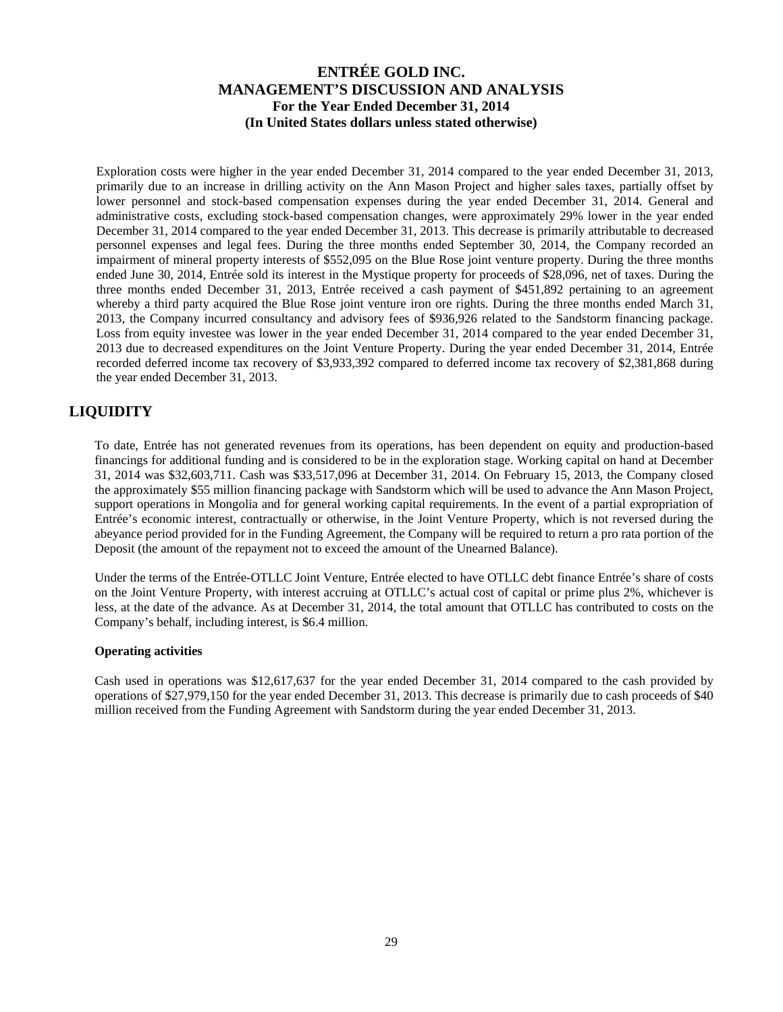Exploration costs were higher in the year ended December 31, 2014 compared to the year ended December 31, 2013, primarily due to an increase in drilling activity on the Ann Mason Project and higher sales taxes, partially offset by lower personnel and stock-based compensation expenses during the year ended December 31, 2014. General and administrative costs, excluding stock-based compensation changes, were approximately 29% lower in the year ended December 31, 2014 compared to the year ended December 31, 2013. This decrease is primarily attributable to decreased personnel expenses and legal fees. During the three months ended September 30, 2014, the Company recorded an impairment of mineral property interests of \$552,095 on the Blue Rose joint venture property. During the three months ended June 30, 2014, Entrée sold its interest in the Mystique property for proceeds of \$28,096, net of taxes. During the three months ended December 31, 2013, Entrée received a cash payment of \$451,892 pertaining to an agreement whereby a third party acquired the Blue Rose joint venture iron ore rights. During the three months ended March 31, 2013, the Company incurred consultancy and advisory fees of \$936,926 related to the Sandstorm financing package. Loss from equity investee was lower in the year ended December 31, 2014 compared to the year ended December 31, 2013 due to decreased expenditures on the Joint Venture Property. During the year ended December 31, 2014, Entrée recorded deferred income tax recovery of \$3,933,392 compared to deferred income tax recovery of \$2,381,868 during the year ended December 31, 2013.

# **LIQUIDITY**

To date, Entrée has not generated revenues from its operations, has been dependent on equity and production-based financings for additional funding and is considered to be in the exploration stage. Working capital on hand at December 31, 2014 was \$32,603,711. Cash was \$33,517,096 at December 31, 2014. On February 15, 2013, the Company closed the approximately \$55 million financing package with Sandstorm which will be used to advance the Ann Mason Project, support operations in Mongolia and for general working capital requirements. In the event of a partial expropriation of Entrée's economic interest, contractually or otherwise, in the Joint Venture Property, which is not reversed during the abeyance period provided for in the Funding Agreement, the Company will be required to return a pro rata portion of the Deposit (the amount of the repayment not to exceed the amount of the Unearned Balance).

Under the terms of the Entrée-OTLLC Joint Venture, Entrée elected to have OTLLC debt finance Entrée's share of costs on the Joint Venture Property, with interest accruing at OTLLC's actual cost of capital or prime plus 2%, whichever is less, at the date of the advance. As at December 31, 2014, the total amount that OTLLC has contributed to costs on the Company's behalf, including interest, is \$6.4 million.

#### **Operating activities**

Cash used in operations was \$12,617,637 for the year ended December 31, 2014 compared to the cash provided by operations of \$27,979,150 for the year ended December 31, 2013. This decrease is primarily due to cash proceeds of \$40 million received from the Funding Agreement with Sandstorm during the year ended December 31, 2013.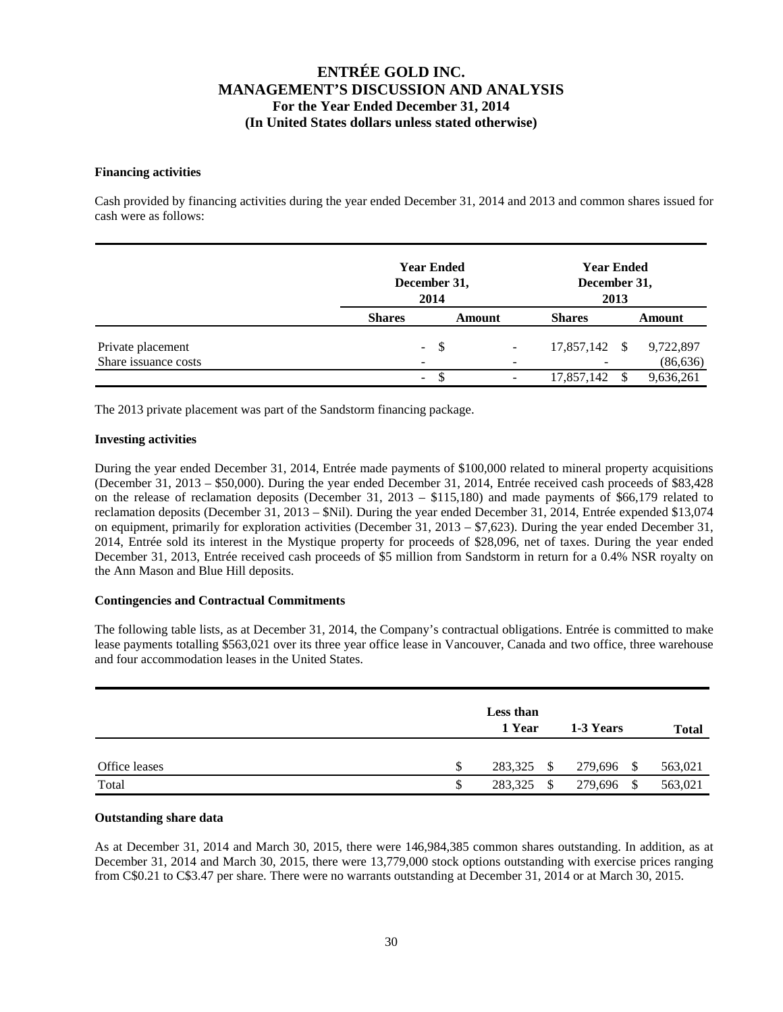#### **Financing activities**

Cash provided by financing activities during the year ended December 31, 2014 and 2013 and common shares issued for cash were as follows:

|                      |                     | <b>Year Ended</b><br>December 31,<br>2014 |                          |                          | <b>Year Ended</b><br>December 31,<br>2013 |           |  |
|----------------------|---------------------|-------------------------------------------|--------------------------|--------------------------|-------------------------------------------|-----------|--|
|                      | <b>Shares</b>       | Amount                                    |                          | <b>Shares</b>            |                                           | Amount    |  |
| Private placement    | $\omega_{\rm{eff}}$ | -\$                                       | $\overline{\phantom{0}}$ | 17,857,142               | - \$                                      | 9,722,897 |  |
| Share issuance costs |                     |                                           |                          | $\overline{\phantom{a}}$ |                                           | (86, 636) |  |
|                      | ۰                   |                                           |                          | 17,857,142               |                                           | 9,636,261 |  |

The 2013 private placement was part of the Sandstorm financing package.

#### **Investing activities**

During the year ended December 31, 2014, Entrée made payments of \$100,000 related to mineral property acquisitions (December 31, 2013 – \$50,000). During the year ended December 31, 2014, Entrée received cash proceeds of \$83,428 on the release of reclamation deposits (December 31, 2013 – \$115,180) and made payments of \$66,179 related to reclamation deposits (December 31, 2013 – \$Nil). During the year ended December 31, 2014, Entrée expended \$13,074 on equipment, primarily for exploration activities (December 31, 2013 – \$7,623). During the year ended December 31, 2014, Entrée sold its interest in the Mystique property for proceeds of \$28,096, net of taxes. During the year ended December 31, 2013, Entrée received cash proceeds of \$5 million from Sandstorm in return for a 0.4% NSR royalty on the Ann Mason and Blue Hill deposits.

#### **Contingencies and Contractual Commitments**

The following table lists, as at December 31, 2014, the Company's contractual obligations. Entrée is committed to make lease payments totalling \$563,021 over its three year office lease in Vancouver, Canada and two office, three warehouse and four accommodation leases in the United States.

|               | Less than<br>1 Year            | 1-3 Years | <b>Total</b>   |
|---------------|--------------------------------|-----------|----------------|
| Office leases | \$<br>283,325<br>\$            | 279,696   | 563,021<br>-\$ |
| Total         | \$<br>283,325<br><sup>\$</sup> | 279,696   | 563,021<br>S   |

#### **Outstanding share data**

As at December 31, 2014 and March 30, 2015, there were 146,984,385 common shares outstanding. In addition, as at December 31, 2014 and March 30, 2015, there were 13,779,000 stock options outstanding with exercise prices ranging from C\$0.21 to C\$3.47 per share. There were no warrants outstanding at December 31, 2014 or at March 30, 2015.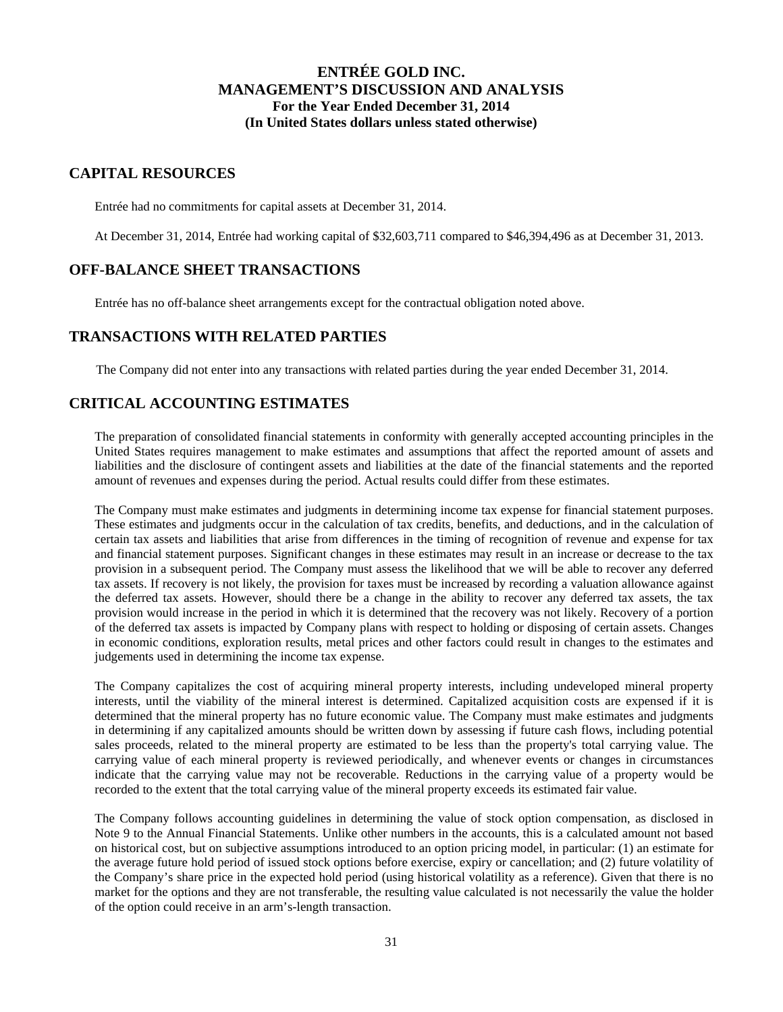### **CAPITAL RESOURCES**

Entrée had no commitments for capital assets at December 31, 2014.

At December 31, 2014, Entrée had working capital of \$32,603,711 compared to \$46,394,496 as at December 31, 2013.

# **OFF-BALANCE SHEET TRANSACTIONS**

Entrée has no off-balance sheet arrangements except for the contractual obligation noted above.

### **TRANSACTIONS WITH RELATED PARTIES**

The Company did not enter into any transactions with related parties during the year ended December 31, 2014.

### **CRITICAL ACCOUNTING ESTIMATES**

The preparation of consolidated financial statements in conformity with generally accepted accounting principles in the United States requires management to make estimates and assumptions that affect the reported amount of assets and liabilities and the disclosure of contingent assets and liabilities at the date of the financial statements and the reported amount of revenues and expenses during the period. Actual results could differ from these estimates.

The Company must make estimates and judgments in determining income tax expense for financial statement purposes. These estimates and judgments occur in the calculation of tax credits, benefits, and deductions, and in the calculation of certain tax assets and liabilities that arise from differences in the timing of recognition of revenue and expense for tax and financial statement purposes. Significant changes in these estimates may result in an increase or decrease to the tax provision in a subsequent period. The Company must assess the likelihood that we will be able to recover any deferred tax assets. If recovery is not likely, the provision for taxes must be increased by recording a valuation allowance against the deferred tax assets. However, should there be a change in the ability to recover any deferred tax assets, the tax provision would increase in the period in which it is determined that the recovery was not likely. Recovery of a portion of the deferred tax assets is impacted by Company plans with respect to holding or disposing of certain assets. Changes in economic conditions, exploration results, metal prices and other factors could result in changes to the estimates and judgements used in determining the income tax expense.

The Company capitalizes the cost of acquiring mineral property interests, including undeveloped mineral property interests, until the viability of the mineral interest is determined. Capitalized acquisition costs are expensed if it is determined that the mineral property has no future economic value. The Company must make estimates and judgments in determining if any capitalized amounts should be written down by assessing if future cash flows, including potential sales proceeds, related to the mineral property are estimated to be less than the property's total carrying value. The carrying value of each mineral property is reviewed periodically, and whenever events or changes in circumstances indicate that the carrying value may not be recoverable. Reductions in the carrying value of a property would be recorded to the extent that the total carrying value of the mineral property exceeds its estimated fair value.

The Company follows accounting guidelines in determining the value of stock option compensation, as disclosed in Note 9 to the Annual Financial Statements. Unlike other numbers in the accounts, this is a calculated amount not based on historical cost, but on subjective assumptions introduced to an option pricing model, in particular: (1) an estimate for the average future hold period of issued stock options before exercise, expiry or cancellation; and (2) future volatility of the Company's share price in the expected hold period (using historical volatility as a reference). Given that there is no market for the options and they are not transferable, the resulting value calculated is not necessarily the value the holder of the option could receive in an arm's-length transaction.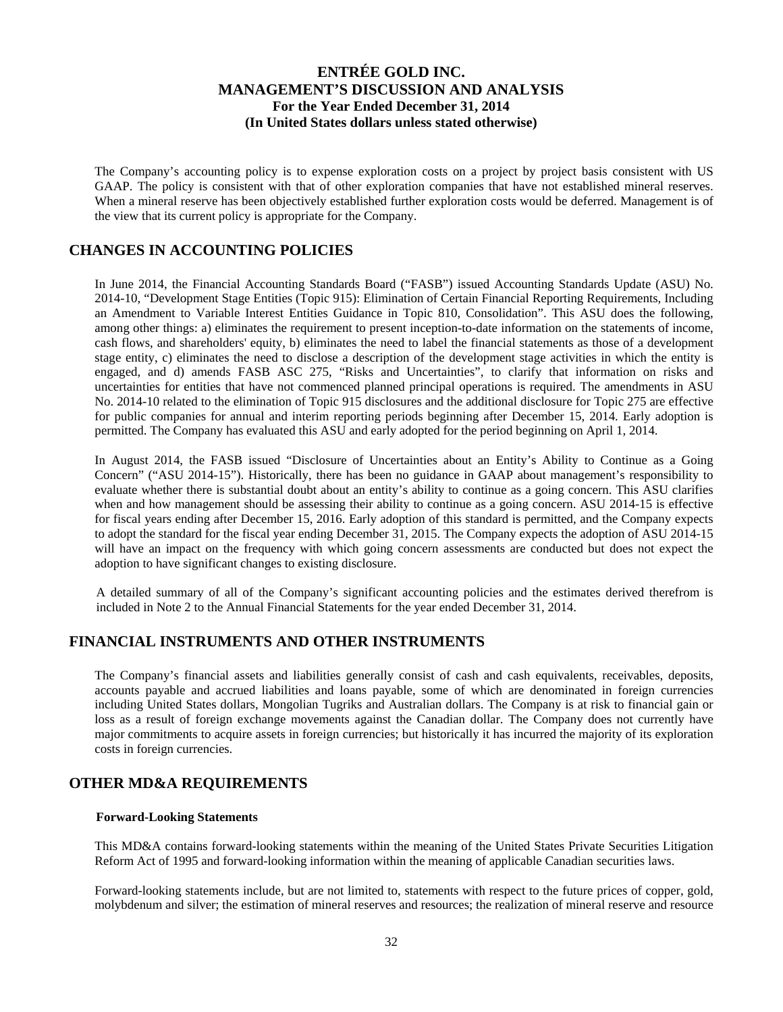The Company's accounting policy is to expense exploration costs on a project by project basis consistent with US GAAP. The policy is consistent with that of other exploration companies that have not established mineral reserves. When a mineral reserve has been objectively established further exploration costs would be deferred. Management is of the view that its current policy is appropriate for the Company.

# **CHANGES IN ACCOUNTING POLICIES**

In June 2014, the Financial Accounting Standards Board ("FASB") issued Accounting Standards Update (ASU) No. 2014-10, "Development Stage Entities (Topic 915): Elimination of Certain Financial Reporting Requirements, Including an Amendment to Variable Interest Entities Guidance in Topic 810, Consolidation". This ASU does the following, among other things: a) eliminates the requirement to present inception-to-date information on the statements of income, cash flows, and shareholders' equity, b) eliminates the need to label the financial statements as those of a development stage entity, c) eliminates the need to disclose a description of the development stage activities in which the entity is engaged, and d) amends FASB ASC 275, "Risks and Uncertainties", to clarify that information on risks and uncertainties for entities that have not commenced planned principal operations is required. The amendments in ASU No. 2014-10 related to the elimination of Topic 915 disclosures and the additional disclosure for Topic 275 are effective for public companies for annual and interim reporting periods beginning after December 15, 2014. Early adoption is permitted. The Company has evaluated this ASU and early adopted for the period beginning on April 1, 2014.

In August 2014, the FASB issued "Disclosure of Uncertainties about an Entity's Ability to Continue as a Going Concern" ("ASU 2014-15"). Historically, there has been no guidance in GAAP about management's responsibility to evaluate whether there is substantial doubt about an entity's ability to continue as a going concern. This ASU clarifies when and how management should be assessing their ability to continue as a going concern. ASU 2014-15 is effective for fiscal years ending after December 15, 2016. Early adoption of this standard is permitted, and the Company expects to adopt the standard for the fiscal year ending December 31, 2015. The Company expects the adoption of ASU 2014-15 will have an impact on the frequency with which going concern assessments are conducted but does not expect the adoption to have significant changes to existing disclosure.

A detailed summary of all of the Company's significant accounting policies and the estimates derived therefrom is included in Note 2 to the Annual Financial Statements for the year ended December 31, 2014.

# **FINANCIAL INSTRUMENTS AND OTHER INSTRUMENTS**

The Company's financial assets and liabilities generally consist of cash and cash equivalents, receivables, deposits, accounts payable and accrued liabilities and loans payable, some of which are denominated in foreign currencies including United States dollars, Mongolian Tugriks and Australian dollars. The Company is at risk to financial gain or loss as a result of foreign exchange movements against the Canadian dollar. The Company does not currently have major commitments to acquire assets in foreign currencies; but historically it has incurred the majority of its exploration costs in foreign currencies.

# **OTHER MD&A REQUIREMENTS**

#### **Forward-Looking Statements**

This MD&A contains forward-looking statements within the meaning of the United States Private Securities Litigation Reform Act of 1995 and forward-looking information within the meaning of applicable Canadian securities laws.

Forward-looking statements include, but are not limited to, statements with respect to the future prices of copper, gold, molybdenum and silver; the estimation of mineral reserves and resources; the realization of mineral reserve and resource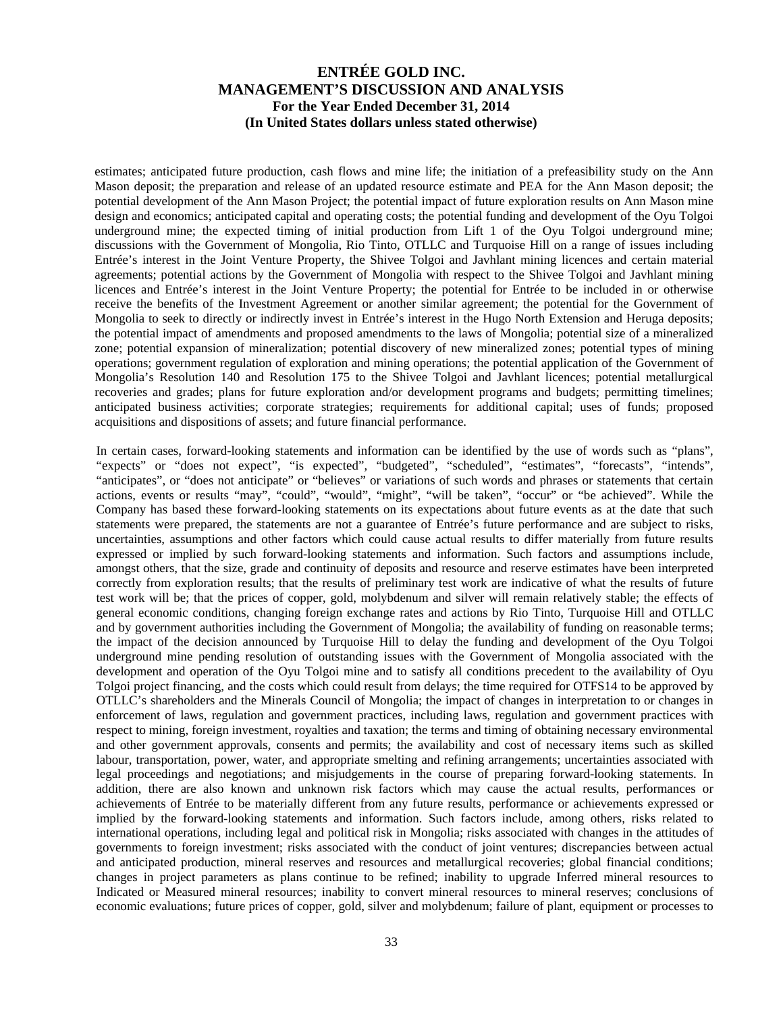estimates; anticipated future production, cash flows and mine life; the initiation of a prefeasibility study on the Ann Mason deposit; the preparation and release of an updated resource estimate and PEA for the Ann Mason deposit; the potential development of the Ann Mason Project; the potential impact of future exploration results on Ann Mason mine design and economics; anticipated capital and operating costs; the potential funding and development of the Oyu Tolgoi underground mine; the expected timing of initial production from Lift 1 of the Oyu Tolgoi underground mine; discussions with the Government of Mongolia, Rio Tinto, OTLLC and Turquoise Hill on a range of issues including Entrée's interest in the Joint Venture Property, the Shivee Tolgoi and Javhlant mining licences and certain material agreements; potential actions by the Government of Mongolia with respect to the Shivee Tolgoi and Javhlant mining licences and Entrée's interest in the Joint Venture Property; the potential for Entrée to be included in or otherwise receive the benefits of the Investment Agreement or another similar agreement; the potential for the Government of Mongolia to seek to directly or indirectly invest in Entrée's interest in the Hugo North Extension and Heruga deposits; the potential impact of amendments and proposed amendments to the laws of Mongolia; potential size of a mineralized zone; potential expansion of mineralization; potential discovery of new mineralized zones; potential types of mining operations; government regulation of exploration and mining operations; the potential application of the Government of Mongolia's Resolution 140 and Resolution 175 to the Shivee Tolgoi and Javhlant licences; potential metallurgical recoveries and grades; plans for future exploration and/or development programs and budgets; permitting timelines; anticipated business activities; corporate strategies; requirements for additional capital; uses of funds; proposed acquisitions and dispositions of assets; and future financial performance.

In certain cases, forward-looking statements and information can be identified by the use of words such as "plans", "expects" or "does not expect", "is expected", "budgeted", "scheduled", "estimates", "forecasts", "intends", "anticipates", or "does not anticipate" or "believes" or variations of such words and phrases or statements that certain actions, events or results "may", "could", "would", "might", "will be taken", "occur" or "be achieved". While the Company has based these forward-looking statements on its expectations about future events as at the date that such statements were prepared, the statements are not a guarantee of Entrée's future performance and are subject to risks, uncertainties, assumptions and other factors which could cause actual results to differ materially from future results expressed or implied by such forward-looking statements and information. Such factors and assumptions include, amongst others, that the size, grade and continuity of deposits and resource and reserve estimates have been interpreted correctly from exploration results; that the results of preliminary test work are indicative of what the results of future test work will be; that the prices of copper, gold, molybdenum and silver will remain relatively stable; the effects of general economic conditions, changing foreign exchange rates and actions by Rio Tinto, Turquoise Hill and OTLLC and by government authorities including the Government of Mongolia; the availability of funding on reasonable terms; the impact of the decision announced by Turquoise Hill to delay the funding and development of the Oyu Tolgoi underground mine pending resolution of outstanding issues with the Government of Mongolia associated with the development and operation of the Oyu Tolgoi mine and to satisfy all conditions precedent to the availability of Oyu Tolgoi project financing, and the costs which could result from delays; the time required for OTFS14 to be approved by OTLLC's shareholders and the Minerals Council of Mongolia; the impact of changes in interpretation to or changes in enforcement of laws, regulation and government practices, including laws, regulation and government practices with respect to mining, foreign investment, royalties and taxation; the terms and timing of obtaining necessary environmental and other government approvals, consents and permits; the availability and cost of necessary items such as skilled labour, transportation, power, water, and appropriate smelting and refining arrangements; uncertainties associated with legal proceedings and negotiations; and misjudgements in the course of preparing forward-looking statements. In addition, there are also known and unknown risk factors which may cause the actual results, performances or achievements of Entrée to be materially different from any future results, performance or achievements expressed or implied by the forward-looking statements and information. Such factors include, among others, risks related to international operations, including legal and political risk in Mongolia; risks associated with changes in the attitudes of governments to foreign investment; risks associated with the conduct of joint ventures; discrepancies between actual and anticipated production, mineral reserves and resources and metallurgical recoveries; global financial conditions; changes in project parameters as plans continue to be refined; inability to upgrade Inferred mineral resources to Indicated or Measured mineral resources; inability to convert mineral resources to mineral reserves; conclusions of economic evaluations; future prices of copper, gold, silver and molybdenum; failure of plant, equipment or processes to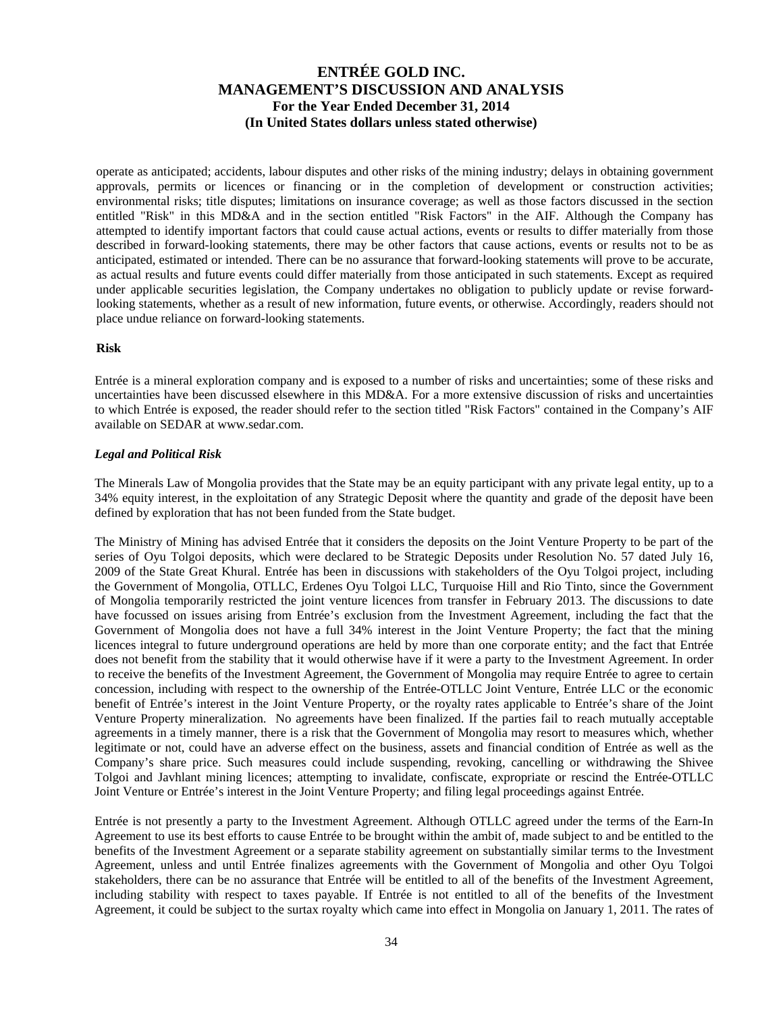operate as anticipated; accidents, labour disputes and other risks of the mining industry; delays in obtaining government approvals, permits or licences or financing or in the completion of development or construction activities; environmental risks; title disputes; limitations on insurance coverage; as well as those factors discussed in the section entitled "Risk" in this MD&A and in the section entitled "Risk Factors" in the AIF. Although the Company has attempted to identify important factors that could cause actual actions, events or results to differ materially from those described in forward-looking statements, there may be other factors that cause actions, events or results not to be as anticipated, estimated or intended. There can be no assurance that forward-looking statements will prove to be accurate, as actual results and future events could differ materially from those anticipated in such statements. Except as required under applicable securities legislation, the Company undertakes no obligation to publicly update or revise forwardlooking statements, whether as a result of new information, future events, or otherwise. Accordingly, readers should not place undue reliance on forward-looking statements.

#### **Risk**

Entrée is a mineral exploration company and is exposed to a number of risks and uncertainties; some of these risks and uncertainties have been discussed elsewhere in this MD&A. For a more extensive discussion of risks and uncertainties to which Entrée is exposed, the reader should refer to the section titled "Risk Factors" contained in the Company's AIF available on SEDAR at www.sedar.com.

#### *Legal and Political Risk*

The Minerals Law of Mongolia provides that the State may be an equity participant with any private legal entity, up to a 34% equity interest, in the exploitation of any Strategic Deposit where the quantity and grade of the deposit have been defined by exploration that has not been funded from the State budget.

The Ministry of Mining has advised Entrée that it considers the deposits on the Joint Venture Property to be part of the series of Oyu Tolgoi deposits, which were declared to be Strategic Deposits under Resolution No. 57 dated July 16, 2009 of the State Great Khural. Entrée has been in discussions with stakeholders of the Oyu Tolgoi project, including the Government of Mongolia, OTLLC, Erdenes Oyu Tolgoi LLC, Turquoise Hill and Rio Tinto, since the Government of Mongolia temporarily restricted the joint venture licences from transfer in February 2013. The discussions to date have focussed on issues arising from Entrée's exclusion from the Investment Agreement, including the fact that the Government of Mongolia does not have a full 34% interest in the Joint Venture Property; the fact that the mining licences integral to future underground operations are held by more than one corporate entity; and the fact that Entrée does not benefit from the stability that it would otherwise have if it were a party to the Investment Agreement. In order to receive the benefits of the Investment Agreement, the Government of Mongolia may require Entrée to agree to certain concession, including with respect to the ownership of the Entrée-OTLLC Joint Venture, Entrée LLC or the economic benefit of Entrée's interest in the Joint Venture Property, or the royalty rates applicable to Entrée's share of the Joint Venture Property mineralization. No agreements have been finalized. If the parties fail to reach mutually acceptable agreements in a timely manner, there is a risk that the Government of Mongolia may resort to measures which, whether legitimate or not, could have an adverse effect on the business, assets and financial condition of Entrée as well as the Company's share price. Such measures could include suspending, revoking, cancelling or withdrawing the Shivee Tolgoi and Javhlant mining licences; attempting to invalidate, confiscate, expropriate or rescind the Entrée-OTLLC Joint Venture or Entrée's interest in the Joint Venture Property; and filing legal proceedings against Entrée.

Entrée is not presently a party to the Investment Agreement. Although OTLLC agreed under the terms of the Earn-In Agreement to use its best efforts to cause Entrée to be brought within the ambit of, made subject to and be entitled to the benefits of the Investment Agreement or a separate stability agreement on substantially similar terms to the Investment Agreement, unless and until Entrée finalizes agreements with the Government of Mongolia and other Oyu Tolgoi stakeholders, there can be no assurance that Entrée will be entitled to all of the benefits of the Investment Agreement, including stability with respect to taxes payable. If Entrée is not entitled to all of the benefits of the Investment Agreement, it could be subject to the surtax royalty which came into effect in Mongolia on January 1, 2011. The rates of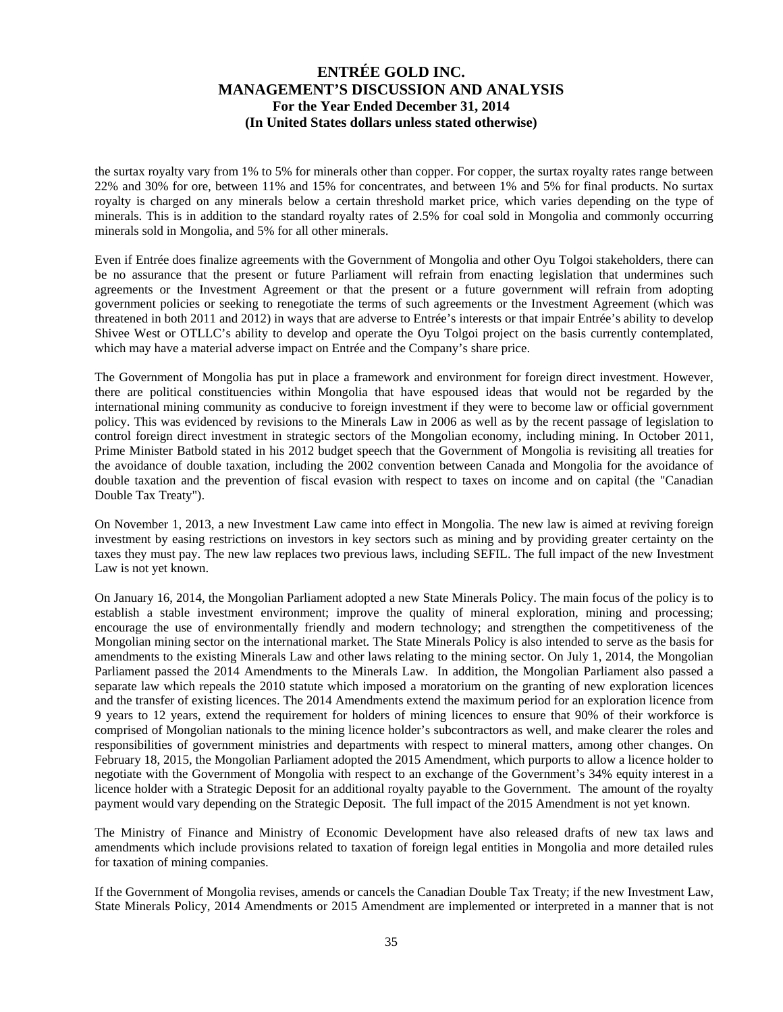the surtax royalty vary from 1% to 5% for minerals other than copper. For copper, the surtax royalty rates range between 22% and 30% for ore, between 11% and 15% for concentrates, and between 1% and 5% for final products. No surtax royalty is charged on any minerals below a certain threshold market price, which varies depending on the type of minerals. This is in addition to the standard royalty rates of 2.5% for coal sold in Mongolia and commonly occurring minerals sold in Mongolia, and 5% for all other minerals.

Even if Entrée does finalize agreements with the Government of Mongolia and other Oyu Tolgoi stakeholders, there can be no assurance that the present or future Parliament will refrain from enacting legislation that undermines such agreements or the Investment Agreement or that the present or a future government will refrain from adopting government policies or seeking to renegotiate the terms of such agreements or the Investment Agreement (which was threatened in both 2011 and 2012) in ways that are adverse to Entrée's interests or that impair Entrée's ability to develop Shivee West or OTLLC's ability to develop and operate the Oyu Tolgoi project on the basis currently contemplated, which may have a material adverse impact on Entrée and the Company's share price.

The Government of Mongolia has put in place a framework and environment for foreign direct investment. However, there are political constituencies within Mongolia that have espoused ideas that would not be regarded by the international mining community as conducive to foreign investment if they were to become law or official government policy. This was evidenced by revisions to the Minerals Law in 2006 as well as by the recent passage of legislation to control foreign direct investment in strategic sectors of the Mongolian economy, including mining. In October 2011, Prime Minister Batbold stated in his 2012 budget speech that the Government of Mongolia is revisiting all treaties for the avoidance of double taxation, including the 2002 convention between Canada and Mongolia for the avoidance of double taxation and the prevention of fiscal evasion with respect to taxes on income and on capital (the "Canadian Double Tax Treaty").

On November 1, 2013, a new Investment Law came into effect in Mongolia. The new law is aimed at reviving foreign investment by easing restrictions on investors in key sectors such as mining and by providing greater certainty on the taxes they must pay. The new law replaces two previous laws, including SEFIL. The full impact of the new Investment Law is not yet known.

On January 16, 2014, the Mongolian Parliament adopted a new State Minerals Policy. The main focus of the policy is to establish a stable investment environment; improve the quality of mineral exploration, mining and processing; encourage the use of environmentally friendly and modern technology; and strengthen the competitiveness of the Mongolian mining sector on the international market. The State Minerals Policy is also intended to serve as the basis for amendments to the existing Minerals Law and other laws relating to the mining sector. On July 1, 2014, the Mongolian Parliament passed the 2014 Amendments to the Minerals Law. In addition, the Mongolian Parliament also passed a separate law which repeals the 2010 statute which imposed a moratorium on the granting of new exploration licences and the transfer of existing licences. The 2014 Amendments extend the maximum period for an exploration licence from 9 years to 12 years, extend the requirement for holders of mining licences to ensure that 90% of their workforce is comprised of Mongolian nationals to the mining licence holder's subcontractors as well, and make clearer the roles and responsibilities of government ministries and departments with respect to mineral matters, among other changes. On February 18, 2015, the Mongolian Parliament adopted the 2015 Amendment, which purports to allow a licence holder to negotiate with the Government of Mongolia with respect to an exchange of the Government's 34% equity interest in a licence holder with a Strategic Deposit for an additional royalty payable to the Government. The amount of the royalty payment would vary depending on the Strategic Deposit. The full impact of the 2015 Amendment is not yet known.

The Ministry of Finance and Ministry of Economic Development have also released drafts of new tax laws and amendments which include provisions related to taxation of foreign legal entities in Mongolia and more detailed rules for taxation of mining companies.

If the Government of Mongolia revises, amends or cancels the Canadian Double Tax Treaty; if the new Investment Law, State Minerals Policy, 2014 Amendments or 2015 Amendment are implemented or interpreted in a manner that is not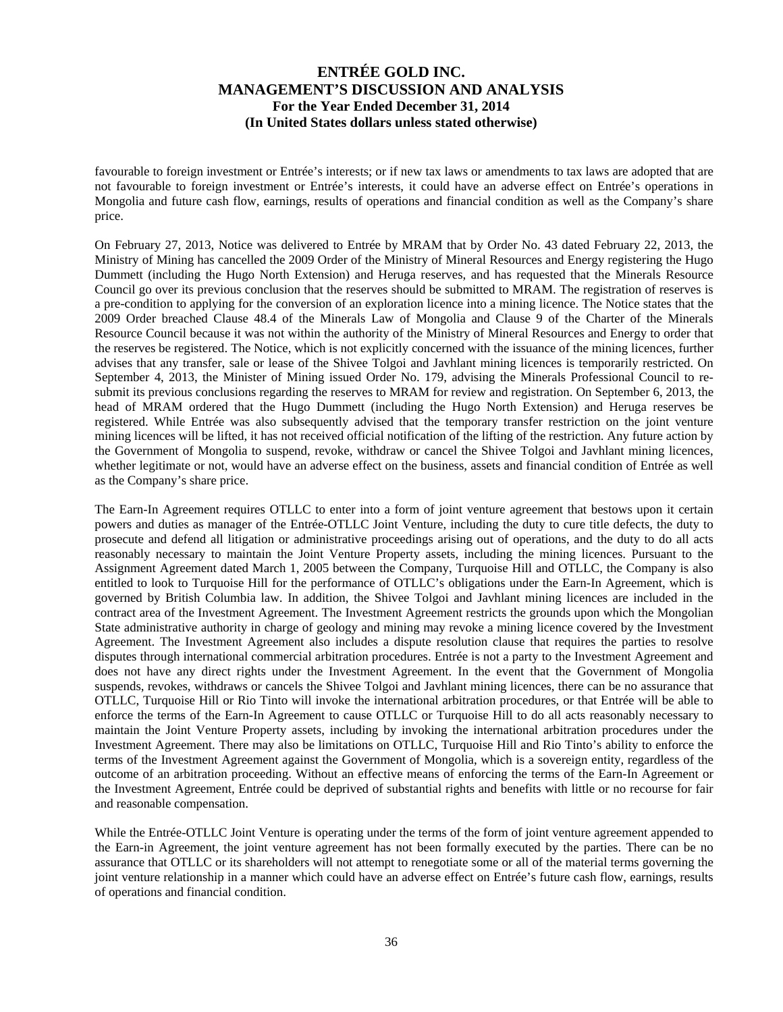favourable to foreign investment or Entrée's interests; or if new tax laws or amendments to tax laws are adopted that are not favourable to foreign investment or Entrée's interests, it could have an adverse effect on Entrée's operations in Mongolia and future cash flow, earnings, results of operations and financial condition as well as the Company's share price.

On February 27, 2013, Notice was delivered to Entrée by MRAM that by Order No. 43 dated February 22, 2013, the Ministry of Mining has cancelled the 2009 Order of the Ministry of Mineral Resources and Energy registering the Hugo Dummett (including the Hugo North Extension) and Heruga reserves, and has requested that the Minerals Resource Council go over its previous conclusion that the reserves should be submitted to MRAM. The registration of reserves is a pre-condition to applying for the conversion of an exploration licence into a mining licence. The Notice states that the 2009 Order breached Clause 48.4 of the Minerals Law of Mongolia and Clause 9 of the Charter of the Minerals Resource Council because it was not within the authority of the Ministry of Mineral Resources and Energy to order that the reserves be registered. The Notice, which is not explicitly concerned with the issuance of the mining licences, further advises that any transfer, sale or lease of the Shivee Tolgoi and Javhlant mining licences is temporarily restricted. On September 4, 2013, the Minister of Mining issued Order No. 179, advising the Minerals Professional Council to resubmit its previous conclusions regarding the reserves to MRAM for review and registration. On September 6, 2013, the head of MRAM ordered that the Hugo Dummett (including the Hugo North Extension) and Heruga reserves be registered. While Entrée was also subsequently advised that the temporary transfer restriction on the joint venture mining licences will be lifted, it has not received official notification of the lifting of the restriction. Any future action by the Government of Mongolia to suspend, revoke, withdraw or cancel the Shivee Tolgoi and Javhlant mining licences, whether legitimate or not, would have an adverse effect on the business, assets and financial condition of Entrée as well as the Company's share price.

The Earn-In Agreement requires OTLLC to enter into a form of joint venture agreement that bestows upon it certain powers and duties as manager of the Entrée-OTLLC Joint Venture, including the duty to cure title defects, the duty to prosecute and defend all litigation or administrative proceedings arising out of operations, and the duty to do all acts reasonably necessary to maintain the Joint Venture Property assets, including the mining licences. Pursuant to the Assignment Agreement dated March 1, 2005 between the Company, Turquoise Hill and OTLLC, the Company is also entitled to look to Turquoise Hill for the performance of OTLLC's obligations under the Earn-In Agreement, which is governed by British Columbia law. In addition, the Shivee Tolgoi and Javhlant mining licences are included in the contract area of the Investment Agreement. The Investment Agreement restricts the grounds upon which the Mongolian State administrative authority in charge of geology and mining may revoke a mining licence covered by the Investment Agreement. The Investment Agreement also includes a dispute resolution clause that requires the parties to resolve disputes through international commercial arbitration procedures. Entrée is not a party to the Investment Agreement and does not have any direct rights under the Investment Agreement. In the event that the Government of Mongolia suspends, revokes, withdraws or cancels the Shivee Tolgoi and Javhlant mining licences, there can be no assurance that OTLLC, Turquoise Hill or Rio Tinto will invoke the international arbitration procedures, or that Entrée will be able to enforce the terms of the Earn-In Agreement to cause OTLLC or Turquoise Hill to do all acts reasonably necessary to maintain the Joint Venture Property assets, including by invoking the international arbitration procedures under the Investment Agreement. There may also be limitations on OTLLC, Turquoise Hill and Rio Tinto's ability to enforce the terms of the Investment Agreement against the Government of Mongolia, which is a sovereign entity, regardless of the outcome of an arbitration proceeding. Without an effective means of enforcing the terms of the Earn-In Agreement or the Investment Agreement, Entrée could be deprived of substantial rights and benefits with little or no recourse for fair and reasonable compensation.

While the Entrée-OTLLC Joint Venture is operating under the terms of the form of joint venture agreement appended to the Earn-in Agreement, the joint venture agreement has not been formally executed by the parties. There can be no assurance that OTLLC or its shareholders will not attempt to renegotiate some or all of the material terms governing the joint venture relationship in a manner which could have an adverse effect on Entrée's future cash flow, earnings, results of operations and financial condition.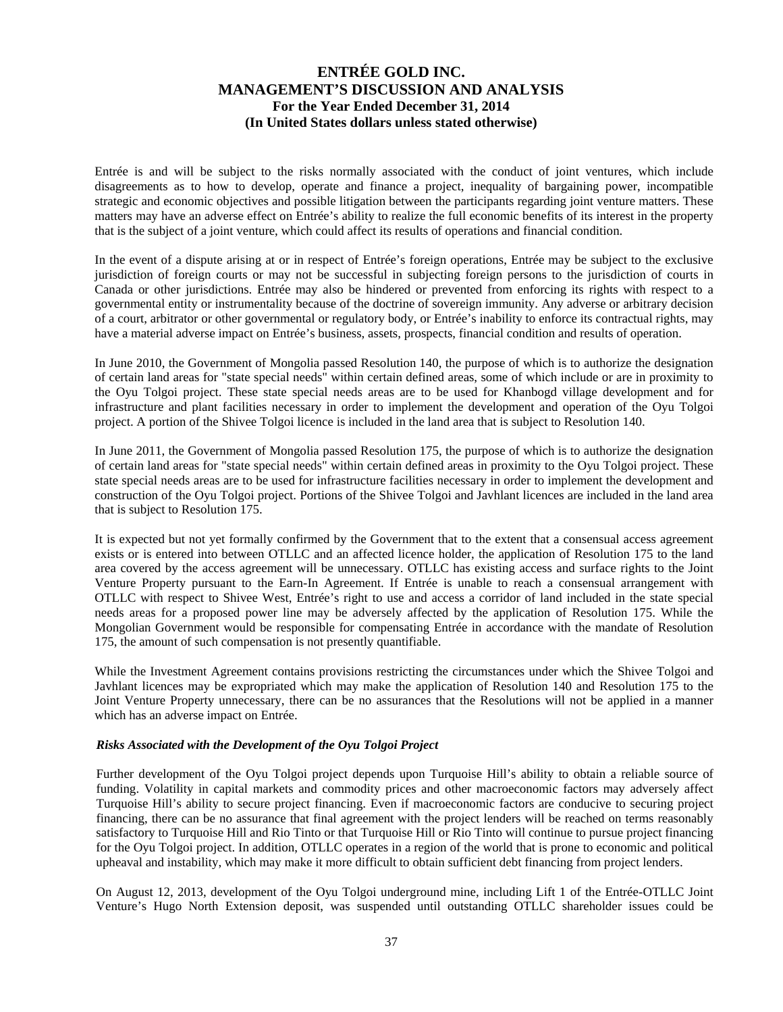Entrée is and will be subject to the risks normally associated with the conduct of joint ventures, which include disagreements as to how to develop, operate and finance a project, inequality of bargaining power, incompatible strategic and economic objectives and possible litigation between the participants regarding joint venture matters. These matters may have an adverse effect on Entrée's ability to realize the full economic benefits of its interest in the property that is the subject of a joint venture, which could affect its results of operations and financial condition.

In the event of a dispute arising at or in respect of Entrée's foreign operations, Entrée may be subject to the exclusive jurisdiction of foreign courts or may not be successful in subjecting foreign persons to the jurisdiction of courts in Canada or other jurisdictions. Entrée may also be hindered or prevented from enforcing its rights with respect to a governmental entity or instrumentality because of the doctrine of sovereign immunity. Any adverse or arbitrary decision of a court, arbitrator or other governmental or regulatory body, or Entrée's inability to enforce its contractual rights, may have a material adverse impact on Entrée's business, assets, prospects, financial condition and results of operation.

In June 2010, the Government of Mongolia passed Resolution 140, the purpose of which is to authorize the designation of certain land areas for "state special needs" within certain defined areas, some of which include or are in proximity to the Oyu Tolgoi project. These state special needs areas are to be used for Khanbogd village development and for infrastructure and plant facilities necessary in order to implement the development and operation of the Oyu Tolgoi project. A portion of the Shivee Tolgoi licence is included in the land area that is subject to Resolution 140.

In June 2011, the Government of Mongolia passed Resolution 175, the purpose of which is to authorize the designation of certain land areas for "state special needs" within certain defined areas in proximity to the Oyu Tolgoi project. These state special needs areas are to be used for infrastructure facilities necessary in order to implement the development and construction of the Oyu Tolgoi project. Portions of the Shivee Tolgoi and Javhlant licences are included in the land area that is subject to Resolution 175.

It is expected but not yet formally confirmed by the Government that to the extent that a consensual access agreement exists or is entered into between OTLLC and an affected licence holder, the application of Resolution 175 to the land area covered by the access agreement will be unnecessary. OTLLC has existing access and surface rights to the Joint Venture Property pursuant to the Earn-In Agreement. If Entrée is unable to reach a consensual arrangement with OTLLC with respect to Shivee West, Entrée's right to use and access a corridor of land included in the state special needs areas for a proposed power line may be adversely affected by the application of Resolution 175. While the Mongolian Government would be responsible for compensating Entrée in accordance with the mandate of Resolution 175, the amount of such compensation is not presently quantifiable.

While the Investment Agreement contains provisions restricting the circumstances under which the Shivee Tolgoi and Javhlant licences may be expropriated which may make the application of Resolution 140 and Resolution 175 to the Joint Venture Property unnecessary, there can be no assurances that the Resolutions will not be applied in a manner which has an adverse impact on Entrée.

#### *Risks Associated with the Development of the Oyu Tolgoi Project*

Further development of the Oyu Tolgoi project depends upon Turquoise Hill's ability to obtain a reliable source of funding. Volatility in capital markets and commodity prices and other macroeconomic factors may adversely affect Turquoise Hill's ability to secure project financing. Even if macroeconomic factors are conducive to securing project financing, there can be no assurance that final agreement with the project lenders will be reached on terms reasonably satisfactory to Turquoise Hill and Rio Tinto or that Turquoise Hill or Rio Tinto will continue to pursue project financing for the Oyu Tolgoi project. In addition, OTLLC operates in a region of the world that is prone to economic and political upheaval and instability, which may make it more difficult to obtain sufficient debt financing from project lenders.

On August 12, 2013, development of the Oyu Tolgoi underground mine, including Lift 1 of the Entrée-OTLLC Joint Venture's Hugo North Extension deposit, was suspended until outstanding OTLLC shareholder issues could be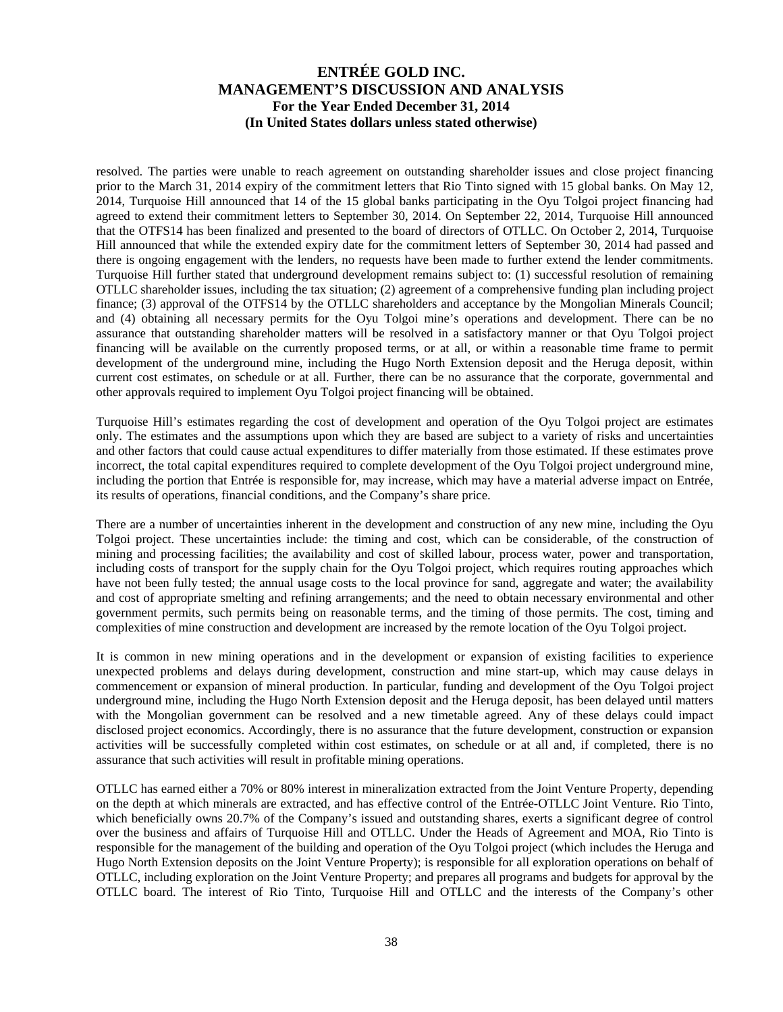resolved. The parties were unable to reach agreement on outstanding shareholder issues and close project financing prior to the March 31, 2014 expiry of the commitment letters that Rio Tinto signed with 15 global banks. On May 12, 2014, Turquoise Hill announced that 14 of the 15 global banks participating in the Oyu Tolgoi project financing had agreed to extend their commitment letters to September 30, 2014. On September 22, 2014, Turquoise Hill announced that the OTFS14 has been finalized and presented to the board of directors of OTLLC. On October 2, 2014, Turquoise Hill announced that while the extended expiry date for the commitment letters of September 30, 2014 had passed and there is ongoing engagement with the lenders, no requests have been made to further extend the lender commitments. Turquoise Hill further stated that underground development remains subject to: (1) successful resolution of remaining OTLLC shareholder issues, including the tax situation; (2) agreement of a comprehensive funding plan including project finance; (3) approval of the OTFS14 by the OTLLC shareholders and acceptance by the Mongolian Minerals Council; and (4) obtaining all necessary permits for the Oyu Tolgoi mine's operations and development. There can be no assurance that outstanding shareholder matters will be resolved in a satisfactory manner or that Oyu Tolgoi project financing will be available on the currently proposed terms, or at all, or within a reasonable time frame to permit development of the underground mine, including the Hugo North Extension deposit and the Heruga deposit, within current cost estimates, on schedule or at all. Further, there can be no assurance that the corporate, governmental and other approvals required to implement Oyu Tolgoi project financing will be obtained.

Turquoise Hill's estimates regarding the cost of development and operation of the Oyu Tolgoi project are estimates only. The estimates and the assumptions upon which they are based are subject to a variety of risks and uncertainties and other factors that could cause actual expenditures to differ materially from those estimated. If these estimates prove incorrect, the total capital expenditures required to complete development of the Oyu Tolgoi project underground mine, including the portion that Entrée is responsible for, may increase, which may have a material adverse impact on Entrée, its results of operations, financial conditions, and the Company's share price.

There are a number of uncertainties inherent in the development and construction of any new mine, including the Oyu Tolgoi project. These uncertainties include: the timing and cost, which can be considerable, of the construction of mining and processing facilities; the availability and cost of skilled labour, process water, power and transportation, including costs of transport for the supply chain for the Oyu Tolgoi project, which requires routing approaches which have not been fully tested; the annual usage costs to the local province for sand, aggregate and water; the availability and cost of appropriate smelting and refining arrangements; and the need to obtain necessary environmental and other government permits, such permits being on reasonable terms, and the timing of those permits. The cost, timing and complexities of mine construction and development are increased by the remote location of the Oyu Tolgoi project.

It is common in new mining operations and in the development or expansion of existing facilities to experience unexpected problems and delays during development, construction and mine start-up, which may cause delays in commencement or expansion of mineral production. In particular, funding and development of the Oyu Tolgoi project underground mine, including the Hugo North Extension deposit and the Heruga deposit, has been delayed until matters with the Mongolian government can be resolved and a new timetable agreed. Any of these delays could impact disclosed project economics. Accordingly, there is no assurance that the future development, construction or expansion activities will be successfully completed within cost estimates, on schedule or at all and, if completed, there is no assurance that such activities will result in profitable mining operations.

OTLLC has earned either a 70% or 80% interest in mineralization extracted from the Joint Venture Property, depending on the depth at which minerals are extracted, and has effective control of the Entrée-OTLLC Joint Venture. Rio Tinto, which beneficially owns 20.7% of the Company's issued and outstanding shares, exerts a significant degree of control over the business and affairs of Turquoise Hill and OTLLC. Under the Heads of Agreement and MOA, Rio Tinto is responsible for the management of the building and operation of the Oyu Tolgoi project (which includes the Heruga and Hugo North Extension deposits on the Joint Venture Property); is responsible for all exploration operations on behalf of OTLLC, including exploration on the Joint Venture Property; and prepares all programs and budgets for approval by the OTLLC board. The interest of Rio Tinto, Turquoise Hill and OTLLC and the interests of the Company's other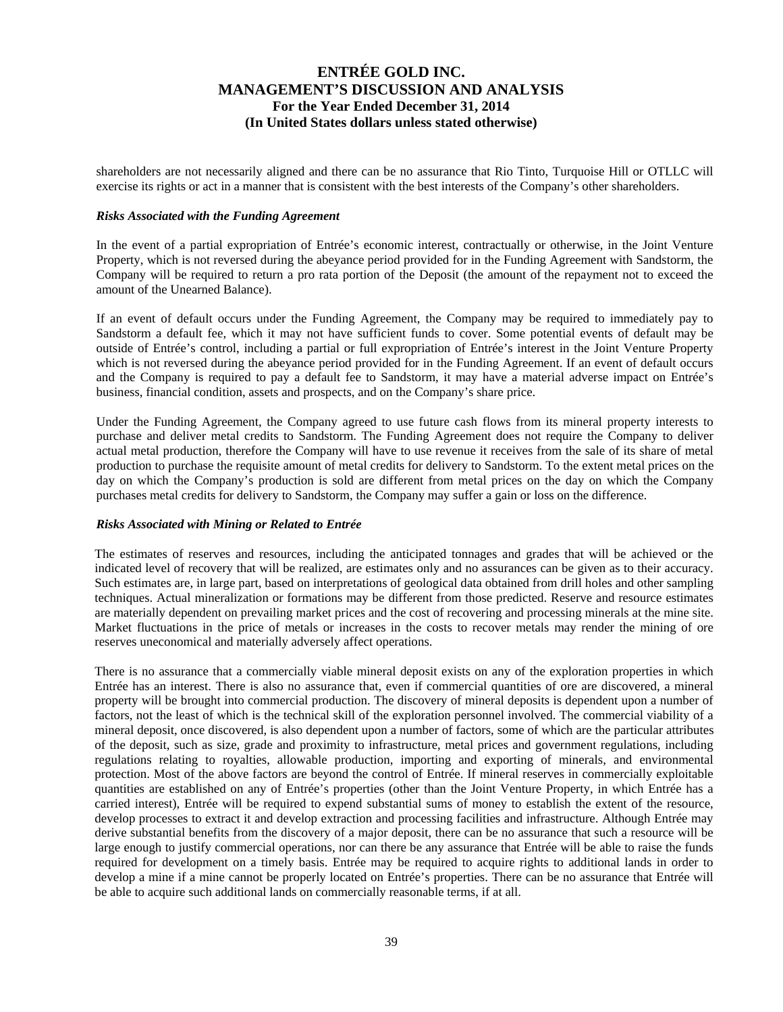shareholders are not necessarily aligned and there can be no assurance that Rio Tinto, Turquoise Hill or OTLLC will exercise its rights or act in a manner that is consistent with the best interests of the Company's other shareholders.

#### *Risks Associated with the Funding Agreement*

In the event of a partial expropriation of Entrée's economic interest, contractually or otherwise, in the Joint Venture Property, which is not reversed during the abeyance period provided for in the Funding Agreement with Sandstorm, the Company will be required to return a pro rata portion of the Deposit (the amount of the repayment not to exceed the amount of the Unearned Balance).

If an event of default occurs under the Funding Agreement, the Company may be required to immediately pay to Sandstorm a default fee, which it may not have sufficient funds to cover. Some potential events of default may be outside of Entrée's control, including a partial or full expropriation of Entrée's interest in the Joint Venture Property which is not reversed during the abeyance period provided for in the Funding Agreement. If an event of default occurs and the Company is required to pay a default fee to Sandstorm, it may have a material adverse impact on Entrée's business, financial condition, assets and prospects, and on the Company's share price.

Under the Funding Agreement, the Company agreed to use future cash flows from its mineral property interests to purchase and deliver metal credits to Sandstorm. The Funding Agreement does not require the Company to deliver actual metal production, therefore the Company will have to use revenue it receives from the sale of its share of metal production to purchase the requisite amount of metal credits for delivery to Sandstorm. To the extent metal prices on the day on which the Company's production is sold are different from metal prices on the day on which the Company purchases metal credits for delivery to Sandstorm, the Company may suffer a gain or loss on the difference.

#### *Risks Associated with Mining or Related to Entrée*

The estimates of reserves and resources, including the anticipated tonnages and grades that will be achieved or the indicated level of recovery that will be realized, are estimates only and no assurances can be given as to their accuracy. Such estimates are, in large part, based on interpretations of geological data obtained from drill holes and other sampling techniques. Actual mineralization or formations may be different from those predicted. Reserve and resource estimates are materially dependent on prevailing market prices and the cost of recovering and processing minerals at the mine site. Market fluctuations in the price of metals or increases in the costs to recover metals may render the mining of ore reserves uneconomical and materially adversely affect operations.

There is no assurance that a commercially viable mineral deposit exists on any of the exploration properties in which Entrée has an interest. There is also no assurance that, even if commercial quantities of ore are discovered, a mineral property will be brought into commercial production. The discovery of mineral deposits is dependent upon a number of factors, not the least of which is the technical skill of the exploration personnel involved. The commercial viability of a mineral deposit, once discovered, is also dependent upon a number of factors, some of which are the particular attributes of the deposit, such as size, grade and proximity to infrastructure, metal prices and government regulations, including regulations relating to royalties, allowable production, importing and exporting of minerals, and environmental protection. Most of the above factors are beyond the control of Entrée. If mineral reserves in commercially exploitable quantities are established on any of Entrée's properties (other than the Joint Venture Property, in which Entrée has a carried interest), Entrée will be required to expend substantial sums of money to establish the extent of the resource, develop processes to extract it and develop extraction and processing facilities and infrastructure. Although Entrée may derive substantial benefits from the discovery of a major deposit, there can be no assurance that such a resource will be large enough to justify commercial operations, nor can there be any assurance that Entrée will be able to raise the funds required for development on a timely basis. Entrée may be required to acquire rights to additional lands in order to develop a mine if a mine cannot be properly located on Entrée's properties. There can be no assurance that Entrée will be able to acquire such additional lands on commercially reasonable terms, if at all.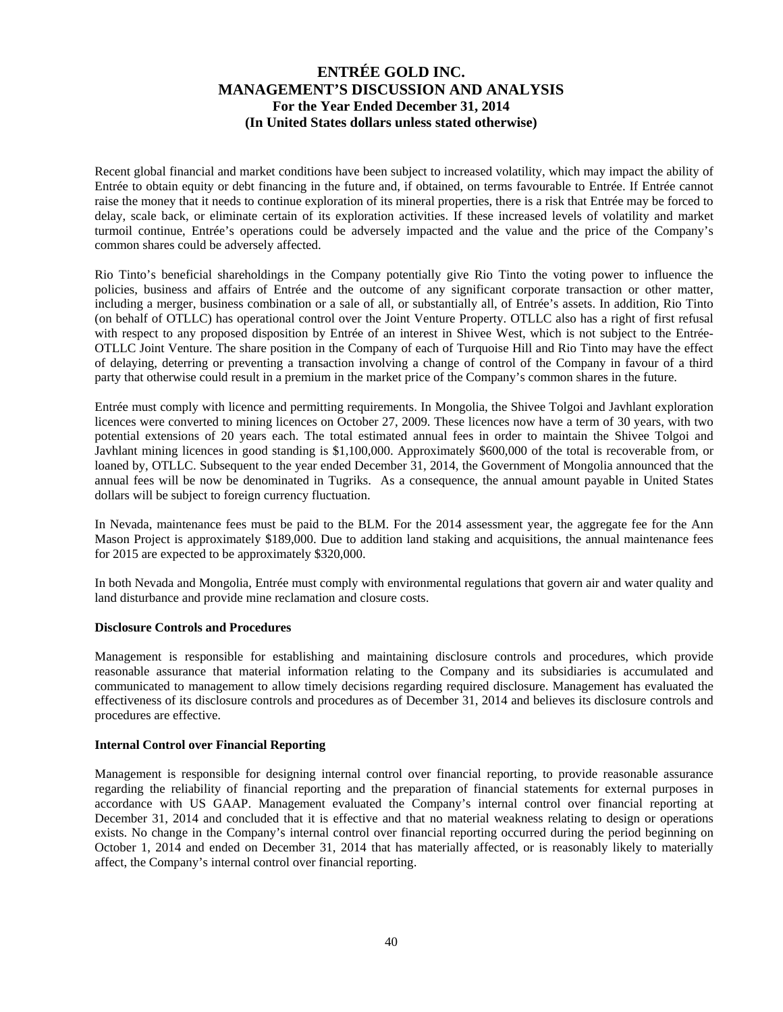Recent global financial and market conditions have been subject to increased volatility, which may impact the ability of Entrée to obtain equity or debt financing in the future and, if obtained, on terms favourable to Entrée. If Entrée cannot raise the money that it needs to continue exploration of its mineral properties, there is a risk that Entrée may be forced to delay, scale back, or eliminate certain of its exploration activities. If these increased levels of volatility and market turmoil continue, Entrée's operations could be adversely impacted and the value and the price of the Company's common shares could be adversely affected.

Rio Tinto's beneficial shareholdings in the Company potentially give Rio Tinto the voting power to influence the policies, business and affairs of Entrée and the outcome of any significant corporate transaction or other matter, including a merger, business combination or a sale of all, or substantially all, of Entrée's assets. In addition, Rio Tinto (on behalf of OTLLC) has operational control over the Joint Venture Property. OTLLC also has a right of first refusal with respect to any proposed disposition by Entrée of an interest in Shivee West, which is not subject to the Entrée-OTLLC Joint Venture. The share position in the Company of each of Turquoise Hill and Rio Tinto may have the effect of delaying, deterring or preventing a transaction involving a change of control of the Company in favour of a third party that otherwise could result in a premium in the market price of the Company's common shares in the future.

Entrée must comply with licence and permitting requirements. In Mongolia, the Shivee Tolgoi and Javhlant exploration licences were converted to mining licences on October 27, 2009. These licences now have a term of 30 years, with two potential extensions of 20 years each. The total estimated annual fees in order to maintain the Shivee Tolgoi and Javhlant mining licences in good standing is \$1,100,000. Approximately \$600,000 of the total is recoverable from, or loaned by, OTLLC. Subsequent to the year ended December 31, 2014, the Government of Mongolia announced that the annual fees will be now be denominated in Tugriks. As a consequence, the annual amount payable in United States dollars will be subject to foreign currency fluctuation.

In Nevada, maintenance fees must be paid to the BLM. For the 2014 assessment year, the aggregate fee for the Ann Mason Project is approximately \$189,000. Due to addition land staking and acquisitions, the annual maintenance fees for 2015 are expected to be approximately \$320,000.

In both Nevada and Mongolia, Entrée must comply with environmental regulations that govern air and water quality and land disturbance and provide mine reclamation and closure costs.

#### **Disclosure Controls and Procedures**

Management is responsible for establishing and maintaining disclosure controls and procedures, which provide reasonable assurance that material information relating to the Company and its subsidiaries is accumulated and communicated to management to allow timely decisions regarding required disclosure. Management has evaluated the effectiveness of its disclosure controls and procedures as of December 31, 2014 and believes its disclosure controls and procedures are effective.

#### **Internal Control over Financial Reporting**

Management is responsible for designing internal control over financial reporting, to provide reasonable assurance regarding the reliability of financial reporting and the preparation of financial statements for external purposes in accordance with US GAAP. Management evaluated the Company's internal control over financial reporting at December 31, 2014 and concluded that it is effective and that no material weakness relating to design or operations exists. No change in the Company's internal control over financial reporting occurred during the period beginning on October 1, 2014 and ended on December 31, 2014 that has materially affected, or is reasonably likely to materially affect, the Company's internal control over financial reporting.